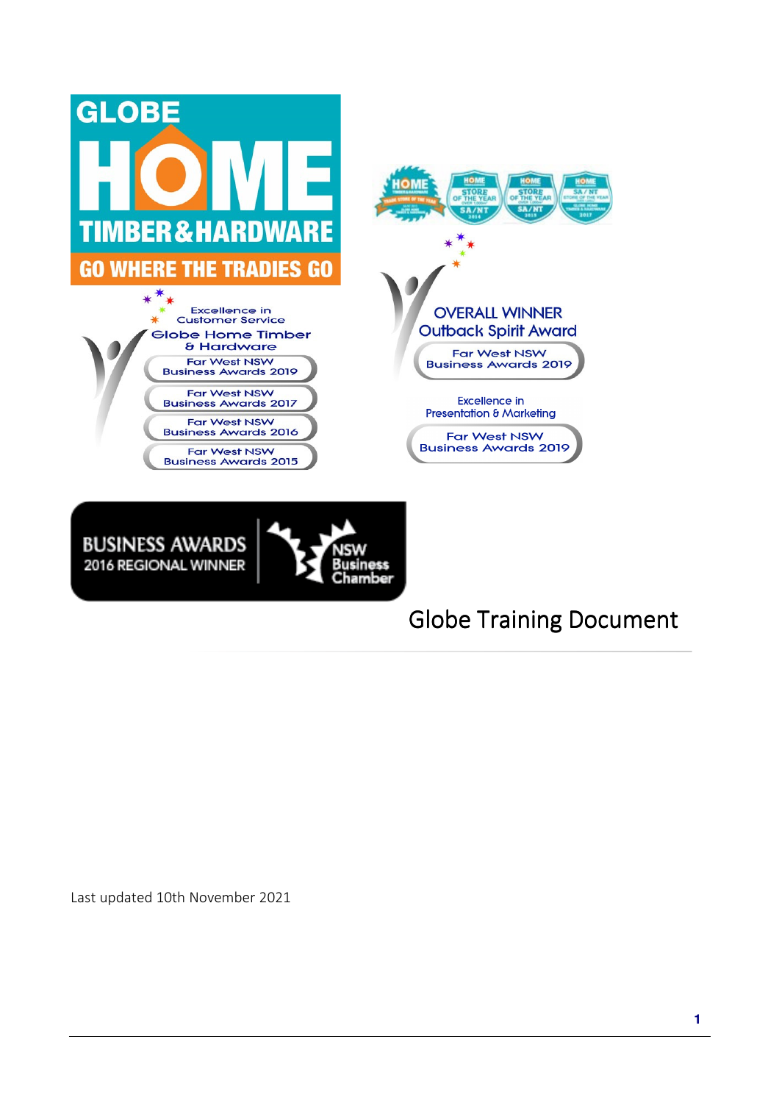



# **Globe Training Document**

Last updated 10th November 2021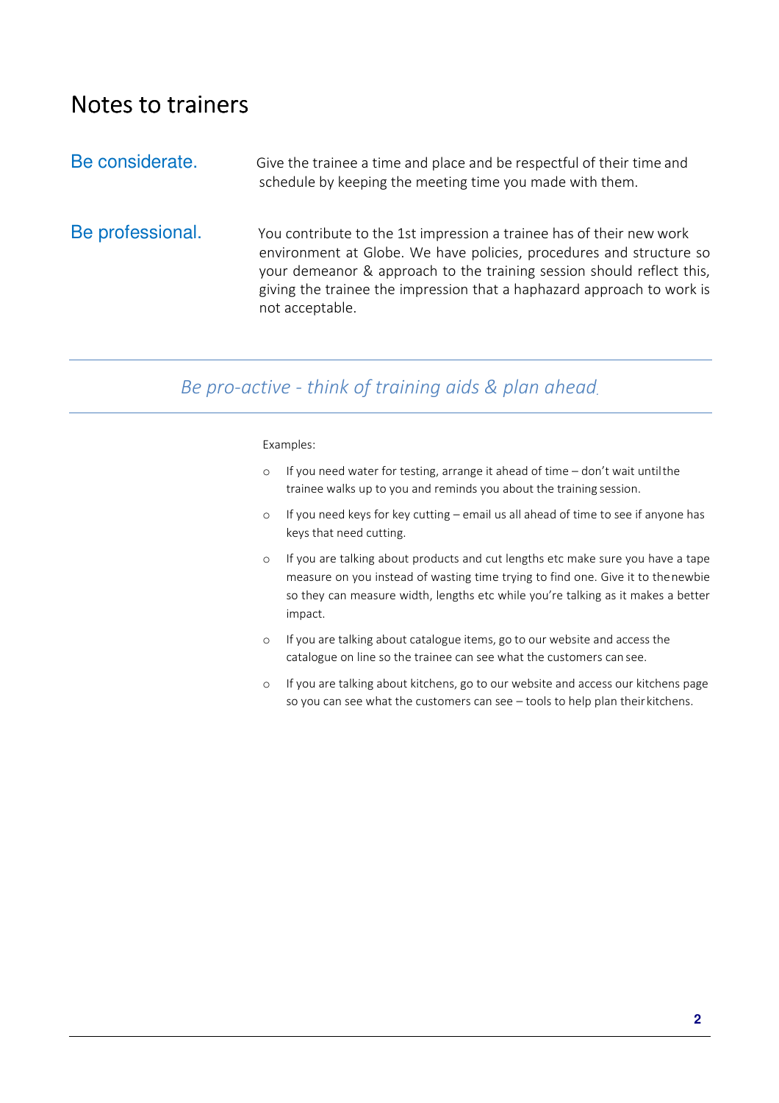# Notes to trainers

| Be considerate.  | Give the trainee a time and place and be respectful of their time and<br>schedule by keeping the meeting time you made with them.                                                                                                                                                                                 |
|------------------|-------------------------------------------------------------------------------------------------------------------------------------------------------------------------------------------------------------------------------------------------------------------------------------------------------------------|
| Be professional. | You contribute to the 1st impression a trainee has of their new work<br>environment at Globe. We have policies, procedures and structure so<br>your demeanor & approach to the training session should reflect this,<br>giving the trainee the impression that a haphazard approach to work is<br>not acceptable. |

#### *Be pro-active - think of training aids & plan ahead.*

#### Examples:

- o If you need water for testing, arrange it ahead of time don't wait until the trainee walks up to you and reminds you about the training session.
- o If you need keys for key cutting email us all ahead of time to see if anyone has keys that need cutting.
- o If you are talking about products and cut lengths etc make sure you have a tape measure on you instead of wasting time trying to find one. Give it to the newbie so they can measure width, lengths etc while you're talking as it makes a better impact.
- o If you are talking about catalogue items, go to our website and access the catalogue on line so the trainee can see what the customers can see.
- o If you are talking about kitchens, go to our website and access our kitchens page so you can see what the customers can see – tools to help plan their kitchens.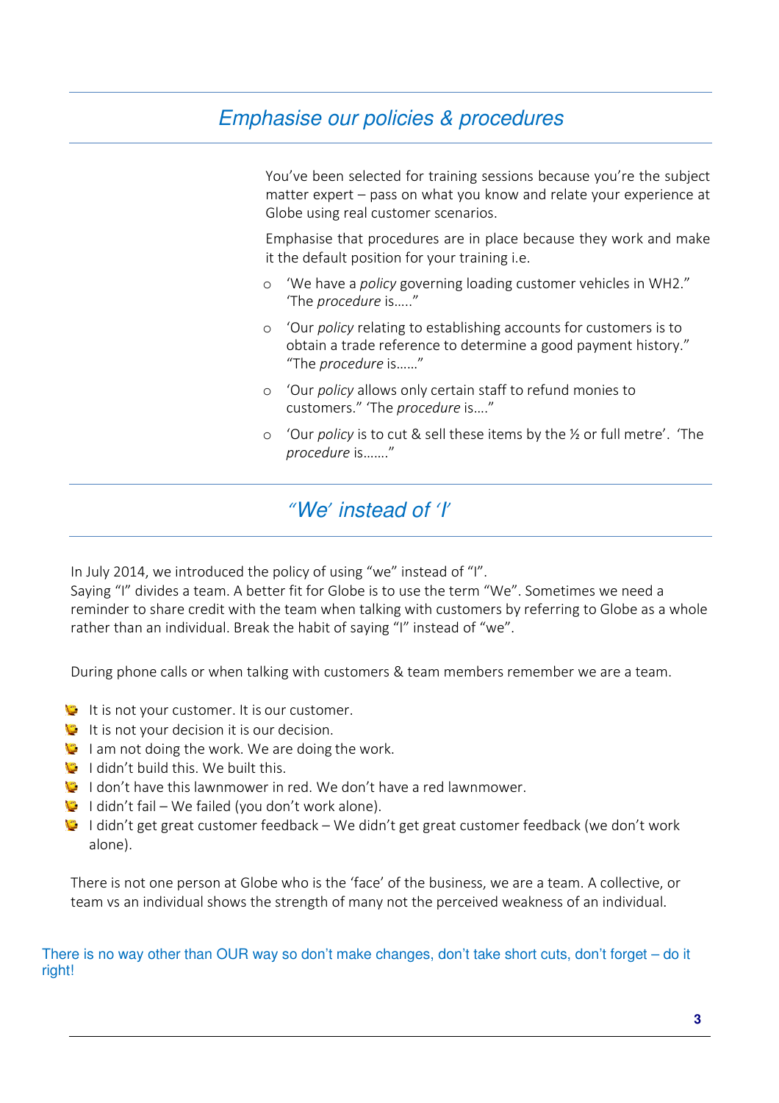# Emphasise our policies & procedures

You've been selected for training sessions because you're the subject matter expert – pass on what you know and relate your experience at Globe using real customer scenarios.

Emphasise that procedures are in place because they work and make it the default position for your training i.e.

- o 'We have a *policy* governing loading customer vehicles in WH2." 'The *procedure* is….."
- o 'Our *policy* relating to establishing accounts for customers is to obtain a trade reference to determine a good payment history." "The *procedure* is……"
- o 'Our *policy* allows only certain staff to refund monies to customers." 'The *procedure* is…."
- o 'Our *policy* is to cut & sell these items by the ½ or full metre'. 'The *procedure* is……."

## *"*We*'* instead of *'*I*'*

In July 2014, we introduced the policy of using "we" instead of "I".

Saying "I" divides a team. A better fit for Globe is to use the term "We". Sometimes we need a reminder to share credit with the team when talking with customers by referring to Globe as a whole rather than an individual. Break the habit of saying "I" instead of "we".

During phone calls or when talking with customers & team members remember we are a team.

- It is not your customer. It is our customer.
- It is not your decision it is our decision.
- I am not doing the work. We are doing the work.
- I didn't build this. We built this.
- I don't have this lawnmower in red. We don't have a red lawnmower.
- $\bullet$  I didn't fail We failed (you don't work alone).
- $\heartsuit$  I didn't get great customer feedback We didn't get great customer feedback (we don't work alone).

There is not one person at Globe who is the 'face' of the business, we are a team. A collective, or team vs an individual shows the strength of many not the perceived weakness of an individual.

There is no way other than OUR way so don't make changes, don't take short cuts, don't forget – do it right!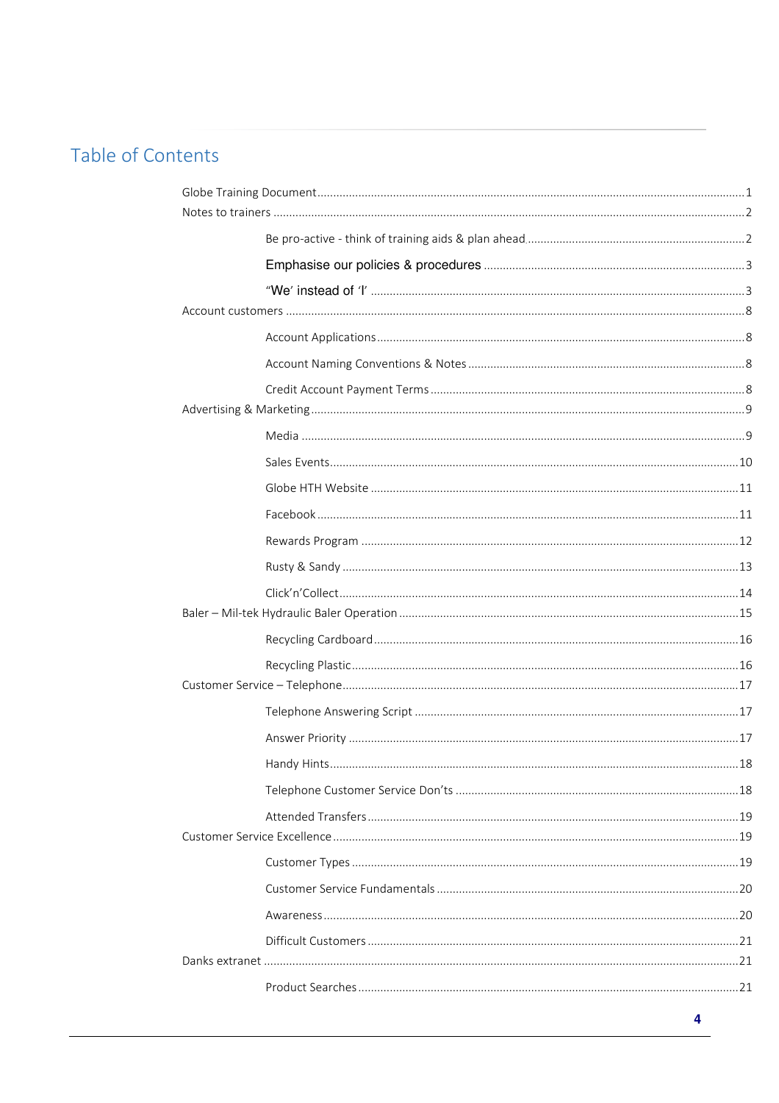# Table of Contents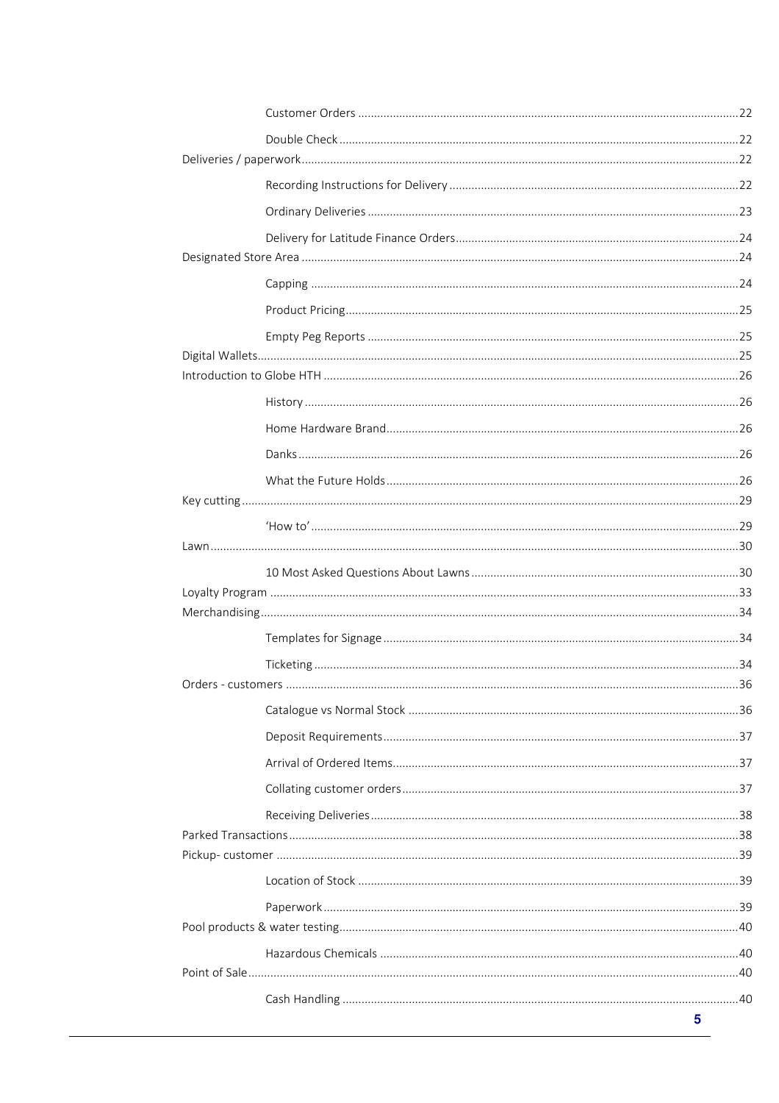|  | 5 |
|--|---|
|  |   |
|  |   |
|  |   |
|  |   |
|  |   |
|  |   |
|  |   |
|  |   |
|  |   |
|  |   |
|  |   |
|  |   |
|  |   |
|  |   |
|  |   |
|  |   |
|  |   |
|  |   |
|  |   |
|  |   |
|  |   |
|  |   |
|  |   |
|  |   |
|  |   |
|  |   |
|  |   |
|  |   |
|  |   |
|  |   |
|  |   |
|  |   |
|  |   |
|  |   |
|  |   |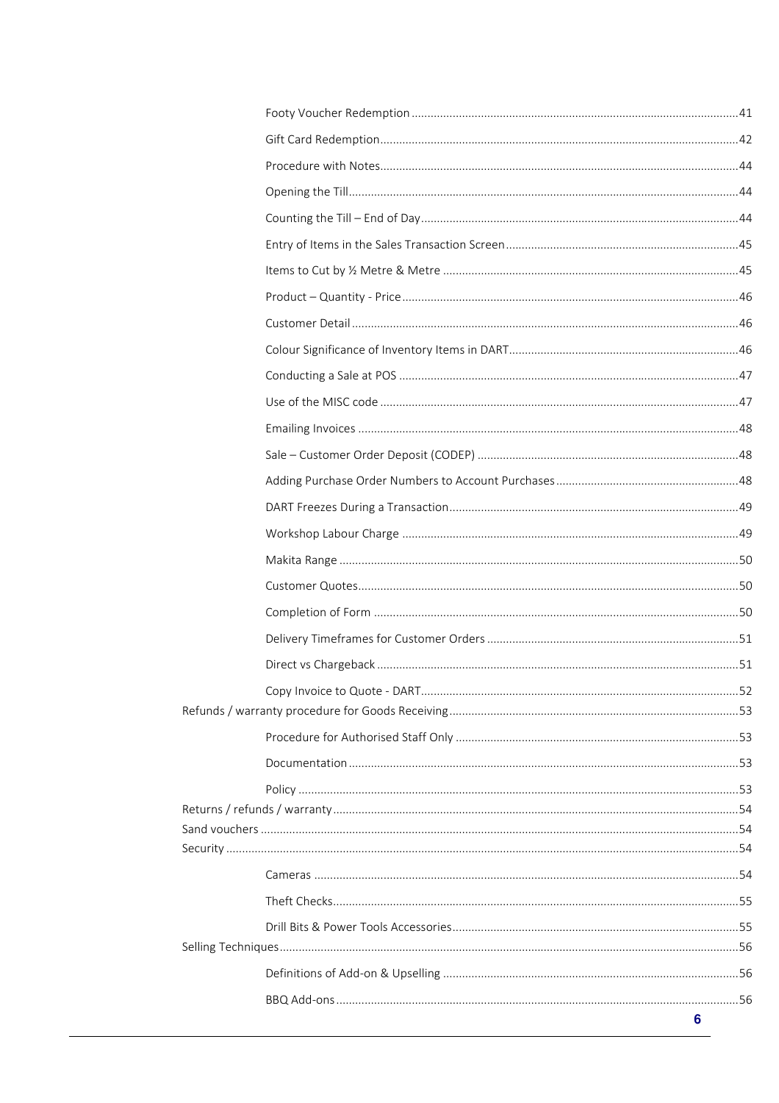|  | 6 |
|--|---|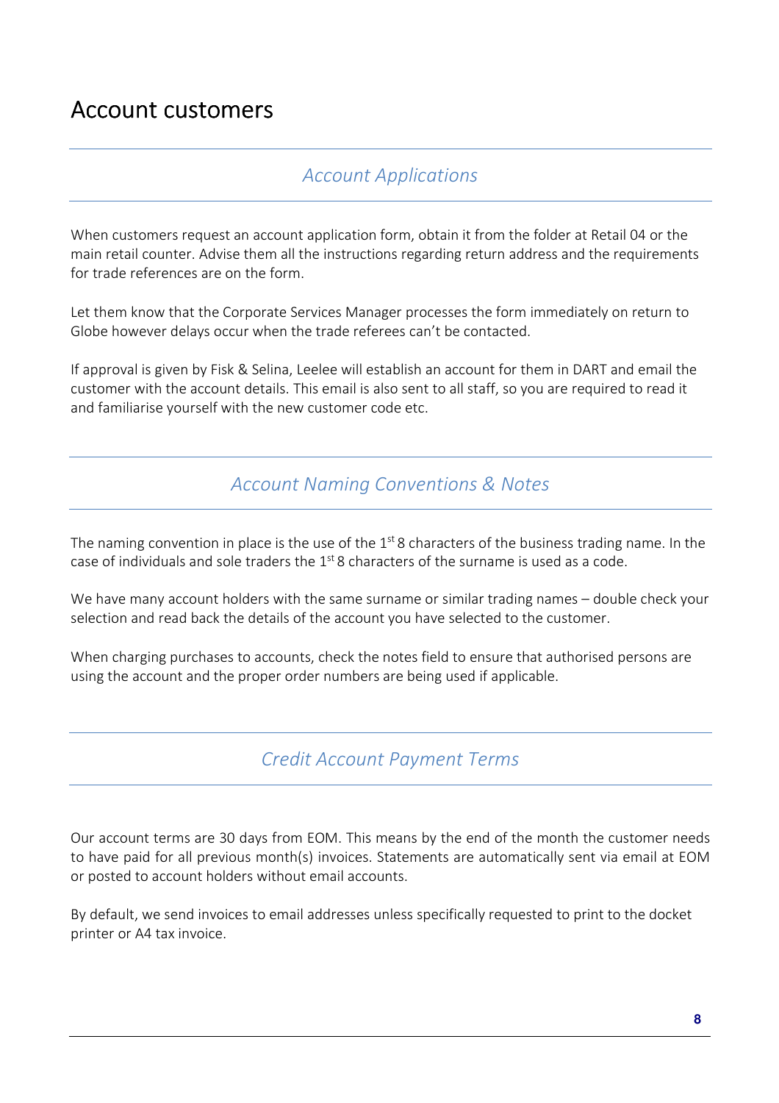# Account customers

#### *Account Applications*

When customers request an account application form, obtain it from the folder at Retail 04 or the main retail counter. Advise them all the instructions regarding return address and the requirements for trade references are on the form.

Let them know that the Corporate Services Manager processes the form immediately on return to Globe however delays occur when the trade referees can't be contacted.

If approval is given by Fisk & Selina, Leelee will establish an account for them in DART and email the customer with the account details. This email is also sent to all staff, so you are required to read it and familiarise yourself with the new customer code etc.

#### *Account Naming Conventions & Notes*

The naming convention in place is the use of the  $1<sup>st</sup> 8$  characters of the business trading name. In the case of individuals and sole traders the  $1<sup>st</sup>$  8 characters of the surname is used as a code.

We have many account holders with the same surname or similar trading names – double check your selection and read back the details of the account you have selected to the customer.

When charging purchases to accounts, check the notes field to ensure that authorised persons are using the account and the proper order numbers are being used if applicable.

*Credit Account Payment Terms* 

Our account terms are 30 days from EOM. This means by the end of the month the customer needs to have paid for all previous month(s) invoices. Statements are automatically sent via email at EOM or posted to account holders without email accounts.

By default, we send invoices to email addresses unless specifically requested to print to the docket printer or A4 tax invoice.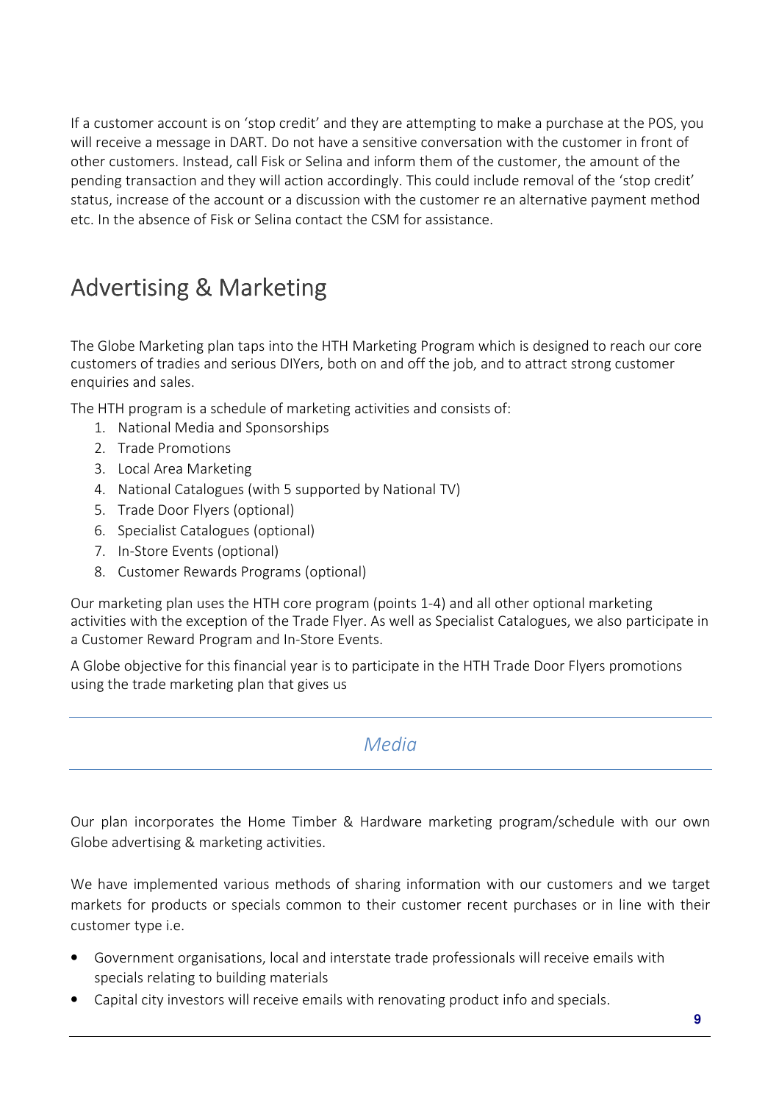If a customer account is on 'stop credit' and they are attempting to make a purchase at the POS, you will receive a message in DART. Do not have a sensitive conversation with the customer in front of other customers. Instead, call Fisk or Selina and inform them of the customer, the amount of the pending transaction and they will action accordingly. This could include removal of the 'stop credit' status, increase of the account or a discussion with the customer re an alternative payment method etc. In the absence of Fisk or Selina contact the CSM for assistance.

# Advertising & Marketing

The Globe Marketing plan taps into the HTH Marketing Program which is designed to reach our core customers of tradies and serious DIYers, both on and off the job, and to attract strong customer enquiries and sales.

The HTH program is a schedule of marketing activities and consists of:

- 1. National Media and Sponsorships
- 2. Trade Promotions
- 3. Local Area Marketing
- 4. National Catalogues (with 5 supported by National TV)
- 5. Trade Door Flyers (optional)
- 6. Specialist Catalogues (optional)
- 7. In-Store Events (optional)
- 8. Customer Rewards Programs (optional)

Our marketing plan uses the HTH core program (points 1-4) and all other optional marketing activities with the exception of the Trade Flyer. As well as Specialist Catalogues, we also participate in a Customer Reward Program and In-Store Events.

A Globe objective for this financial year is to participate in the HTH Trade Door Flyers promotions using the trade marketing plan that gives us

*Media* 

Our plan incorporates the Home Timber & Hardware marketing program/schedule with our own Globe advertising & marketing activities.

We have implemented various methods of sharing information with our customers and we target markets for products or specials common to their customer recent purchases or in line with their customer type i.e.

- Government organisations, local and interstate trade professionals will receive emails with specials relating to building materials
- Capital city investors will receive emails with renovating product info and specials.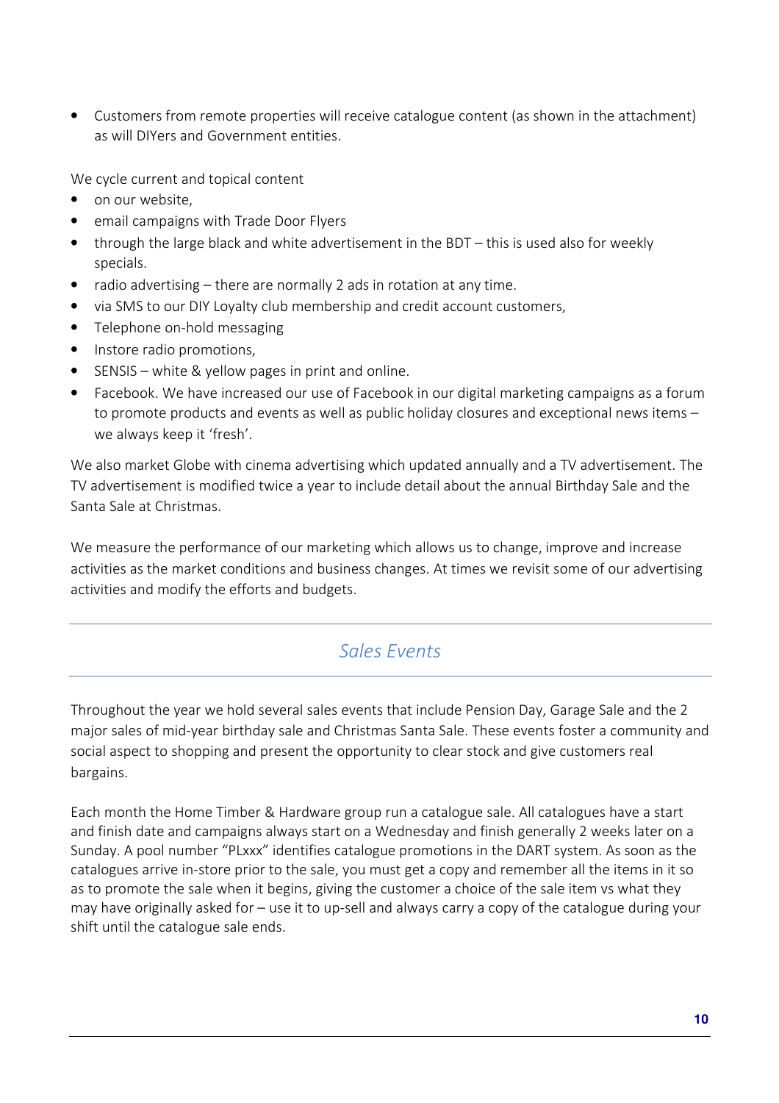• Customers from remote properties will receive catalogue content (as shown in the attachment) as will DIYers and Government entities.

We cycle current and topical content

- on our website.
- email campaigns with Trade Door Flyers
- through the large black and white advertisement in the BDT this is used also for weekly specials.
- radio advertising there are normally 2 ads in rotation at any time.
- via SMS to our DIY Loyalty club membership and credit account customers,
- Telephone on-hold messaging
- Instore radio promotions,
- SENSIS white & yellow pages in print and online.
- Facebook. We have increased our use of Facebook in our digital marketing campaigns as a forum to promote products and events as well as public holiday closures and exceptional news items – we always keep it 'fresh'.

We also market Globe with cinema advertising which updated annually and a TV advertisement. The TV advertisement is modified twice a year to include detail about the annual Birthday Sale and the Santa Sale at Christmas.

We measure the performance of our marketing which allows us to change, improve and increase activities as the market conditions and business changes. At times we revisit some of our advertising activities and modify the efforts and budgets.

### *Sales Events*

Throughout the year we hold several sales events that include Pension Day, Garage Sale and the 2 major sales of mid-year birthday sale and Christmas Santa Sale. These events foster a community and social aspect to shopping and present the opportunity to clear stock and give customers real bargains.

Each month the Home Timber & Hardware group run a catalogue sale. All catalogues have a start and finish date and campaigns always start on a Wednesday and finish generally 2 weeks later on a Sunday. A pool number "PLxxx" identifies catalogue promotions in the DART system. As soon as the catalogues arrive in-store prior to the sale, you must get a copy and remember all the items in it so as to promote the sale when it begins, giving the customer a choice of the sale item vs what they may have originally asked for – use it to up-sell and always carry a copy of the catalogue during your shift until the catalogue sale ends.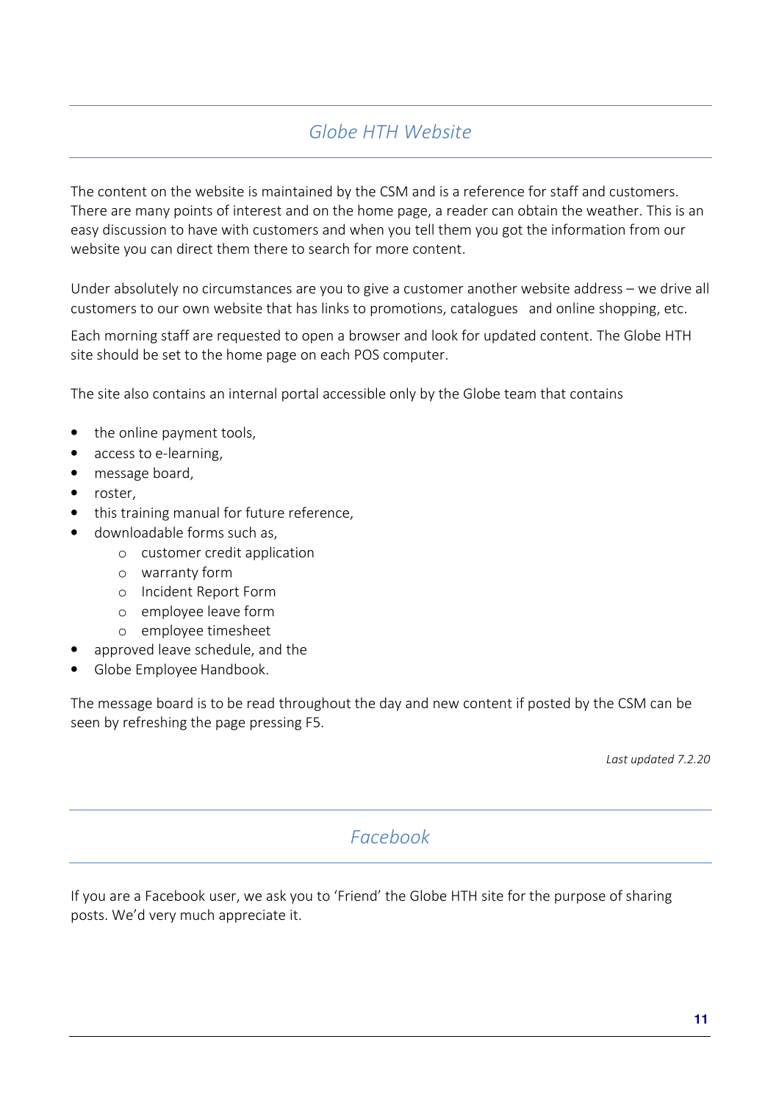# *Globe HTH Website*

The content on the website is maintained by the CSM and is a reference for staff and customers. There are many points of interest and on the home page, a reader can obtain the weather. This is an easy discussion to have with customers and when you tell them you got the information from our website you can direct them there to search for more content.

Under absolutely no circumstances are you to give a customer another website address – we drive all customers to our own website that has links to promotions, catalogues and online shopping, etc.

Each morning staff are requested to open a browser and look for updated content. The Globe HTH site should be set to the home page on each POS computer.

The site also contains an internal portal accessible only by the Globe team that contains

- the online payment tools,
- access to e-learning,
- message board,
- roster,
- this training manual for future reference,
- downloadable forms such as,
	- o customer credit application
	- o warranty form
	- o Incident Report Form
	- o employee leave form
	- o employee timesheet
- approved leave schedule, and the
- Globe Employee Handbook.

The message board is to be read throughout the day and new content if posted by the CSM can be seen by refreshing the page pressing F5.

*Last updated 7.2.20* 

#### *Facebook*

If you are a Facebook user, we ask you to 'Friend' the Globe HTH site for the purpose of sharing posts. We'd very much appreciate it.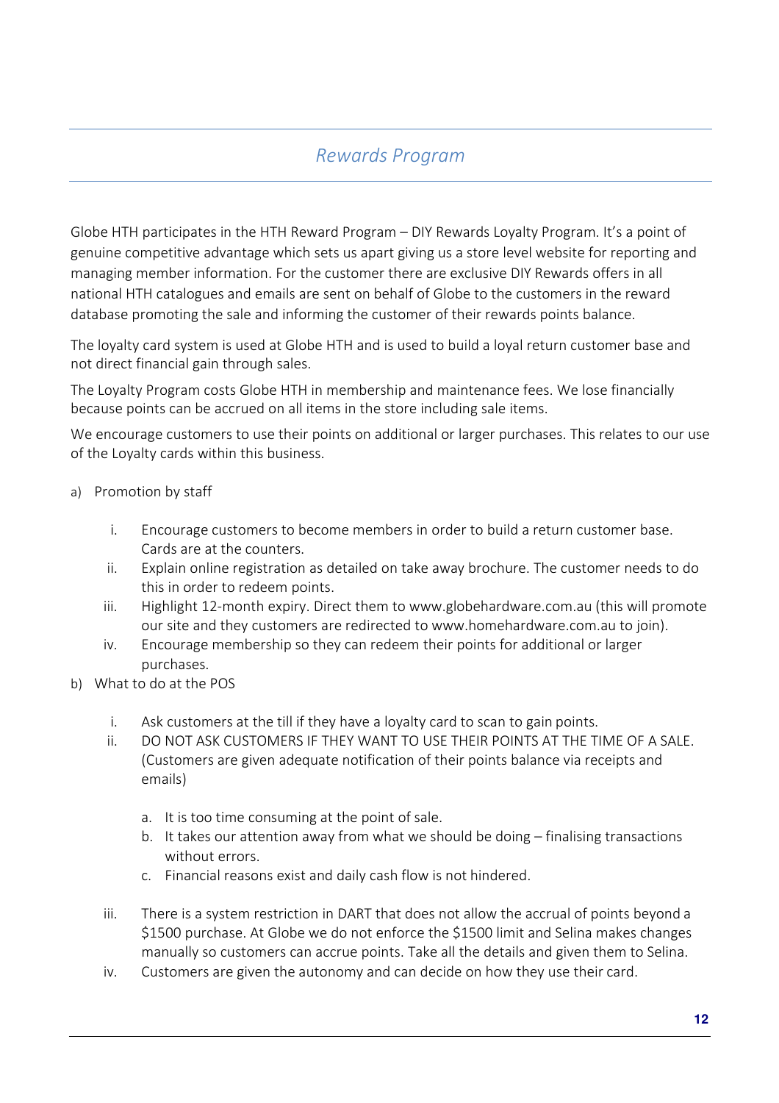### *Rewards Program*

Globe HTH participates in the HTH Reward Program – DIY Rewards Loyalty Program. It's a point of genuine competitive advantage which sets us apart giving us a store level website for reporting and managing member information. For the customer there are exclusive DIY Rewards offers in all national HTH catalogues and emails are sent on behalf of Globe to the customers in the reward database promoting the sale and informing the customer of their rewards points balance.

The loyalty card system is used at Globe HTH and is used to build a loyal return customer base and not direct financial gain through sales.

The Loyalty Program costs Globe HTH in membership and maintenance fees. We lose financially because points can be accrued on all items in the store including sale items.

We encourage customers to use their points on additional or larger purchases. This relates to our use of the Loyalty cards within this business.

- a) Promotion by staff
	- i. Encourage customers to become members in order to build a return customer base. Cards are at the counters.
	- ii. Explain online registration as detailed on take away brochure. The customer needs to do this in order to redeem points.
	- iii. Highlight 12-month expiry. Direct them to www.globehardware.com.au (this will promote our site and they customers are redirected to www.homehardware.com.au to join).
	- iv. Encourage membership so they can redeem their points for additional or larger purchases.
- b) What to do at the POS
	- i. Ask customers at the till if they have a loyalty card to scan to gain points.
	- ii. DO NOT ASK CUSTOMERS IF THEY WANT TO USE THEIR POINTS AT THE TIME OF A SALE. (Customers are given adequate notification of their points balance via receipts and emails)
		- a. It is too time consuming at the point of sale.
		- b. It takes our attention away from what we should be doing finalising transactions without errors.
		- c. Financial reasons exist and daily cash flow is not hindered.
	- iii. There is a system restriction in DART that does not allow the accrual of points beyond a \$1500 purchase. At Globe we do not enforce the \$1500 limit and Selina makes changes manually so customers can accrue points. Take all the details and given them to Selina.
	- iv. Customers are given the autonomy and can decide on how they use their card.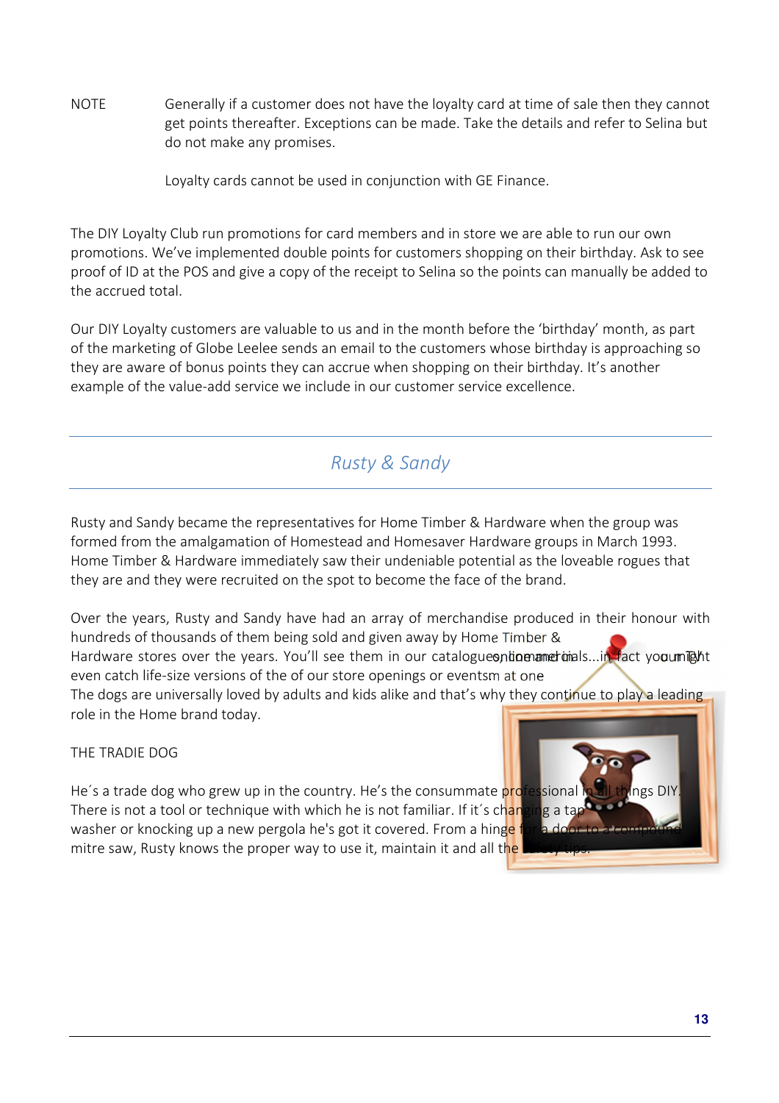NOTE Generally if a customer does not have the loyalty card at time of sale then they cannot get points thereafter. Exceptions can be made. Take the details and refer to Selina but do not make any promises.

Loyalty cards cannot be used in conjunction with GE Finance.

The DIY Loyalty Club run promotions for card members and in store we are able to run our own promotions. We've implemented double points for customers shopping on their birthday. Ask to see proof of ID at the POS and give a copy of the receipt to Selina so the points can manually be added to the accrued total.

Our DIY Loyalty customers are valuable to us and in the month before the 'birthday' month, as part of the marketing of Globe Leelee sends an email to the customers whose birthday is approaching so they are aware of bonus points they can accrue when shopping on their birthday. It's another example of the value-add service we include in our customer service excellence.

### *Rusty & Sandy*

Rusty and Sandy became the representatives for Home Timber & Hardware when the group was formed from the amalgamation of Homestead and Homesaver Hardware groups in March 1993. Home Timber & Hardware immediately saw their undeniable potential as the loveable rogues that they are and they were recruited on the spot to become the face of the brand.

hundreds of thousands of them being sold and given away by Home Timber & Hardware stores over the years. You'll see them in our catalogues, hin martimals...in fact you might even catch life-size versions of the of our store openings or eventsm at one Over the years, Rusty and Sandy have had an array of merchandise produced in their honour with

The dogs are universally loved by adults and kids alike and that's why they continue to play a leading role in the Home brand today.

#### THE TRADIE DOG

He's a trade dog who grew up in the country. He's the consummate professional in all things DIY There is not a tool or technique with which he is not familiar. If it's changing a tap washer or knocking up a new pergola he's got it covered. From a hinge f mitre saw, Rusty knows the proper way to use it, maintain it and all the

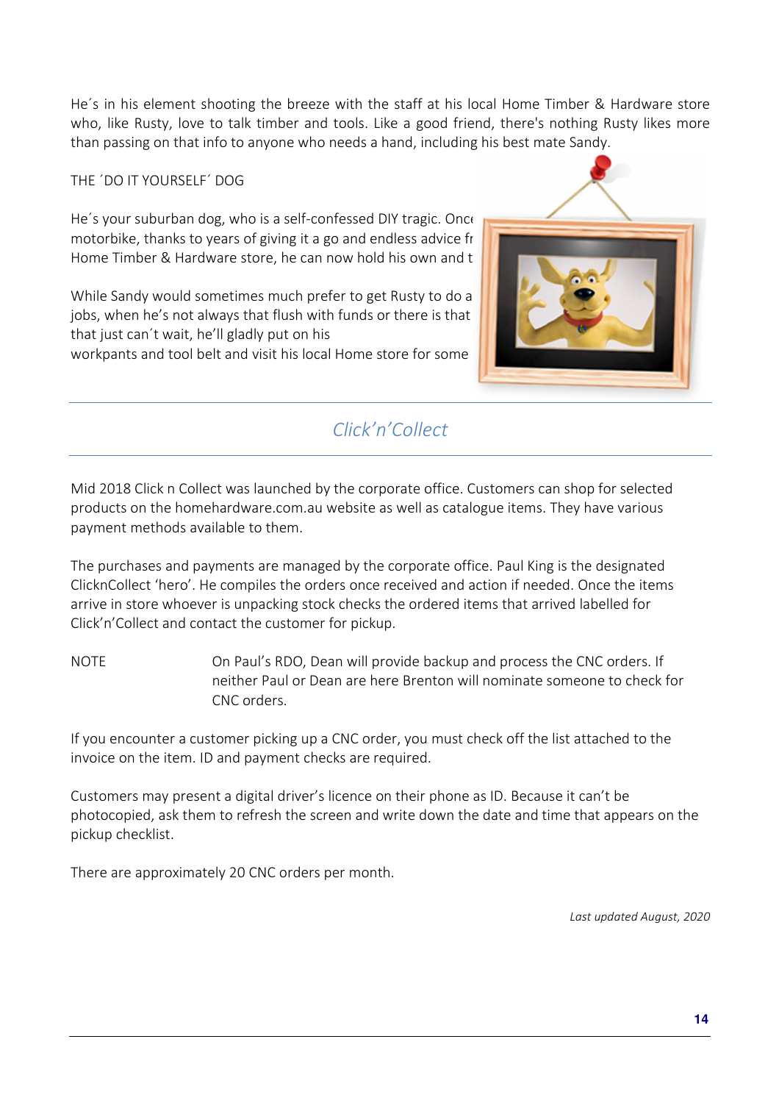He´s in his element shooting the breeze with the staff at his local Home Timber & Hardware store who, like Rusty, love to talk timber and tools. Like a good friend, there's nothing Rusty likes more than passing on that info to anyone who needs a hand, including his best mate Sandy.

THE ´DO IT YOURSELF´ DOG

He's your suburban dog, who is a self-confessed DIY tragic. Once motorbike, thanks to years of giving it a go and endless advice from Ruste and the match Home Timber & Hardware store, he can now hold his own and t

While Sandy would sometimes much prefer to get Rusty to do a jobs, when he's not always that flush with funds or there is that that just can´t wait, he'll gladly put on his workpants and tool belt and visit his local Home store for some



## *Click'n'Collect*

Mid 2018 Click n Collect was launched by the corporate office. Customers can shop for selected products on the homehardware.com.au website as well as catalogue items. They have various payment methods available to them.

The purchases and payments are managed by the corporate office. Paul King is the designated ClicknCollect 'hero'. He compiles the orders once received and action if needed. Once the items arrive in store whoever is unpacking stock checks the ordered items that arrived labelled for Click'n'Collect and contact the customer for pickup.

NOTE **ON PAUL'S RDO, Dean will provide backup and process the CNC orders. If** neither Paul or Dean are here Brenton will nominate someone to check for CNC orders.

If you encounter a customer picking up a CNC order, you must check off the list attached to the invoice on the item. ID and payment checks are required.

Customers may present a digital driver's licence on their phone as ID. Because it can't be photocopied, ask them to refresh the screen and write down the date and time that appears on the pickup checklist.

There are approximately 20 CNC orders per month.

*Last updated August, 2020*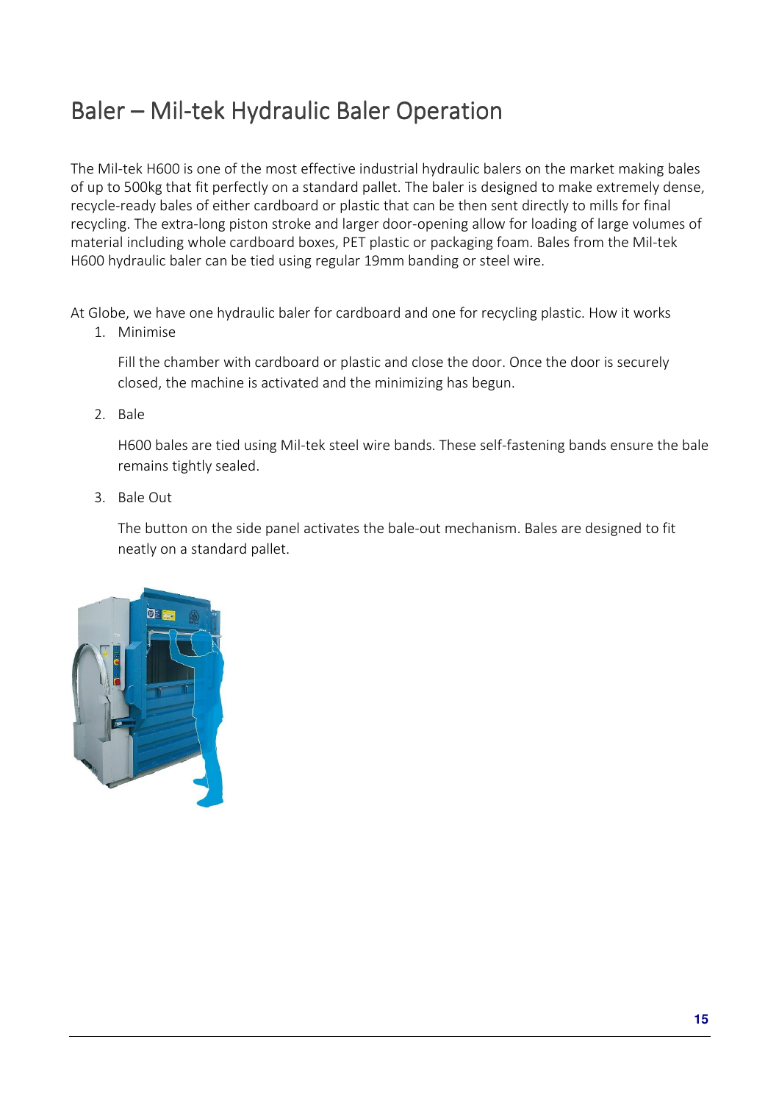# Baler – Mil-tek Hydraulic Baler Operation

The Mil-tek H600 is one of the most effective industrial hydraulic balers on the market making bales of up to 500kg that fit perfectly on a standard pallet. The baler is designed to make extremely dense, recycle-ready bales of either cardboard or plastic that can be then sent directly to mills for final recycling. The extra-long piston stroke and larger door-opening allow for loading of large volumes of material including whole cardboard boxes, PET plastic or packaging foam. Bales from the Mil-tek H600 hydraulic baler can be tied using regular 19mm banding or steel wire.

At Globe, we have one hydraulic baler for cardboard and one for recycling plastic. How it works

1. Minimise

Fill the chamber with cardboard or plastic and close the door. Once the door is securely closed, the machine is activated and the minimizing has begun.

2. Bale

H600 bales are tied using Mil-tek steel wire bands. These self-fastening bands ensure the bale remains tightly sealed.

3. Bale Out

The button on the side panel activates the bale-out mechanism. Bales are designed to fit neatly on a standard pallet.

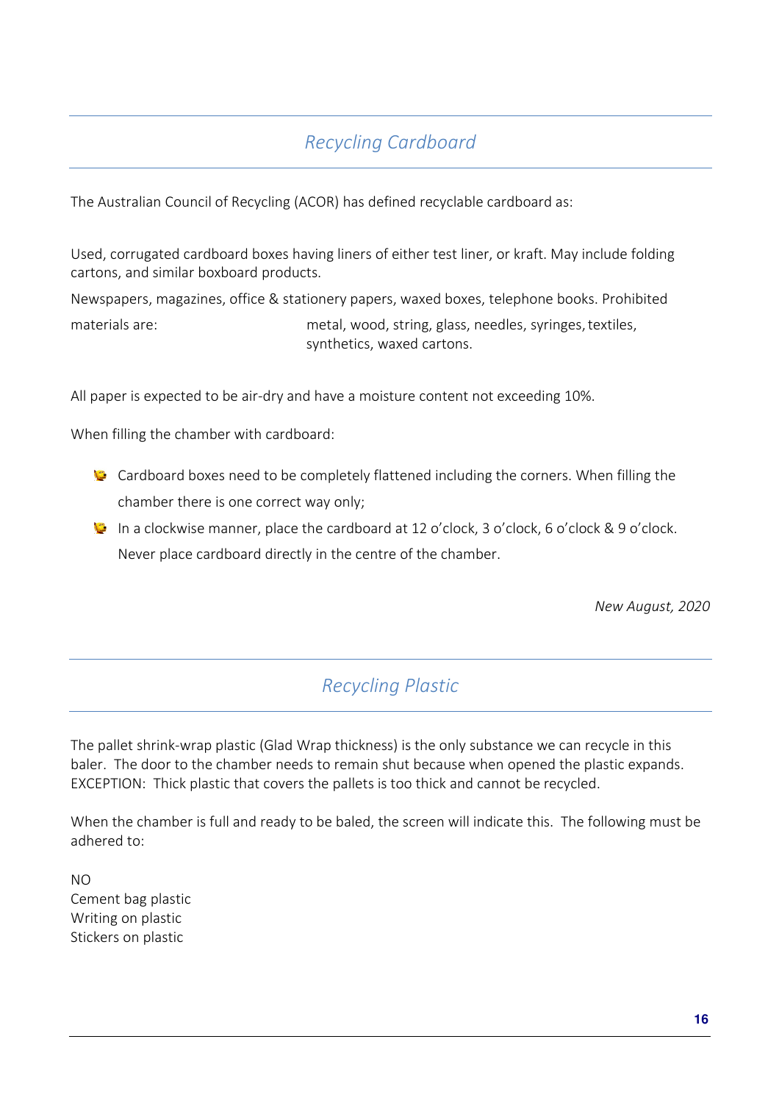# *Recycling Cardboard*

The Australian Council of Recycling (ACOR) has defined recyclable cardboard as:

Used, corrugated cardboard boxes having liners of either test liner, or kraft. May include folding cartons, and similar boxboard products.

Newspapers, magazines, office & stationery papers, waxed boxes, telephone books. Prohibited

materials are: metal, wood, string, glass, needles, syringes, textiles, synthetics, waxed cartons.

All paper is expected to be air-dry and have a moisture content not exceeding 10%.

When filling the chamber with cardboard:

- Cardboard boxes need to be completely flattened including the corners. When filling the chamber there is one correct way only;
- In a clockwise manner, place the cardboard at 12 o'clock, 3 o'clock, 6 o'clock & 9 o'clock. Never place cardboard directly in the centre of the chamber.

*New August, 2020* 

### *Recycling Plastic*

The pallet shrink-wrap plastic (Glad Wrap thickness) is the only substance we can recycle in this baler. The door to the chamber needs to remain shut because when opened the plastic expands. EXCEPTION: Thick plastic that covers the pallets is too thick and cannot be recycled.

When the chamber is full and ready to be baled, the screen will indicate this. The following must be adhered to:

NO Cement bag plastic Writing on plastic Stickers on plastic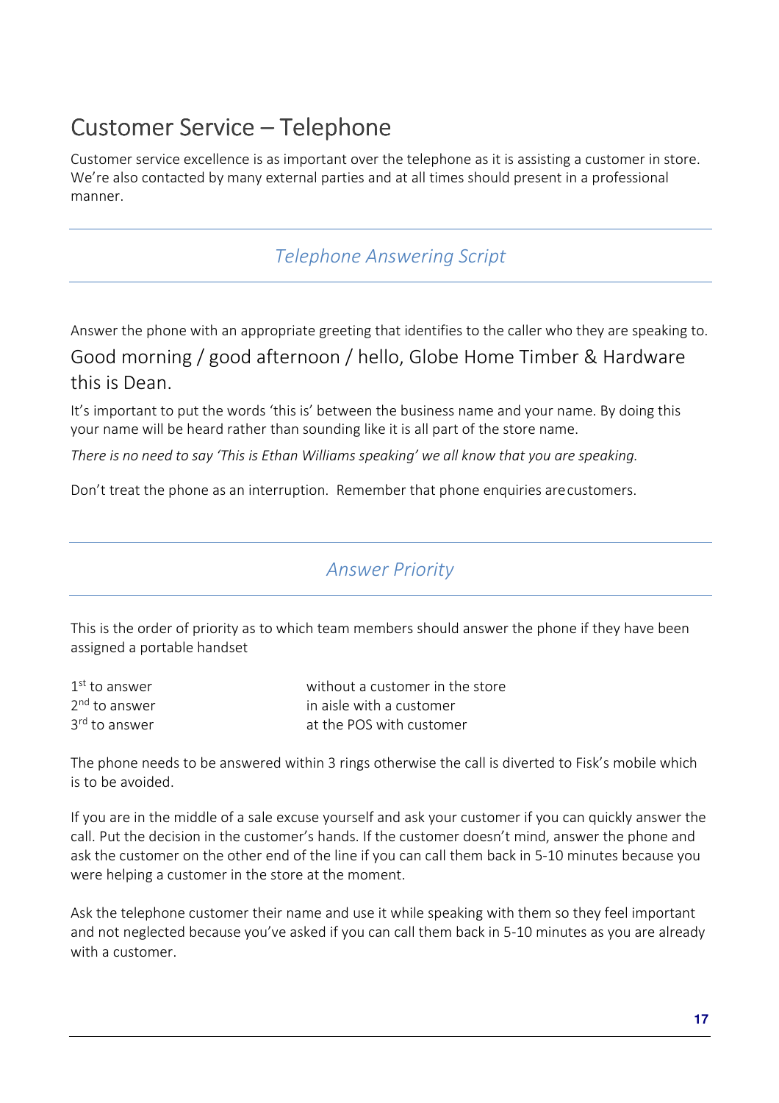# Customer Service – Telephone

Customer service excellence is as important over the telephone as it is assisting a customer in store. We're also contacted by many external parties and at all times should present in a professional manner.

*Telephone Answering Script* 

Answer the phone with an appropriate greeting that identifies to the caller who they are speaking to. Good morning / good afternoon / hello, Globe Home Timber & Hardware this is Dean.

It's important to put the words 'this is' between the business name and your name. By doing this your name will be heard rather than sounding like it is all part of the store name.

*There is no need to say 'This is Ethan Williams speaking' we all know that you are speaking.* 

Don't treat the phone as an interruption. Remember that phone enquiries are customers.

### *Answer Priority*

This is the order of priority as to which team members should answer the phone if they have been assigned a portable handset

| $1st$ to answer           | without a customer in the store |
|---------------------------|---------------------------------|
| 2 <sup>nd</sup> to answer | in aisle with a customer        |
| 3 <sup>rd</sup> to answer | at the POS with customer        |

The phone needs to be answered within 3 rings otherwise the call is diverted to Fisk's mobile which is to be avoided.

If you are in the middle of a sale excuse yourself and ask your customer if you can quickly answer the call. Put the decision in the customer's hands. If the customer doesn't mind, answer the phone and ask the customer on the other end of the line if you can call them back in 5-10 minutes because you were helping a customer in the store at the moment.

Ask the telephone customer their name and use it while speaking with them so they feel important and not neglected because you've asked if you can call them back in 5-10 minutes as you are already with a customer.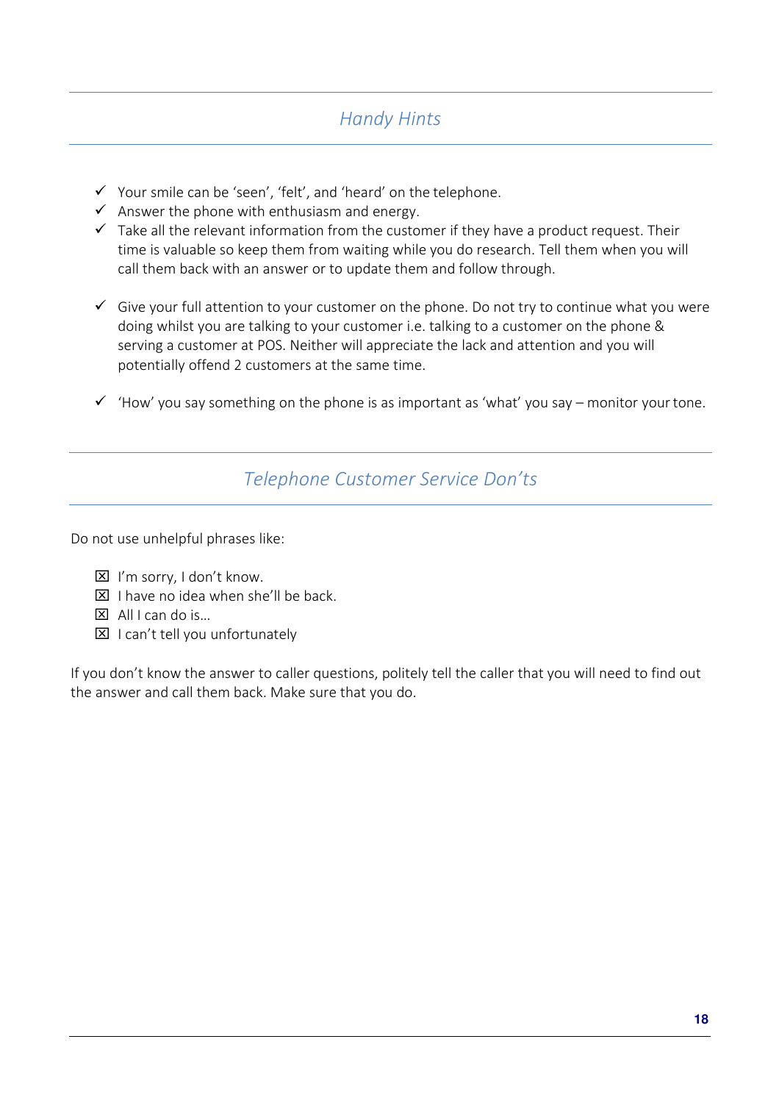### *Handy Hints*

- $\checkmark$  Your smile can be 'seen', 'felt', and 'heard' on the telephone.
- $\checkmark$  Answer the phone with enthusiasm and energy.
- $\checkmark$  Take all the relevant information from the customer if they have a product request. Their time is valuable so keep them from waiting while you do research. Tell them when you will call them back with an answer or to update them and follow through.
- $\checkmark$  Give your full attention to your customer on the phone. Do not try to continue what you were doing whilst you are talking to your customer i.e. talking to a customer on the phone & serving a customer at POS. Neither will appreciate the lack and attention and you will potentially offend 2 customers at the same time.
- $\checkmark$  'How' you say something on the phone is as important as 'what' you say monitor your tone.

### *Telephone Customer Service Don'ts*

Do not use unhelpful phrases like:

- $\boxtimes$  I'm sorry, I don't know.
- $\boxtimes$  I have no idea when she'll be back.
- $\boxtimes$  All I can do is...
- $\boxtimes$  I can't tell you unfortunately

If you don't know the answer to caller questions, politely tell the caller that you will need to find out the answer and call them back. Make sure that you do.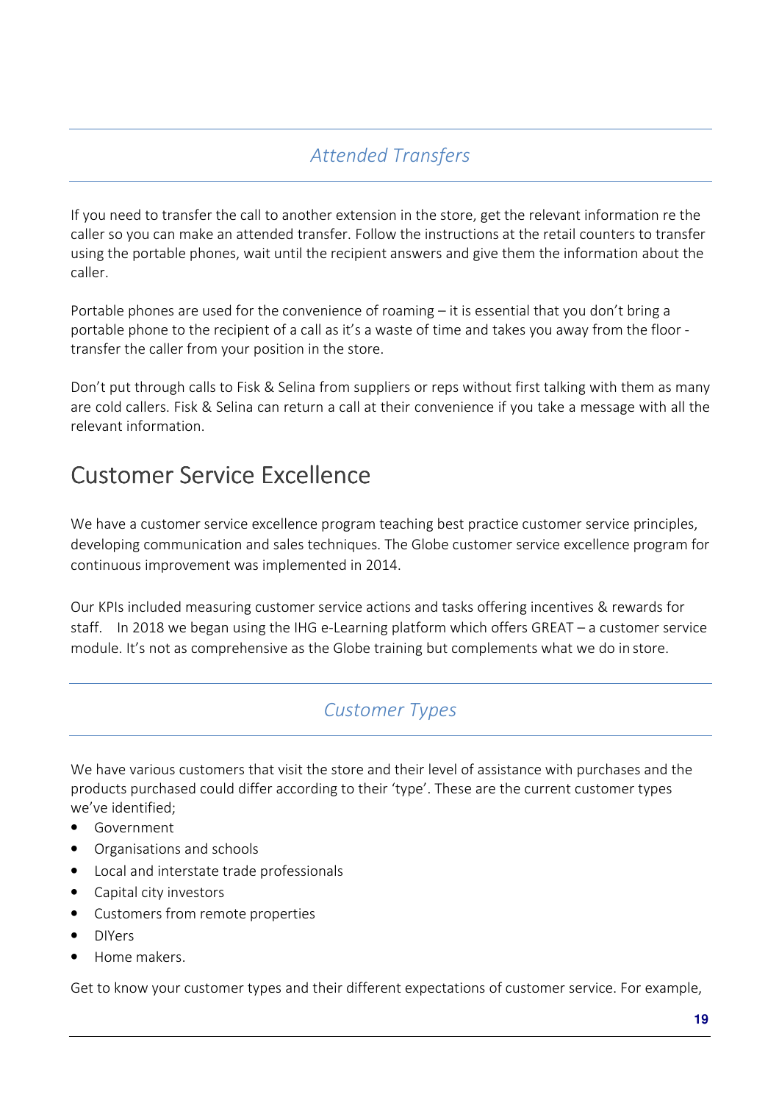# *Attended Transfers*

If you need to transfer the call to another extension in the store, get the relevant information re the caller so you can make an attended transfer. Follow the instructions at the retail counters to transfer using the portable phones, wait until the recipient answers and give them the information about the caller.

Portable phones are used for the convenience of roaming – it is essential that you don't bring a portable phone to the recipient of a call as it's a waste of time and takes you away from the floor transfer the caller from your position in the store.

Don't put through calls to Fisk & Selina from suppliers or reps without first talking with them as many are cold callers. Fisk & Selina can return a call at their convenience if you take a message with all the relevant information.

# Customer Service Excellence

We have a customer service excellence program teaching best practice customer service principles, developing communication and sales techniques. The Globe customer service excellence program for continuous improvement was implemented in 2014.

Our KPIs included measuring customer service actions and tasks offering incentives & rewards for staff. In 2018 we began using the IHG e-Learning platform which offers GREAT – a customer service module. It's not as comprehensive as the Globe training but complements what we do in store.

### *Customer Types*

We have various customers that visit the store and their level of assistance with purchases and the products purchased could differ according to their 'type'. These are the current customer types we've identified;

- Government
- Organisations and schools
- Local and interstate trade professionals
- Capital city investors
- Customers from remote properties
- DIYers
- Home makers.

Get to know your customer types and their different expectations of customer service. For example,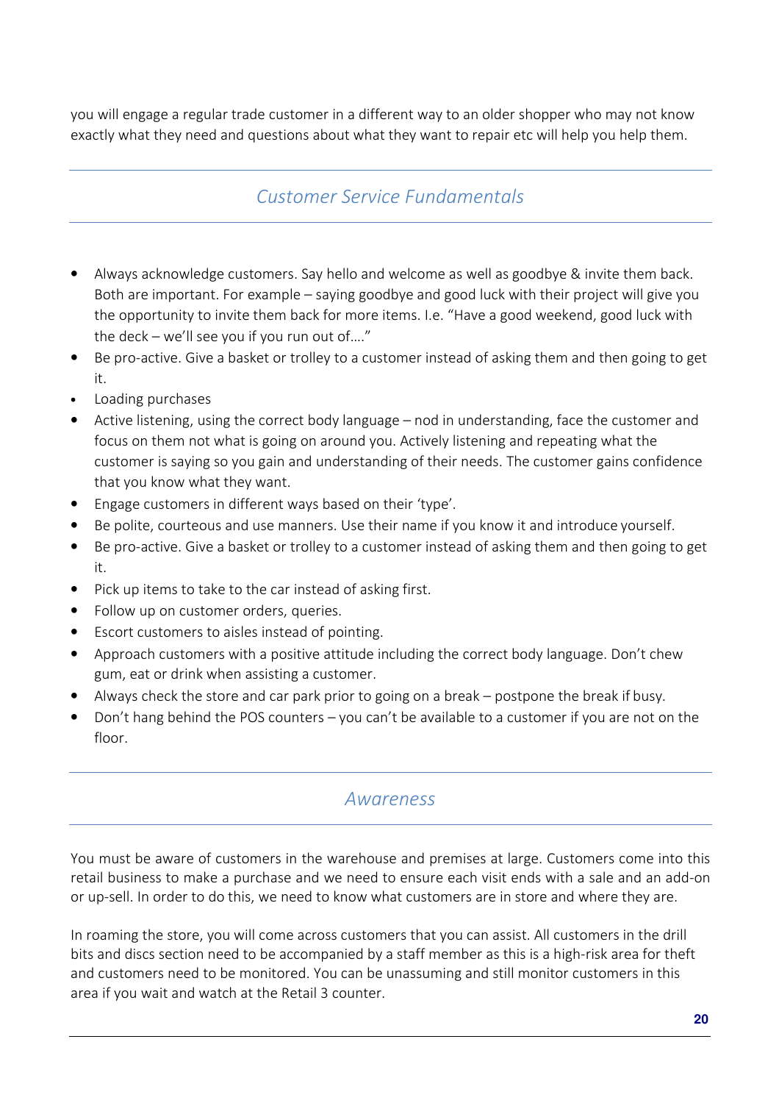you will engage a regular trade customer in a different way to an older shopper who may not know exactly what they need and questions about what they want to repair etc will help you help them.

#### *Customer Service Fundamentals*

- Always acknowledge customers. Say hello and welcome as well as goodbye & invite them back. Both are important. For example – saying goodbye and good luck with their project will give you the opportunity to invite them back for more items. I.e. "Have a good weekend, good luck with the deck – we'll see you if you run out of…."
- Be pro-active. Give a basket or trolley to a customer instead of asking them and then going to get it.
- Loading purchases
- Active listening, using the correct body language nod in understanding, face the customer and focus on them not what is going on around you. Actively listening and repeating what the customer is saying so you gain and understanding of their needs. The customer gains confidence that you know what they want.
- Engage customers in different ways based on their 'type'.
- Be polite, courteous and use manners. Use their name if you know it and introduce yourself.
- Be pro-active. Give a basket or trolley to a customer instead of asking them and then going to get it.
- Pick up items to take to the car instead of asking first.
- Follow up on customer orders, queries.
- Escort customers to aisles instead of pointing.
- Approach customers with a positive attitude including the correct body language. Don't chew gum, eat or drink when assisting a customer.
- Always check the store and car park prior to going on a break postpone the break if busy.
- Don't hang behind the POS counters you can't be available to a customer if you are not on the floor.

#### *Awareness*

You must be aware of customers in the warehouse and premises at large. Customers come into this retail business to make a purchase and we need to ensure each visit ends with a sale and an add-on or up-sell. In order to do this, we need to know what customers are in store and where they are.

In roaming the store, you will come across customers that you can assist. All customers in the drill bits and discs section need to be accompanied by a staff member as this is a high-risk area for theft and customers need to be monitored. You can be unassuming and still monitor customers in this area if you wait and watch at the Retail 3 counter.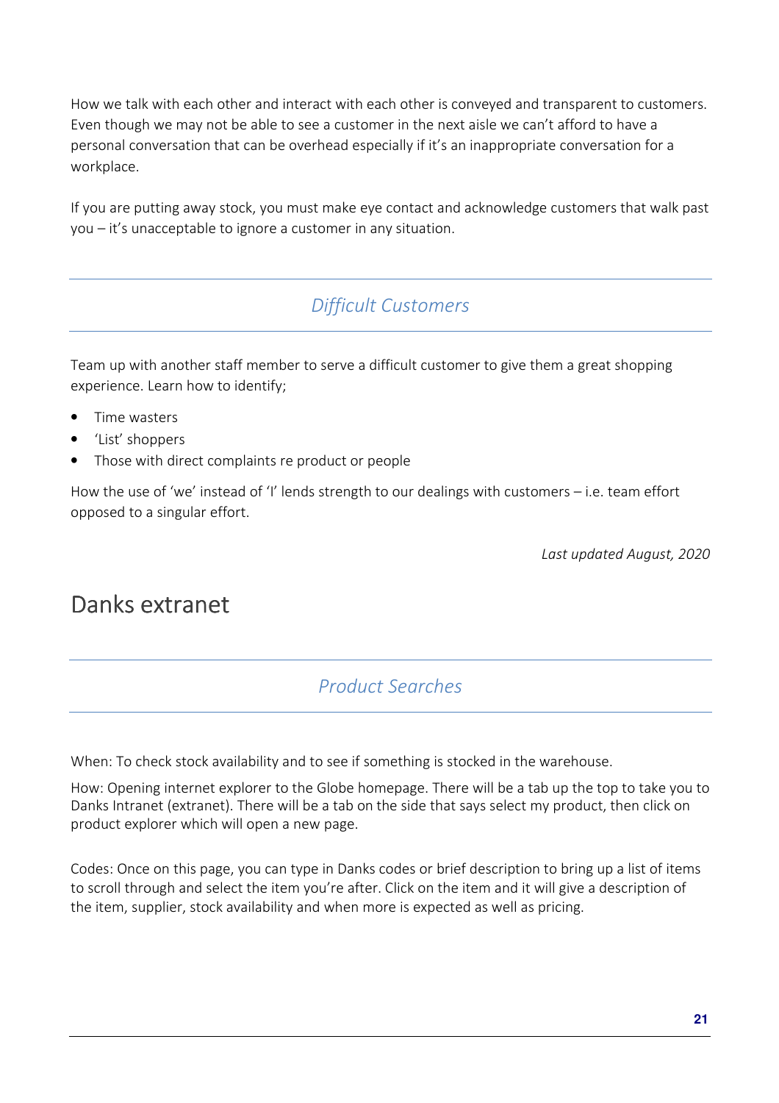How we talk with each other and interact with each other is conveyed and transparent to customers. Even though we may not be able to see a customer in the next aisle we can't afford to have a personal conversation that can be overhead especially if it's an inappropriate conversation for a workplace.

If you are putting away stock, you must make eye contact and acknowledge customers that walk past you – it's unacceptable to ignore a customer in any situation.

## *Difficult Customers*

Team up with another staff member to serve a difficult customer to give them a great shopping experience. Learn how to identify;

- Time wasters
- 'List' shoppers
- Those with direct complaints re product or people

How the use of 'we' instead of 'I' lends strength to our dealings with customers – i.e. team effort opposed to a singular effort.

*Last updated August, 2020* 

# Danks extranet

#### *Product Searches*

When: To check stock availability and to see if something is stocked in the warehouse.

How: Opening internet explorer to the Globe homepage. There will be a tab up the top to take you to Danks Intranet (extranet). There will be a tab on the side that says select my product, then click on product explorer which will open a new page.

Codes: Once on this page, you can type in Danks codes or brief description to bring up a list of items to scroll through and select the item you're after. Click on the item and it will give a description of the item, supplier, stock availability and when more is expected as well as pricing.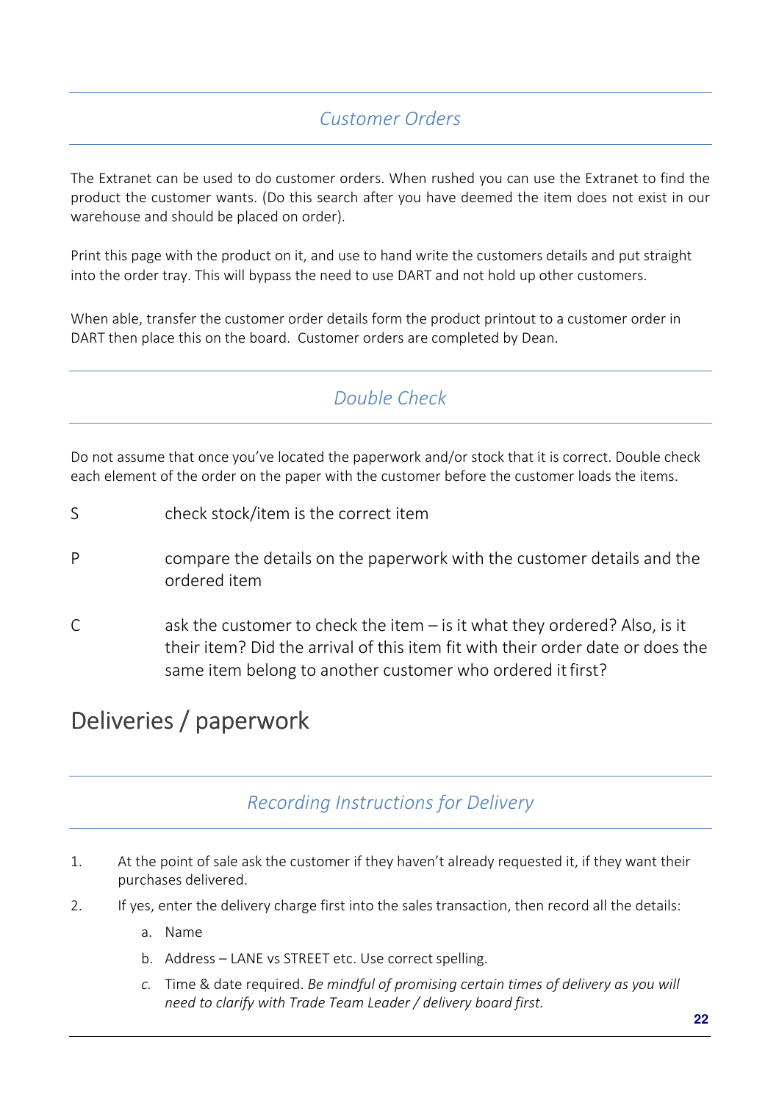## *Customer Orders*

The Extranet can be used to do customer orders. When rushed you can use the Extranet to find the product the customer wants. (Do this search after you have deemed the item does not exist in our warehouse and should be placed on order).

Print this page with the product on it, and use to hand write the customers details and put straight into the order tray. This will bypass the need to use DART and not hold up other customers.

When able, transfer the customer order details form the product printout to a customer order in DART then place this on the board. Customer orders are completed by Dean.

## *Double Check*

Do not assume that once you've located the paperwork and/or stock that it is correct. Double check each element of the order on the paper with the customer before the customer loads the items.

- S check stock/item is the correct item
- P compare the details on the paperwork with the customer details and the ordered item
- C ask the customer to check the item  $-$  is it what they ordered? Also, is it their item? Did the arrival of this item fit with their order date or does the same item belong to another customer who ordered it first?

# Deliveries / paperwork

### *Recording Instructions for Delivery*

- 1. At the point of sale ask the customer if they haven't already requested it, if they want their purchases delivered.
- 2. If yes, enter the delivery charge first into the sales transaction, then record all the details:
	- a. Name
	- b. Address LANE vs STREET etc. Use correct spelling.
	- *c.* Time & date required. *Be mindful of promising certain times of delivery as you will need to clarify with Trade Team Leader / delivery board first.*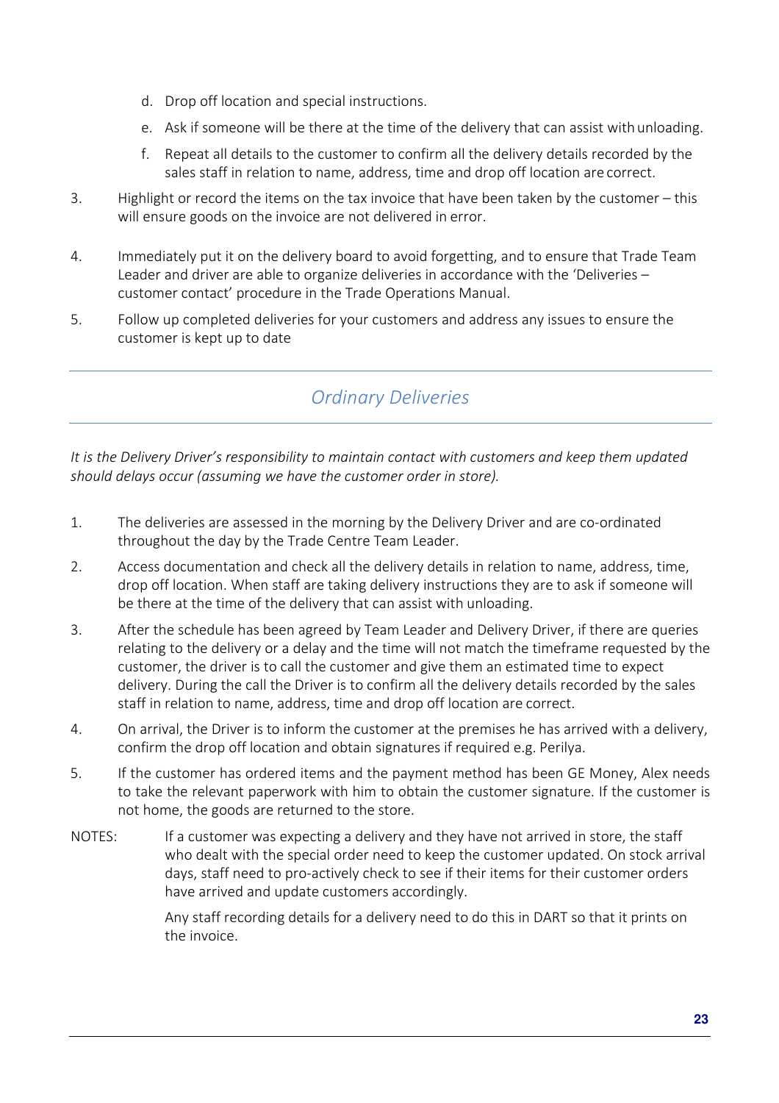- d. Drop off location and special instructions.
- e. Ask if someone will be there at the time of the delivery that can assist with unloading.
- f. Repeat all details to the customer to confirm all the delivery details recorded by the sales staff in relation to name, address, time and drop off location are correct.
- 3. Highlight or record the items on the tax invoice that have been taken by the customer this will ensure goods on the invoice are not delivered in error.
- 4. Immediately put it on the delivery board to avoid forgetting, and to ensure that Trade Team Leader and driver are able to organize deliveries in accordance with the 'Deliveries – customer contact' procedure in the Trade Operations Manual.
- 5. Follow up completed deliveries for your customers and address any issues to ensure the customer is kept up to date

## *Ordinary Deliveries*

*It is the Delivery Driver's responsibility to maintain contact with customers and keep them updated should delays occur (assuming we have the customer order in store).* 

- 1. The deliveries are assessed in the morning by the Delivery Driver and are co-ordinated throughout the day by the Trade Centre Team Leader.
- 2. Access documentation and check all the delivery details in relation to name, address, time, drop off location. When staff are taking delivery instructions they are to ask if someone will be there at the time of the delivery that can assist with unloading.
- 3. After the schedule has been agreed by Team Leader and Delivery Driver, if there are queries relating to the delivery or a delay and the time will not match the timeframe requested by the customer, the driver is to call the customer and give them an estimated time to expect delivery. During the call the Driver is to confirm all the delivery details recorded by the sales staff in relation to name, address, time and drop off location are correct.
- 4. On arrival, the Driver is to inform the customer at the premises he has arrived with a delivery, confirm the drop off location and obtain signatures if required e.g. Perilya.
- 5. If the customer has ordered items and the payment method has been GE Money, Alex needs to take the relevant paperwork with him to obtain the customer signature. If the customer is not home, the goods are returned to the store.
- NOTES: If a customer was expecting a delivery and they have not arrived in store, the staff who dealt with the special order need to keep the customer updated. On stock arrival days, staff need to pro-actively check to see if their items for their customer orders have arrived and update customers accordingly.

Any staff recording details for a delivery need to do this in DART so that it prints on the invoice.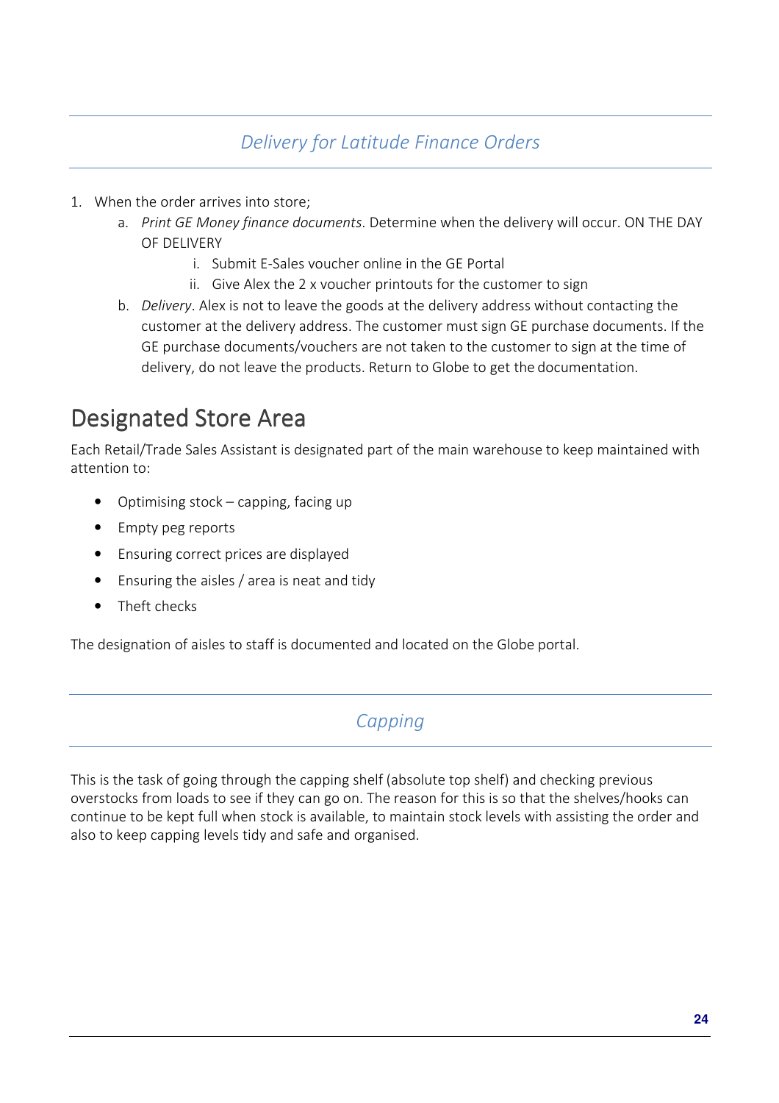### *Delivery for Latitude Finance Orders*

- 1. When the order arrives into store;
	- a. *Print GE Money finance documents*. Determine when the delivery will occur. ON THE DAY OF DELIVERY
		- i. Submit E-Sales voucher online in the GE Portal
		- ii. Give Alex the 2 x voucher printouts for the customer to sign
	- b. *Delivery*. Alex is not to leave the goods at the delivery address without contacting the customer at the delivery address. The customer must sign GE purchase documents. If the GE purchase documents/vouchers are not taken to the customer to sign at the time of delivery, do not leave the products. Return to Globe to get the documentation.

# Designated Store Area

Each Retail/Trade Sales Assistant is designated part of the main warehouse to keep maintained with attention to:

- Optimising stock capping, facing up
- Empty peg reports
- Ensuring correct prices are displayed
- Ensuring the aisles / area is neat and tidy
- Theft checks

The designation of aisles to staff is documented and located on the Globe portal.

### *Capping*

This is the task of going through the capping shelf (absolute top shelf) and checking previous overstocks from loads to see if they can go on. The reason for this is so that the shelves/hooks can continue to be kept full when stock is available, to maintain stock levels with assisting the order and also to keep capping levels tidy and safe and organised.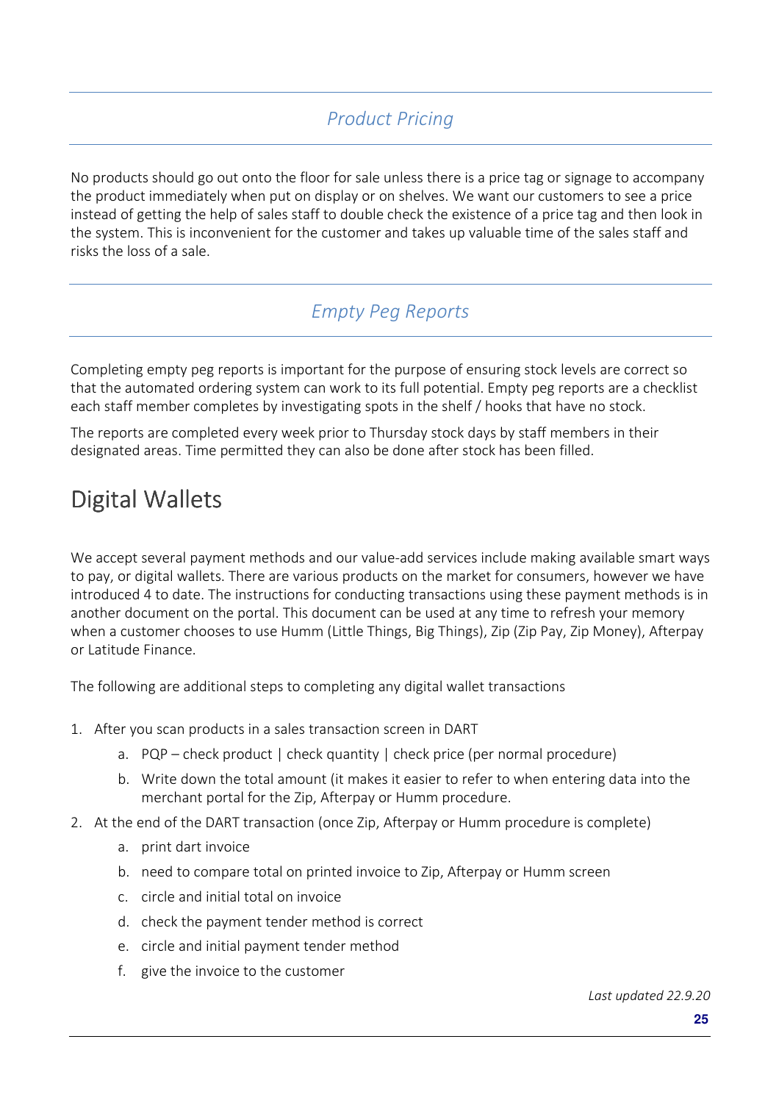# *Product Pricing*

No products should go out onto the floor for sale unless there is a price tag or signage to accompany the product immediately when put on display or on shelves. We want our customers to see a price instead of getting the help of sales staff to double check the existence of a price tag and then look in the system. This is inconvenient for the customer and takes up valuable time of the sales staff and risks the loss of a sale.

### *Empty Peg Reports*

Completing empty peg reports is important for the purpose of ensuring stock levels are correct so that the automated ordering system can work to its full potential. Empty peg reports are a checklist each staff member completes by investigating spots in the shelf / hooks that have no stock.

The reports are completed every week prior to Thursday stock days by staff members in their designated areas. Time permitted they can also be done after stock has been filled.

# Digital Wallets

We accept several payment methods and our value-add services include making available smart ways to pay, or digital wallets. There are various products on the market for consumers, however we have introduced 4 to date. The instructions for conducting transactions using these payment methods is in another document on the portal. This document can be used at any time to refresh your memory when a customer chooses to use Humm (Little Things, Big Things), Zip (Zip Pay, Zip Money), Afterpay or Latitude Finance.

The following are additional steps to completing any digital wallet transactions

- 1. After you scan products in a sales transaction screen in DART
	- a.  $PQP check product | check quantity | check price (per normal procedure)$
	- b. Write down the total amount (it makes it easier to refer to when entering data into the merchant portal for the Zip, Afterpay or Humm procedure.
- 2. At the end of the DART transaction (once Zip, Afterpay or Humm procedure is complete)
	- a. print dart invoice
	- b. need to compare total on printed invoice to Zip, Afterpay or Humm screen
	- c. circle and initial total on invoice
	- d. check the payment tender method is correct
	- e. circle and initial payment tender method
	- f. give the invoice to the customer

*Last updated 22.9.20*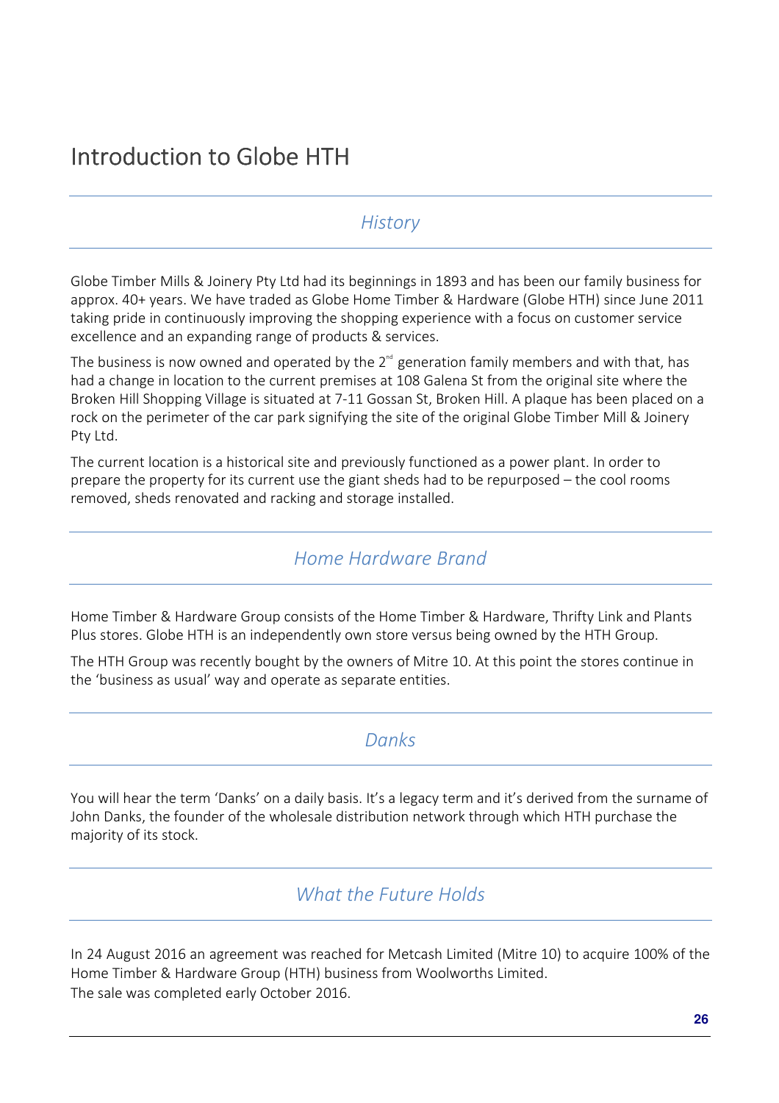#### *History*

Globe Timber Mills & Joinery Pty Ltd had its beginnings in 1893 and has been our family business for approx. 40+ years. We have traded as Globe Home Timber & Hardware (Globe HTH) since June 2011 taking pride in continuously improving the shopping experience with a focus on customer service excellence and an expanding range of products & services.

The business is now owned and operated by the 2<sup>nd</sup> generation family members and with that, has had a change in location to the current premises at 108 Galena St from the original site where the Broken Hill Shopping Village is situated at 7-11 Gossan St, Broken Hill. A plaque has been placed on a rock on the perimeter of the car park signifying the site of the original Globe Timber Mill & Joinery Pty Ltd.

The current location is a historical site and previously functioned as a power plant. In order to prepare the property for its current use the giant sheds had to be repurposed – the cool rooms removed, sheds renovated and racking and storage installed.

#### *Home Hardware Brand*

Home Timber & Hardware Group consists of the Home Timber & Hardware, Thrifty Link and Plants Plus stores. Globe HTH is an independently own store versus being owned by the HTH Group.

The HTH Group was recently bought by the owners of Mitre 10. At this point the stores continue in the 'business as usual' way and operate as separate entities.

#### *Danks*

You will hear the term 'Danks' on a daily basis. It's a legacy term and it's derived from the surname of John Danks, the founder of the wholesale distribution network through which HTH purchase the majority of its stock.

#### *What the Future Holds*

In 24 August 2016 an agreement was reached for Metcash Limited (Mitre 10) to acquire 100% of the Home Timber & Hardware Group (HTH) business from Woolworths Limited. The sale was completed early October 2016.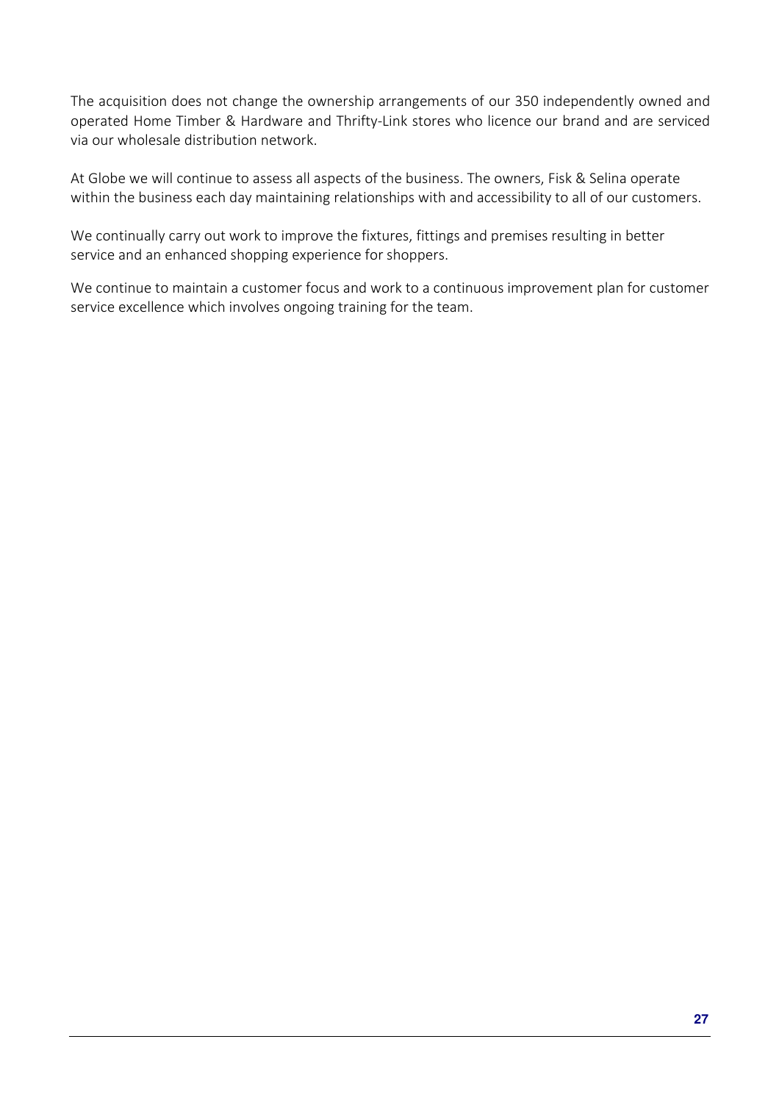The acquisition does not change the ownership arrangements of our 350 independently owned and operated Home Timber & Hardware and Thrifty-Link stores who licence our brand and are serviced via our wholesale distribution network.

At Globe we will continue to assess all aspects of the business. The owners, Fisk & Selina operate within the business each day maintaining relationships with and accessibility to all of our customers.

We continually carry out work to improve the fixtures, fittings and premises resulting in better service and an enhanced shopping experience for shoppers.

We continue to maintain a customer focus and work to a continuous improvement plan for customer service excellence which involves ongoing training for the team.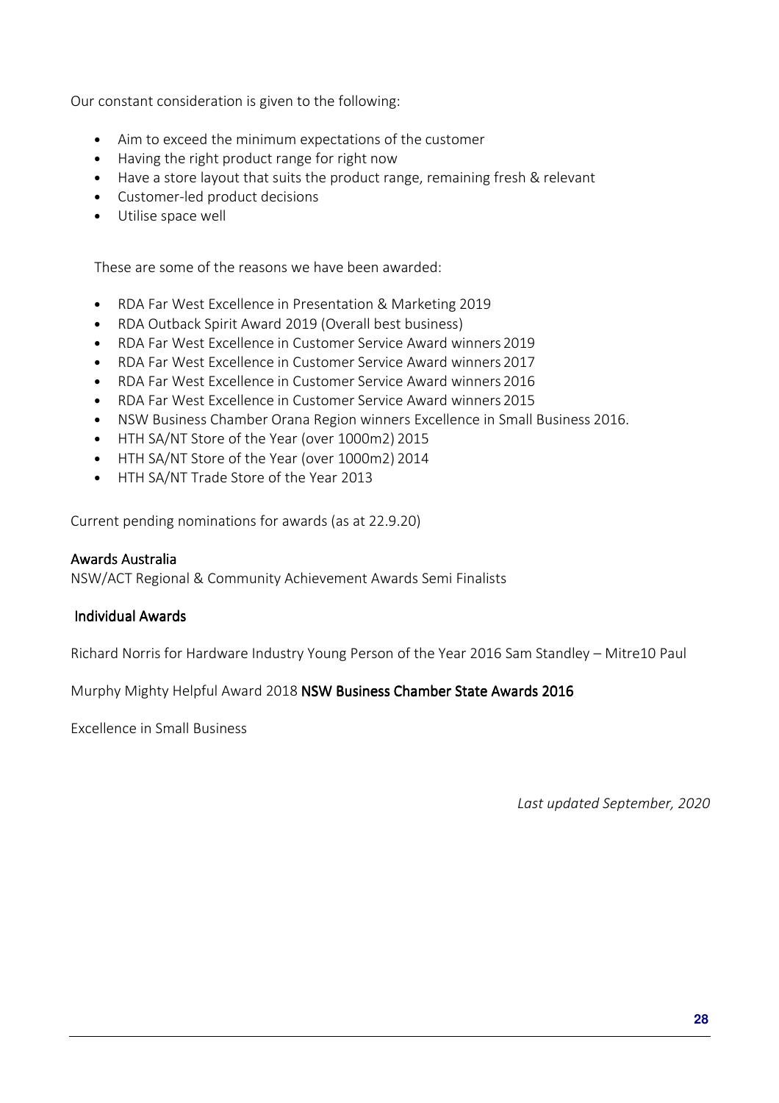Our constant consideration is given to the following:

- Aim to exceed the minimum expectations of the customer
- Having the right product range for right now
- Have a store layout that suits the product range, remaining fresh & relevant
- Customer-led product decisions
- Utilise space well

These are some of the reasons we have been awarded:

- RDA Far West Excellence in Presentation & Marketing 2019
- RDA Outback Spirit Award 2019 (Overall best business)
- RDA Far West Excellence in Customer Service Award winners 2019
- RDA Far West Excellence in Customer Service Award winners 2017
- RDA Far West Excellence in Customer Service Award winners 2016
- RDA Far West Excellence in Customer Service Award winners 2015
- NSW Business Chamber Orana Region winners Excellence in Small Business 2016.
- HTH SA/NT Store of the Year (over 1000m2) 2015
- HTH SA/NT Store of the Year (over 1000m2) 2014
- HTH SA/NT Trade Store of the Year 2013

Current pending nominations for awards (as at 22.9.20)

#### Awards Australia

NSW/ACT Regional & Community Achievement Awards Semi Finalists

#### Individual Awards Individual AwardsIndividual Awards

Richard Norris for Hardware Industry Young Person of the Year 2016 Sam Standley – Mitre10 Paul

Murphy Mighty Helpful Award 2018 NSW Business Chamber State Awards 2016

Excellence in Small Business

*Last updated September, 2020*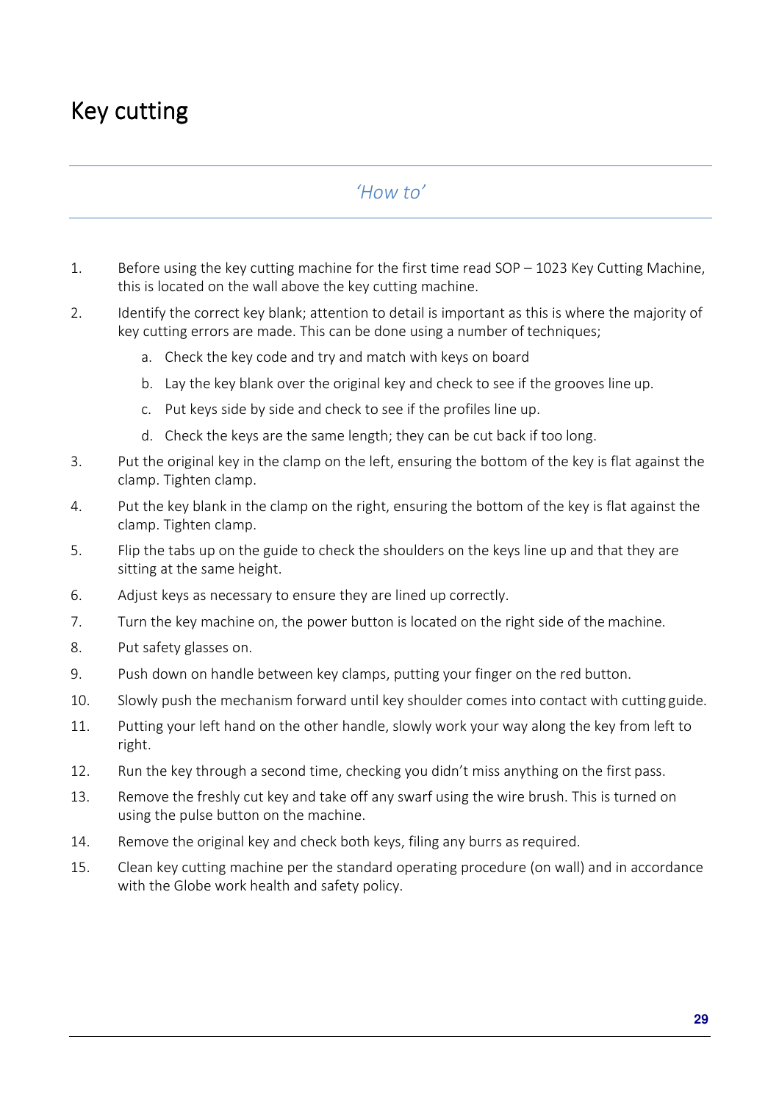# Key cutting

### *'How to'*

- 1. Before using the key cutting machine for the first time read SOP 1023 Key Cutting Machine, this is located on the wall above the key cutting machine.
- 2. Identify the correct key blank; attention to detail is important as this is where the majority of key cutting errors are made. This can be done using a number of techniques;
	- a. Check the key code and try and match with keys on board
	- b. Lay the key blank over the original key and check to see if the grooves line up.
	- c. Put keys side by side and check to see if the profiles line up.
	- d. Check the keys are the same length; they can be cut back if too long.
- 3. Put the original key in the clamp on the left, ensuring the bottom of the key is flat against the clamp. Tighten clamp.
- 4. Put the key blank in the clamp on the right, ensuring the bottom of the key is flat against the clamp. Tighten clamp.
- 5. Flip the tabs up on the guide to check the shoulders on the keys line up and that they are sitting at the same height.
- 6. Adjust keys as necessary to ensure they are lined up correctly.
- 7. Turn the key machine on, the power button is located on the right side of the machine.
- 8. Put safety glasses on.
- 9. Push down on handle between key clamps, putting your finger on the red button.
- 10. Slowly push the mechanism forward until key shoulder comes into contact with cutting guide.
- 11. Putting your left hand on the other handle, slowly work your way along the key from left to right.
- 12. Run the key through a second time, checking you didn't miss anything on the first pass.
- 13. Remove the freshly cut key and take off any swarf using the wire brush. This is turned on using the pulse button on the machine.
- 14. Remove the original key and check both keys, filing any burrs as required.
- 15. Clean key cutting machine per the standard operating procedure (on wall) and in accordance with the Globe work health and safety policy.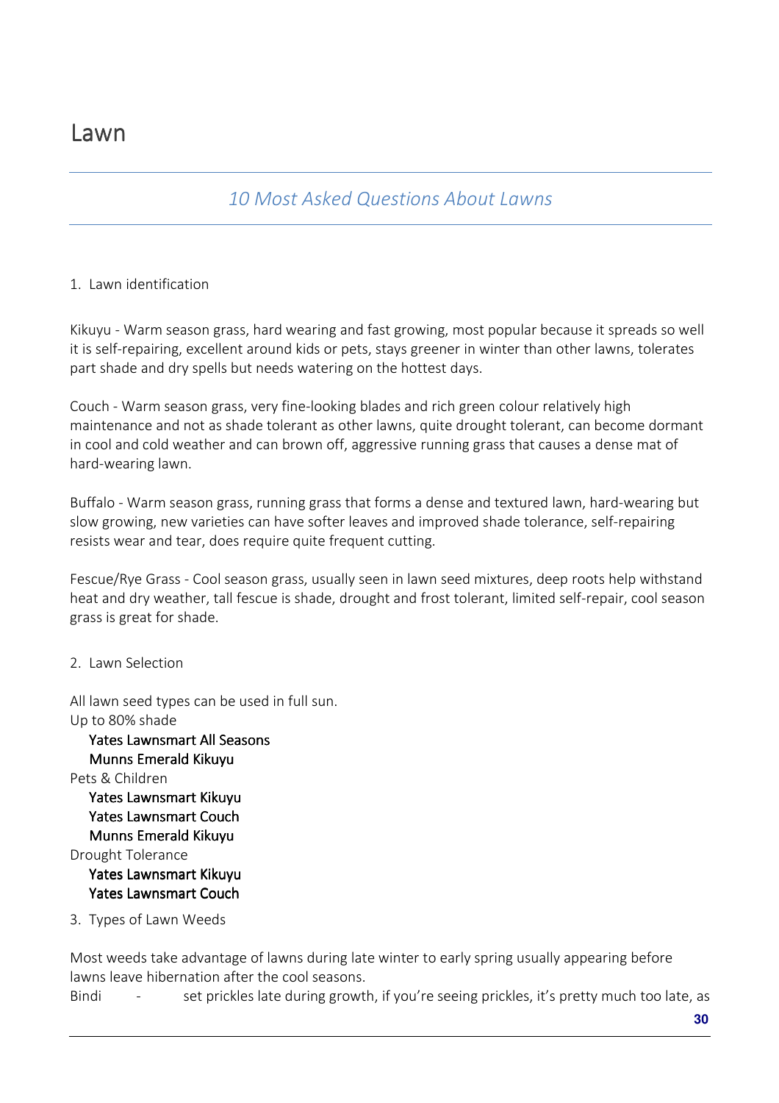### *10 Most Asked Questions About Lawns*

#### 1. Lawn identification

Kikuyu - Warm season grass, hard wearing and fast growing, most popular because it spreads so well it is self-repairing, excellent around kids or pets, stays greener in winter than other lawns, tolerates part shade and dry spells but needs watering on the hottest days.

Couch - Warm season grass, very fine-looking blades and rich green colour relatively high maintenance and not as shade tolerant as other lawns, quite drought tolerant, can become dormant in cool and cold weather and can brown off, aggressive running grass that causes a dense mat of hard-wearing lawn.

Buffalo - Warm season grass, running grass that forms a dense and textured lawn, hard-wearing but slow growing, new varieties can have softer leaves and improved shade tolerance, self-repairing resists wear and tear, does require quite frequent cutting.

Fescue/Rye Grass - Cool season grass, usually seen in lawn seed mixtures, deep roots help withstand heat and dry weather, tall fescue is shade, drought and frost tolerant, limited self-repair, cool season grass is great for shade.

2. Lawn Selection

All lawn seed types can be used in full sun. Up to 80% shade

Yates Lawnsmart All Seasons Munns Emerald Kikuvu Pets & Children Yates Lawnsmart Kikuvu Yates Lawnsmart Couch Munns Emerald Kikuyu Drought Tolerance Yates Lawnsmart Kikuvu Yates Lawnsmart Couch

3. Types of Lawn Weeds

Most weeds take advantage of lawns during late winter to early spring usually appearing before lawns leave hibernation after the cool seasons.

Bindi - set prickles late during growth, if you're seeing prickles, it's pretty much too late, as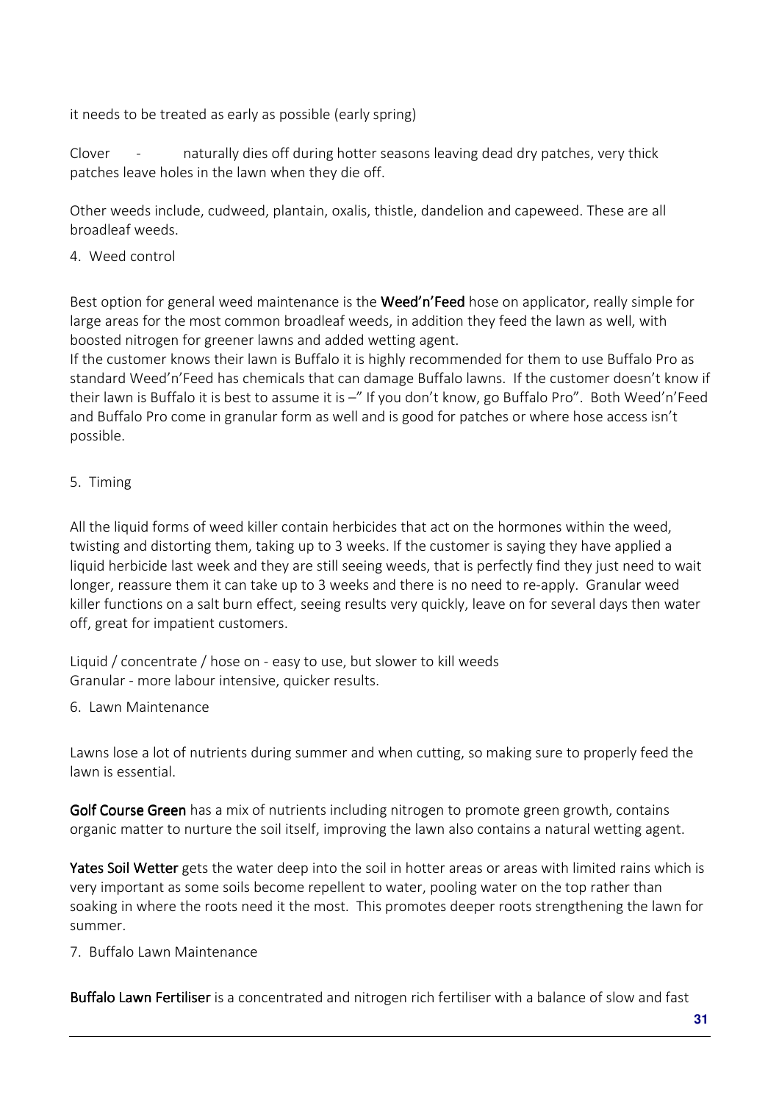it needs to be treated as early as possible (early spring)

Clover - naturally dies off during hotter seasons leaving dead dry patches, very thick patches leave holes in the lawn when they die off.

Other weeds include, cudweed, plantain, oxalis, thistle, dandelion and capeweed. These are all broadleaf weeds.

4. Weed control

Best option for general weed maintenance is the Weed'n'Feed hose on applicator, really simple for large areas for the most common broadleaf weeds, in addition they feed the lawn as well, with boosted nitrogen for greener lawns and added wetting agent.

If the customer knows their lawn is Buffalo it is highly recommended for them to use Buffalo Pro as standard Weed'n'Feed has chemicals that can damage Buffalo lawns. If the customer doesn't know if their lawn is Buffalo it is best to assume it is –" If you don't know, go Buffalo Pro". Both Weed'n'Feed and Buffalo Pro come in granular form as well and is good for patches or where hose access isn't possible.

5. Timing

All the liquid forms of weed killer contain herbicides that act on the hormones within the weed, twisting and distorting them, taking up to 3 weeks. If the customer is saying they have applied a liquid herbicide last week and they are still seeing weeds, that is perfectly find they just need to wait longer, reassure them it can take up to 3 weeks and there is no need to re-apply. Granular weed killer functions on a salt burn effect, seeing results very quickly, leave on for several days then water off, great for impatient customers.

Liquid / concentrate / hose on - easy to use, but slower to kill weeds Granular - more labour intensive, quicker results.

6. Lawn Maintenance

Lawns lose a lot of nutrients during summer and when cutting, so making sure to properly feed the lawn is essential.

Golf Course Green has a mix of nutrients including nitrogen to promote green growth, contains organic matter to nurture the soil itself, improving the lawn also contains a natural wetting agent.

Yates Soil Wetter gets the water deep into the soil in hotter areas or areas with limited rains which is very important as some soils become repellent to water, pooling water on the top rather than soaking in where the roots need it the most. This promotes deeper roots strengthening the lawn for summer.

7. Buffalo Lawn Maintenance

Buffalo Lawn Fertiliser is a concentrated and nitrogen rich fertiliser with a balance of slow and fast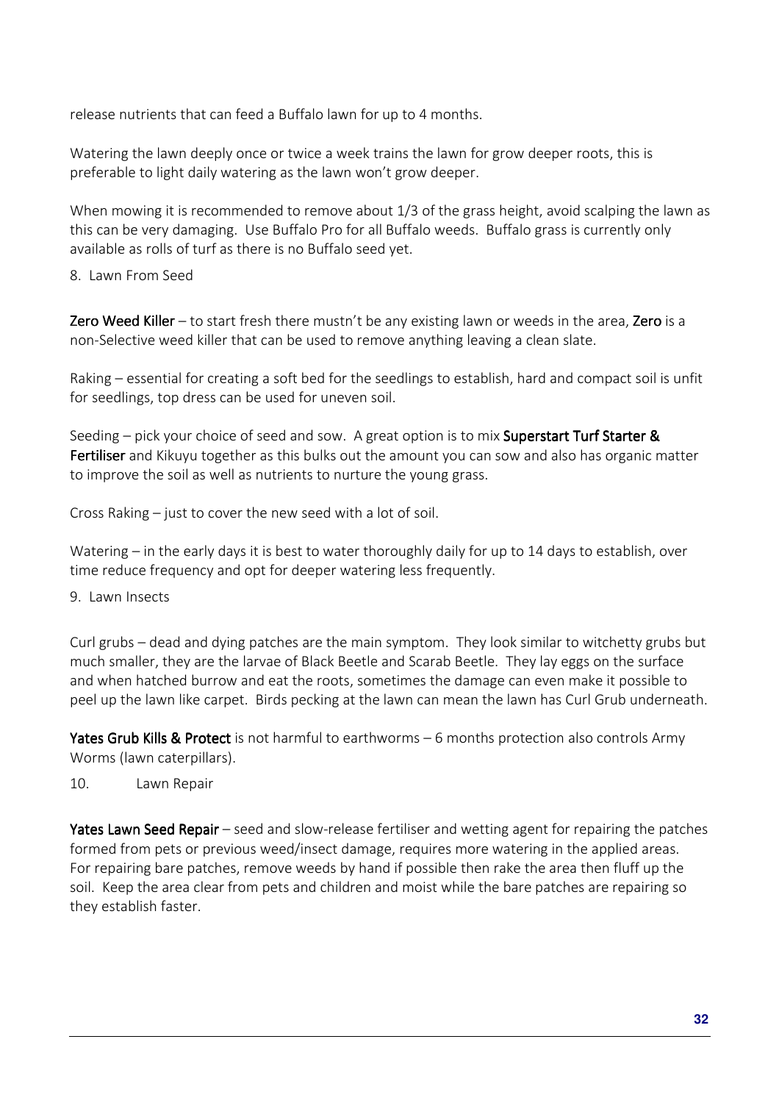release nutrients that can feed a Buffalo lawn for up to 4 months.

Watering the lawn deeply once or twice a week trains the lawn for grow deeper roots, this is preferable to light daily watering as the lawn won't grow deeper.

When mowing it is recommended to remove about 1/3 of the grass height, avoid scalping the lawn as this can be very damaging. Use Buffalo Pro for all Buffalo weeds. Buffalo grass is currently only available as rolls of turf as there is no Buffalo seed yet.

#### 8. Lawn From Seed

Zero Weed Killer – to start fresh there mustn't be any existing lawn or weeds in the area, Zero is a non-Selective weed killer that can be used to remove anything leaving a clean slate.

Raking – essential for creating a soft bed for the seedlings to establish, hard and compact soil is unfit for seedlings, top dress can be used for uneven soil.

Seeding – pick your choice of seed and sow. A great option is to mix Superstart Turf Starter  $\&$ Fertiliser and Kikuyu together as this bulks out the amount you can sow and also has organic matter to improve the soil as well as nutrients to nurture the young grass.

Cross Raking – just to cover the new seed with a lot of soil.

Watering – in the early days it is best to water thoroughly daily for up to 14 days to establish, over time reduce frequency and opt for deeper watering less frequently.

9. Lawn Insects

Curl grubs – dead and dying patches are the main symptom. They look similar to witchetty grubs but much smaller, they are the larvae of Black Beetle and Scarab Beetle. They lay eggs on the surface and when hatched burrow and eat the roots, sometimes the damage can even make it possible to peel up the lawn like carpet. Birds pecking at the lawn can mean the lawn has Curl Grub underneath.

Yates Grub Kills & Protect is not harmful to earthworms  $-6$  months protection also controls Army Worms (lawn caterpillars).

10. Lawn Repair

Yates Lawn Seed Repair – seed and slow-release fertiliser and wetting agent for repairing the patches formed from pets or previous weed/insect damage, requires more watering in the applied areas. For repairing bare patches, remove weeds by hand if possible then rake the area then fluff up the soil. Keep the area clear from pets and children and moist while the bare patches are repairing so they establish faster.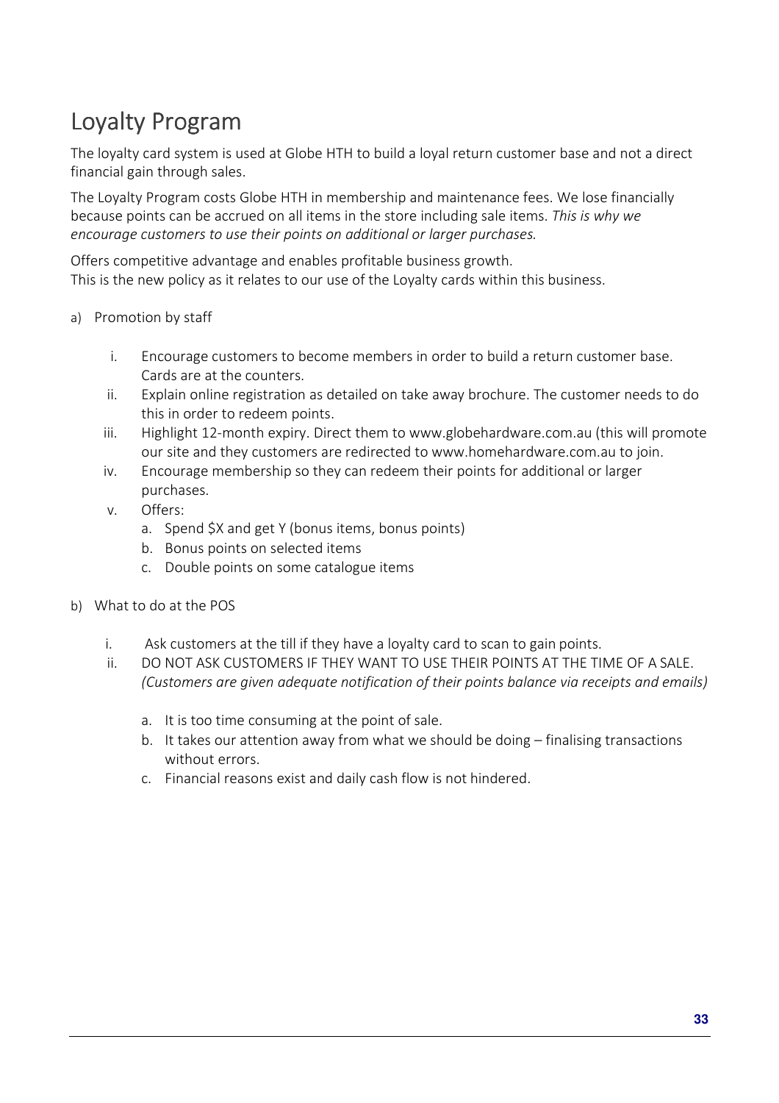# Loyalty Program

The loyalty card system is used at Globe HTH to build a loyal return customer base and not a direct financial gain through sales.

The Loyalty Program costs Globe HTH in membership and maintenance fees. We lose financially because points can be accrued on all items in the store including sale items. *This is why we encourage customers to use their points on additional or larger purchases.* 

Offers competitive advantage and enables profitable business growth. This is the new policy as it relates to our use of the Loyalty cards within this business.

- a) Promotion by staff
	- i. Encourage customers to become members in order to build a return customer base. Cards are at the counters.
	- ii. Explain online registration as detailed on take away brochure. The customer needs to do this in order to redeem points.
	- iii. Highlight 12-month expiry. Direct them to www.globehardware.com.au (this will promote our site and they customers are redirected to www.homehardware.com.au to join.
	- iv. Encourage membership so they can redeem their points for additional or larger purchases.
	- v. Offers:
		- a. Spend \$X and get Y (bonus items, bonus points)
		- b. Bonus points on selected items
		- c. Double points on some catalogue items
- b) What to do at the POS
	- i. Ask customers at the till if they have a loyalty card to scan to gain points.
	- ii. DO NOT ASK CUSTOMERS IF THEY WANT TO USE THEIR POINTS AT THE TIME OF A SALE. *(Customers are given adequate notification of their points balance via receipts and emails)* 
		- a. It is too time consuming at the point of sale.
		- b. It takes our attention away from what we should be doing finalising transactions without errors.
		- c. Financial reasons exist and daily cash flow is not hindered.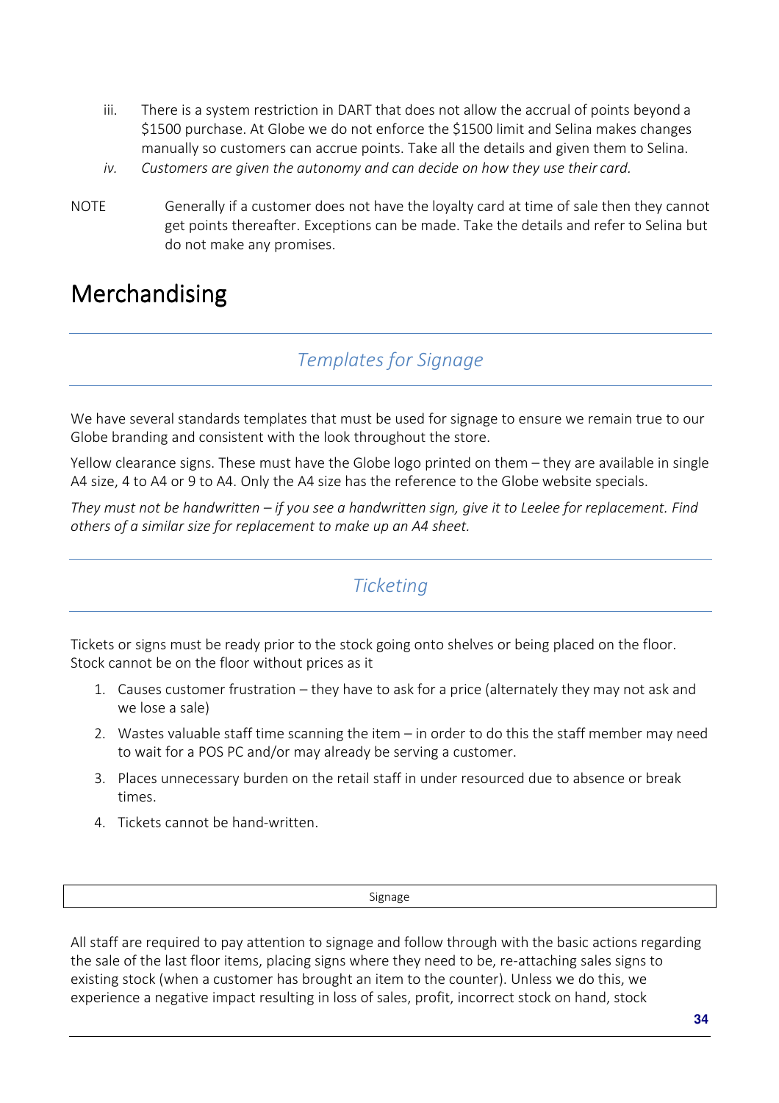- iii. There is a system restriction in DART that does not allow the accrual of points beyond a \$1500 purchase. At Globe we do not enforce the \$1500 limit and Selina makes changes manually so customers can accrue points. Take all the details and given them to Selina.
- *iv. Customers are given the autonomy and can decide on how they use their card.*
- NOTE Generally if a customer does not have the loyalty card at time of sale then they cannot get points thereafter. Exceptions can be made. Take the details and refer to Selina but do not make any promises.

# **Merchandising**

### *Templates for Signage*

We have several standards templates that must be used for signage to ensure we remain true to our Globe branding and consistent with the look throughout the store.

Yellow clearance signs. These must have the Globe logo printed on them – they are available in single A4 size, 4 to A4 or 9 to A4. Only the A4 size has the reference to the Globe website specials.

*They must not be handwritten – if you see a handwritten sign, give it to Leelee for replacement. Find others of a similar size for replacement to make up an A4 sheet.* 

### *Ticketing*

Tickets or signs must be ready prior to the stock going onto shelves or being placed on the floor. Stock cannot be on the floor without prices as it

- 1. Causes customer frustration they have to ask for a price (alternately they may not ask and we lose a sale)
- 2. Wastes valuable staff time scanning the item in order to do this the staff member may need to wait for a POS PC and/or may already be serving a customer.
- 3. Places unnecessary burden on the retail staff in under resourced due to absence or break times.
- 4. Tickets cannot be hand-written.

Signage

All staff are required to pay attention to signage and follow through with the basic actions regarding the sale of the last floor items, placing signs where they need to be, re-attaching sales signs to existing stock (when a customer has brought an item to the counter). Unless we do this, we experience a negative impact resulting in loss of sales, profit, incorrect stock on hand, stock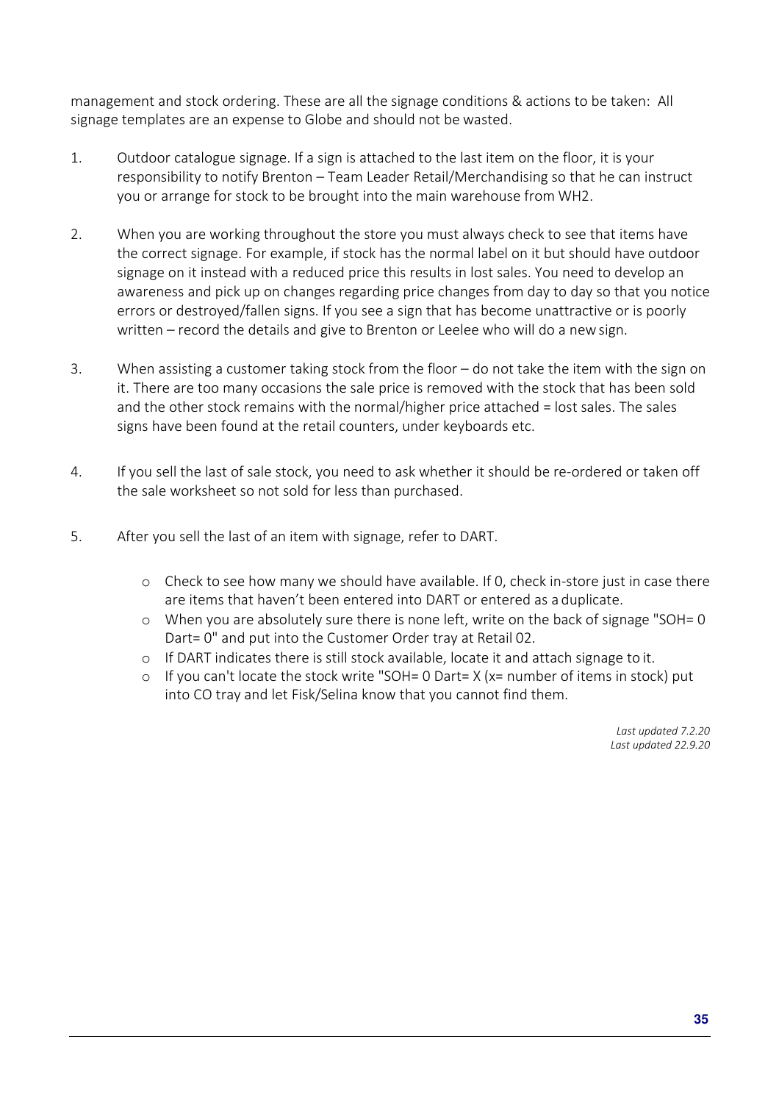management and stock ordering. These are all the signage conditions & actions to be taken: All signage templates are an expense to Globe and should not be wasted.

- 1. Outdoor catalogue signage. If a sign is attached to the last item on the floor, it is your responsibility to notify Brenton – Team Leader Retail/Merchandising so that he can instruct you or arrange for stock to be brought into the main warehouse from WH2.
- 2. When you are working throughout the store you must always check to see that items have the correct signage. For example, if stock has the normal label on it but should have outdoor signage on it instead with a reduced price this results in lost sales. You need to develop an awareness and pick up on changes regarding price changes from day to day so that you notice errors or destroyed/fallen signs. If you see a sign that has become unattractive or is poorly written – record the details and give to Brenton or Leelee who will do a new sign.
- 3. When assisting a customer taking stock from the floor do not take the item with the sign on it. There are too many occasions the sale price is removed with the stock that has been sold and the other stock remains with the normal/higher price attached = lost sales. The sales signs have been found at the retail counters, under keyboards etc.
- 4. If you sell the last of sale stock, you need to ask whether it should be re-ordered or taken off the sale worksheet so not sold for less than purchased.
- 5. After you sell the last of an item with signage, refer to DART.
	- o Check to see how many we should have available. If 0, check in-store just in case there are items that haven't been entered into DART or entered as a duplicate.
	- o When you are absolutely sure there is none left, write on the back of signage "SOH= 0 Dart= 0" and put into the Customer Order tray at Retail 02.
	- o If DART indicates there is still stock available, locate it and attach signage to it.
	- o If you can't locate the stock write "SOH= 0 Dart= X (x= number of items in stock) put into CO tray and let Fisk/Selina know that you cannot find them.

*Last updated 7.2.20 Last updated 22.9.20*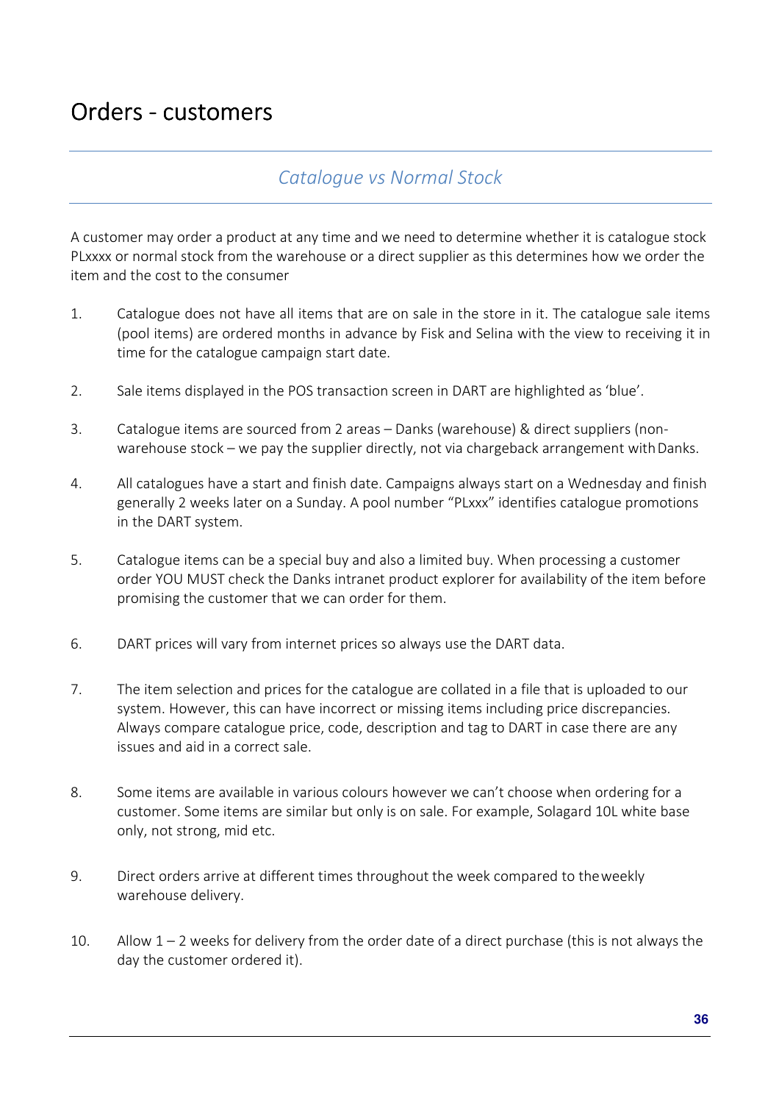# Orders - customers

### *Catalogue vs Normal Stock*

A customer may order a product at any time and we need to determine whether it is catalogue stock PLxxxx or normal stock from the warehouse or a direct supplier as this determines how we order the item and the cost to the consumer

- 1. Catalogue does not have all items that are on sale in the store in it. The catalogue sale items (pool items) are ordered months in advance by Fisk and Selina with the view to receiving it in time for the catalogue campaign start date.
- 2. Sale items displayed in the POS transaction screen in DART are highlighted as 'blue'.
- 3. Catalogue items are sourced from 2 areas Danks (warehouse) & direct suppliers (nonwarehouse stock – we pay the supplier directly, not via chargeback arrangement with Danks.
- 4. All catalogues have a start and finish date. Campaigns always start on a Wednesday and finish generally 2 weeks later on a Sunday. A pool number "PLxxx" identifies catalogue promotions in the DART system.
- 5. Catalogue items can be a special buy and also a limited buy. When processing a customer order YOU MUST check the Danks intranet product explorer for availability of the item before promising the customer that we can order for them.
- 6. DART prices will vary from internet prices so always use the DART data.
- 7. The item selection and prices for the catalogue are collated in a file that is uploaded to our system. However, this can have incorrect or missing items including price discrepancies. Always compare catalogue price, code, description and tag to DART in case there are any issues and aid in a correct sale.
- 8. Some items are available in various colours however we can't choose when ordering for a customer. Some items are similar but only is on sale. For example, Solagard 10L white base only, not strong, mid etc.
- 9. Direct orders arrive at different times throughout the week compared to the weekly warehouse delivery.
- 10. Allow  $1 2$  weeks for delivery from the order date of a direct purchase (this is not always the day the customer ordered it).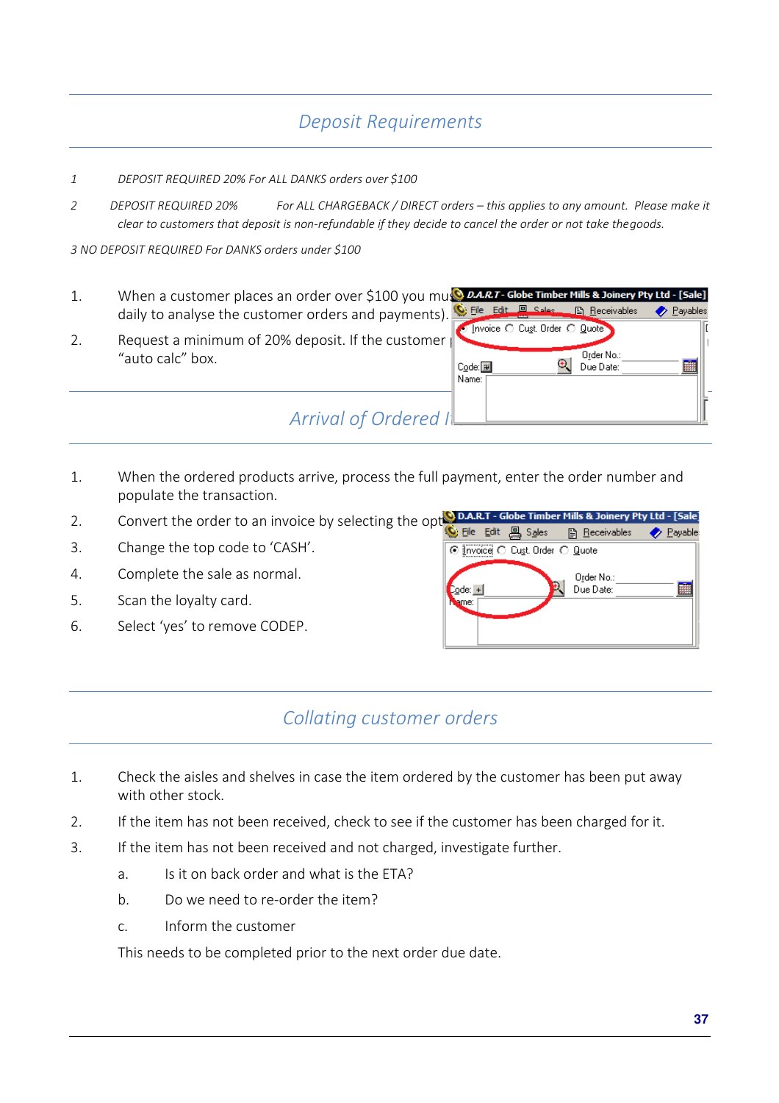## *Deposit Requirements*

#### *1 DEPOSIT REQUIRED 20% For ALL DANKS orders over \$100*

*2 DEPOSIT REQUIRED 20% For ALL CHARGEBACK / DIRECT orders – this applies to any amount. Please make it clear to customers that deposit is non-refundable if they decide to cancel the order or not take the goods.* 

*3 NO DEPOSIT REQUIRED For DANKS orders under \$100* 

- 1. When a customer places an order over \$100 you must daily to analyse the customer orders and payments).
- 2. Request a minimum of 20% deposit. If the customer "auto calc" box.

| Payables |
|----------|
|          |
|          |
|          |
|          |
|          |
|          |
|          |
|          |

1. When the ordered products arrive, process the full payment, enter the order number and populate the transaction.

*Arrival of Ordered* 

- 2. Convert the order to an invoice by selecting the opt**ion.A.R.T Globe Timber Mills & Joinery Pty Ltd [Sale**<br>Beceivables 
<br> **Payable:**
- 3. Change the top code to 'CASH'.
- 4. Complete the sale as normal.
- 5. Scan the loyalty card.
- 6. Select 'yes' to remove CODEP.



### *Collating customer orders*

- 1. Check the aisles and shelves in case the item ordered by the customer has been put away with other stock.
- 2. If the item has not been received, check to see if the customer has been charged for it.
- 3. If the item has not been received and not charged, investigate further.
	- a. Is it on back order and what is the ETA?
	- b. Do we need to re-order the item?
	- c. Inform the customer

This needs to be completed prior to the next order due date.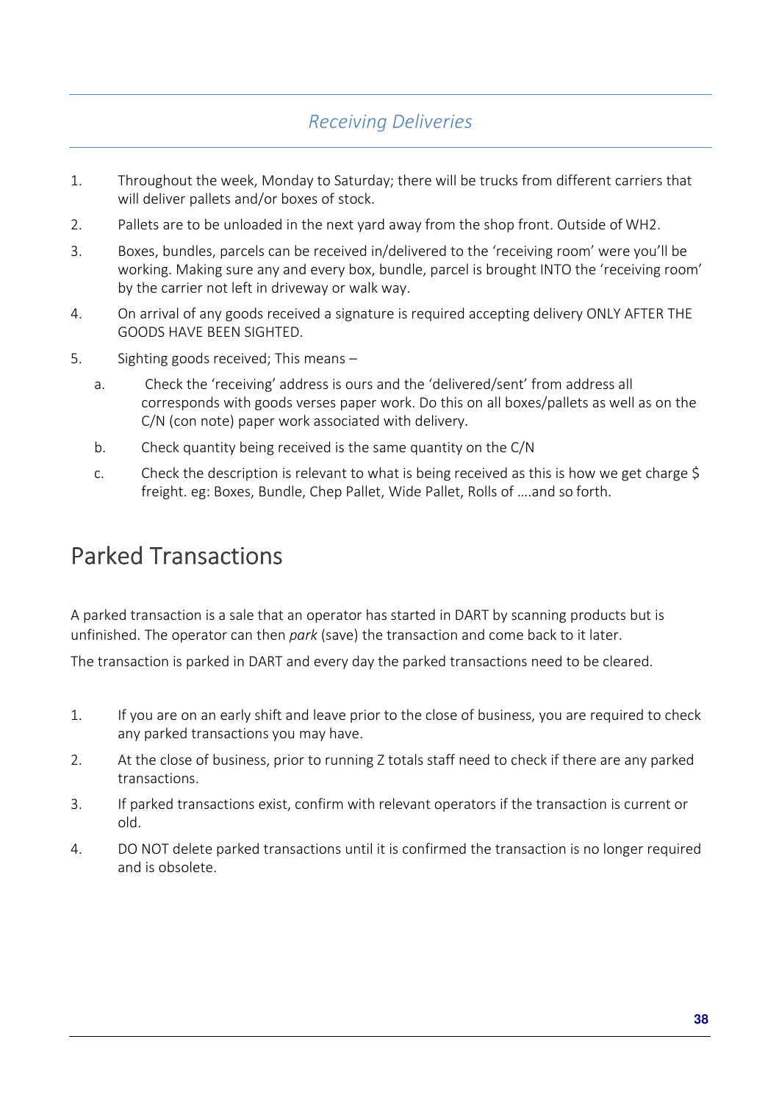## *Receiving Deliveries*

- 1. Throughout the week, Monday to Saturday; there will be trucks from different carriers that will deliver pallets and/or boxes of stock.
- 2. Pallets are to be unloaded in the next yard away from the shop front. Outside of WH2.
- 3. Boxes, bundles, parcels can be received in/delivered to the 'receiving room' were you'll be working. Making sure any and every box, bundle, parcel is brought INTO the 'receiving room' by the carrier not left in driveway or walk way.
- 4. On arrival of any goods received a signature is required accepting delivery ONLY AFTER THE GOODS HAVE BEEN SIGHTED.
- 5. Sighting goods received; This means
	- a. Check the 'receiving' address is ours and the 'delivered/sent' from address all corresponds with goods verses paper work. Do this on all boxes/pallets as well as on the C/N (con note) paper work associated with delivery.
	- b. Check quantity being received is the same quantity on the C/N
	- c. Check the description is relevant to what is being received as this is how we get charge \$ freight. eg: Boxes, Bundle, Chep Pallet, Wide Pallet, Rolls of ….and so forth.

# Parked Transactions

A parked transaction is a sale that an operator has started in DART by scanning products but is unfinished. The operator can then *park* (save) the transaction and come back to it later.

The transaction is parked in DART and every day the parked transactions need to be cleared.

- 1. If you are on an early shift and leave prior to the close of business, you are required to check any parked transactions you may have.
- 2. At the close of business, prior to running Z totals staff need to check if there are any parked transactions.
- 3. If parked transactions exist, confirm with relevant operators if the transaction is current or old.
- 4. DO NOT delete parked transactions until it is confirmed the transaction is no longer required and is obsolete.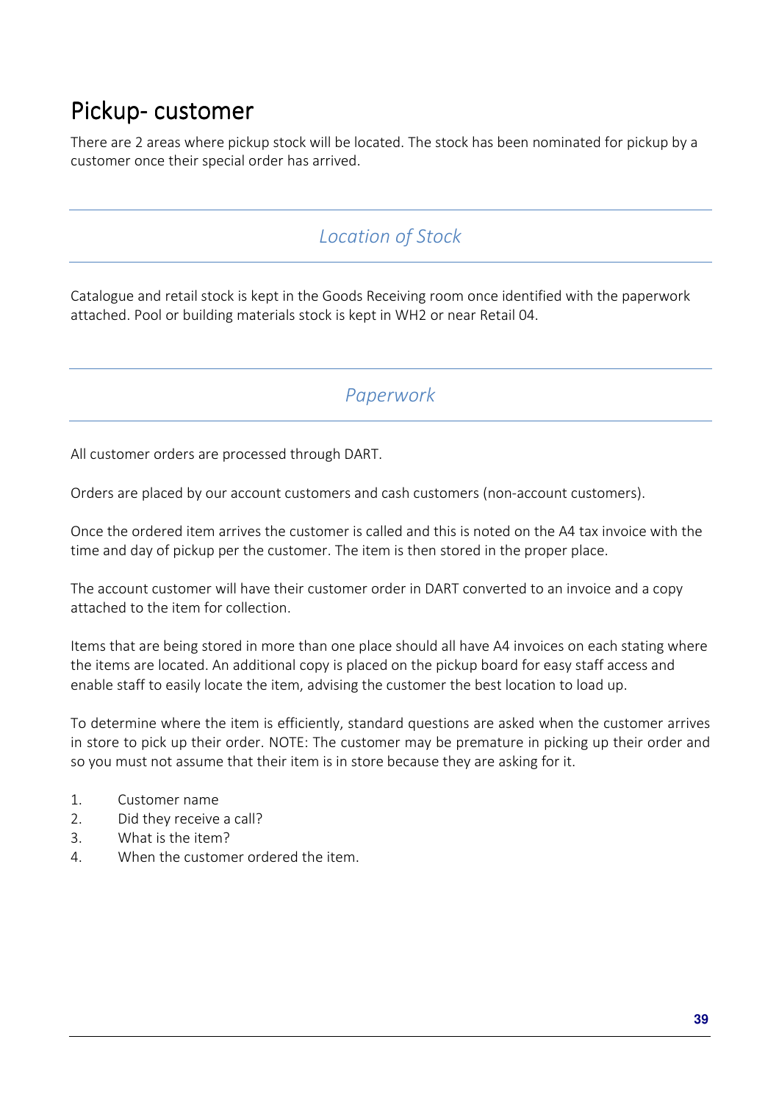# Pickup-customer

There are 2 areas where pickup stock will be located. The stock has been nominated for pickup by a customer once their special order has arrived.

## *Location of Stock*

Catalogue and retail stock is kept in the Goods Receiving room once identified with the paperwork attached. Pool or building materials stock is kept in WH2 or near Retail 04.

*Paperwork* 

All customer orders are processed through DART.

Orders are placed by our account customers and cash customers (non-account customers).

Once the ordered item arrives the customer is called and this is noted on the A4 tax invoice with the time and day of pickup per the customer. The item is then stored in the proper place.

The account customer will have their customer order in DART converted to an invoice and a copy attached to the item for collection.

Items that are being stored in more than one place should all have A4 invoices on each stating where the items are located. An additional copy is placed on the pickup board for easy staff access and enable staff to easily locate the item, advising the customer the best location to load up.

To determine where the item is efficiently, standard questions are asked when the customer arrives in store to pick up their order. NOTE: The customer may be premature in picking up their order and so you must not assume that their item is in store because they are asking for it.

- 1. Customer name
- 2. Did they receive a call?
- 3. What is the item?
- 4. When the customer ordered the item.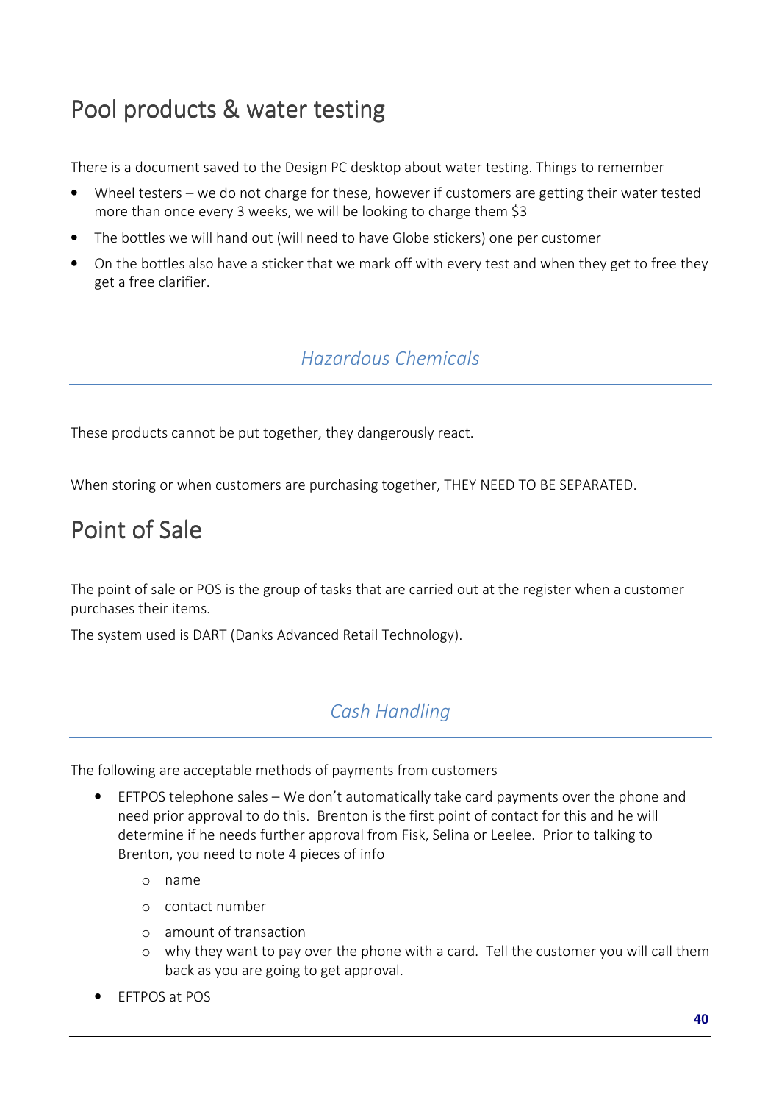# Pool products & water testing

There is a document saved to the Design PC desktop about water testing. Things to remember

- Wheel testers we do not charge for these, however if customers are getting their water tested more than once every 3 weeks, we will be looking to charge them \$3
- The bottles we will hand out (will need to have Globe stickers) one per customer
- On the bottles also have a sticker that we mark off with every test and when they get to free they get a free clarifier.

## *Hazardous Chemicals*

These products cannot be put together, they dangerously react.

When storing or when customers are purchasing together, THEY NEED TO BE SEPARATED.

# Point of Sale

The point of sale or POS is the group of tasks that are carried out at the register when a customer purchases their items.

The system used is DART (Danks Advanced Retail Technology).

## *Cash Handling*

The following are acceptable methods of payments from customers

- EFTPOS telephone sales We don't automatically take card payments over the phone and need prior approval to do this. Brenton is the first point of contact for this and he will determine if he needs further approval from Fisk, Selina or Leelee. Prior to talking to Brenton, you need to note 4 pieces of info
	- o name
	- o contact number
	- o amount of transaction
	- o why they want to pay over the phone with a card. Tell the customer you will call them back as you are going to get approval.
- EFTPOS at POS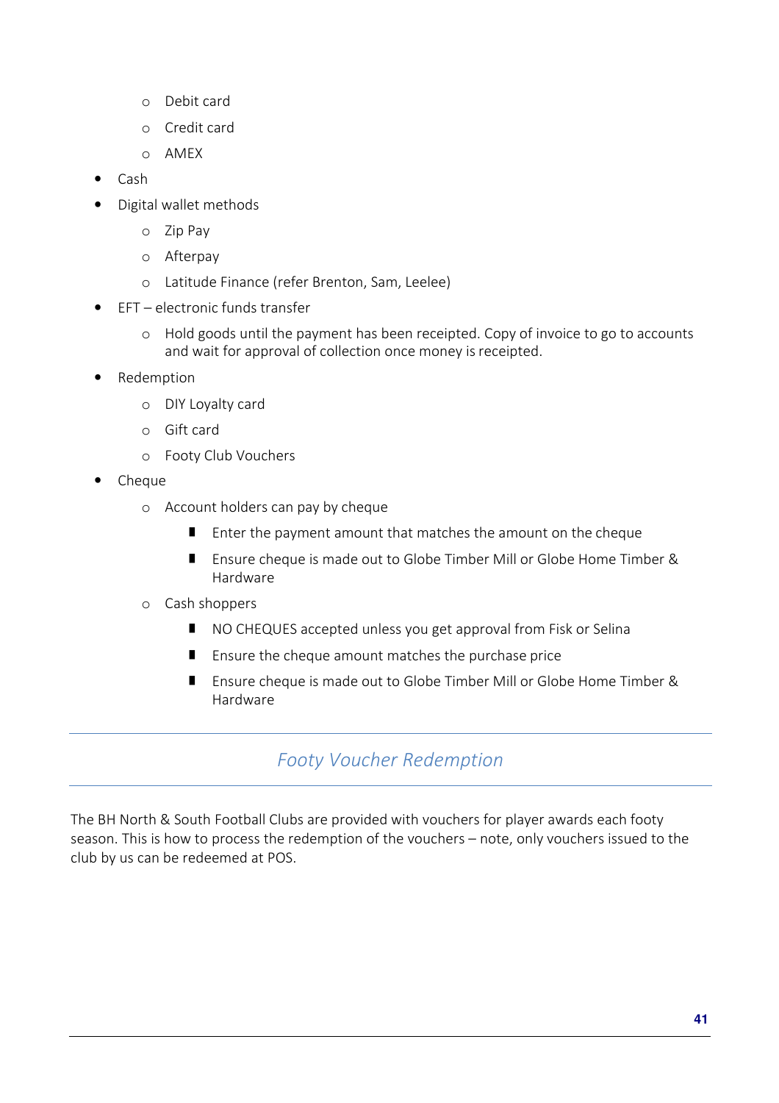- o Debit card
- o Credit card
- o AMEX
- Cash
- Digital wallet methods
	- o Zip Pay
	- o Afterpay
	- o Latitude Finance (refer Brenton, Sam, Leelee)
- EFT electronic funds transfer
	- o Hold goods until the payment has been receipted. Copy of invoice to go to accounts and wait for approval of collection once money is receipted.
- Redemption
	- o DIY Loyalty card
	- o Gift card
	- o Footy Club Vouchers
- Cheque
	- o Account holders can pay by cheque
		- **E** Enter the payment amount that matches the amount on the cheque
		- Ensure cheque is made out to Globe Timber Mill or Globe Home Timber & Hardware
	- o Cash shoppers
		- NO CHEQUES accepted unless you get approval from Fisk or Selina
		- **Ensure the cheque amount matches the purchase price**
		- Ensure cheque is made out to Globe Timber Mill or Globe Home Timber & Hardware

## *Footy Voucher Redemption*

The BH North & South Football Clubs are provided with vouchers for player awards each footy season. This is how to process the redemption of the vouchers – note, only vouchers issued to the club by us can be redeemed at POS.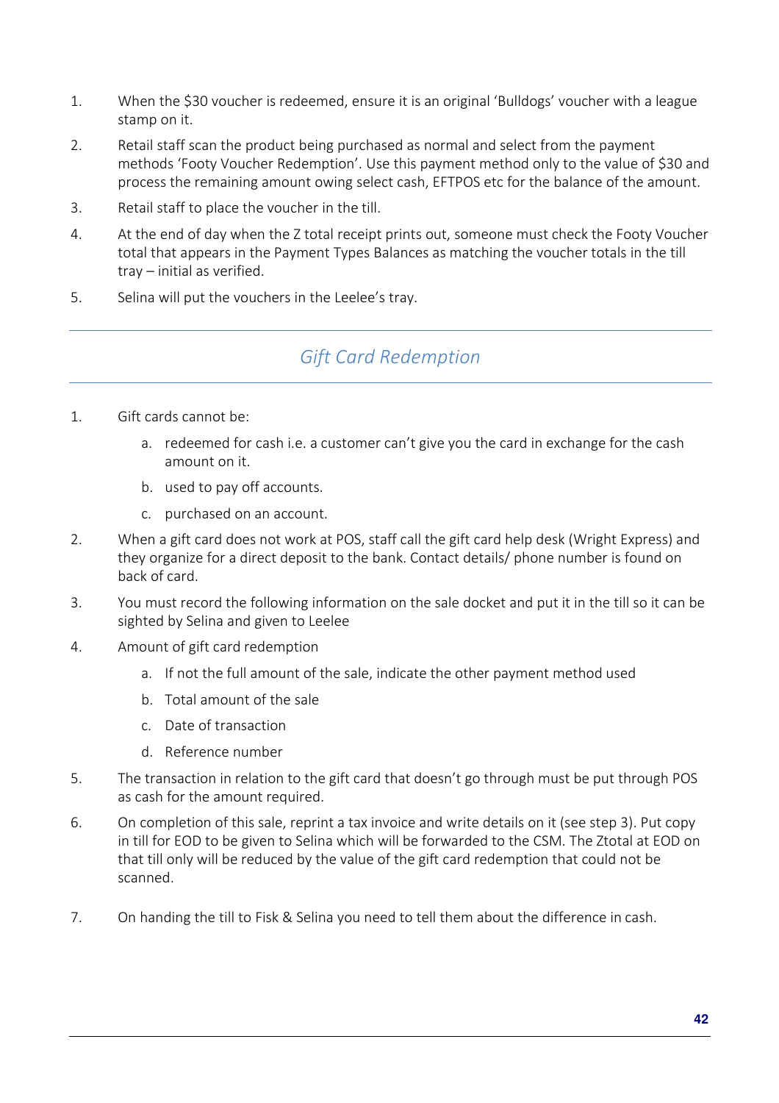- 1. When the \$30 voucher is redeemed, ensure it is an original 'Bulldogs' voucher with a league stamp on it.
- 2. Retail staff scan the product being purchased as normal and select from the payment methods 'Footy Voucher Redemption'. Use this payment method only to the value of \$30 and process the remaining amount owing select cash, EFTPOS etc for the balance of the amount.
- 3. Retail staff to place the voucher in the till.
- 4. At the end of day when the Z total receipt prints out, someone must check the Footy Voucher total that appears in the Payment Types Balances as matching the voucher totals in the till tray – initial as verified.
- 5. Selina will put the vouchers in the Leelee's tray.

## *Gift Card Redemption*

- 1. Gift cards cannot be:
	- a. redeemed for cash i.e. a customer can't give you the card in exchange for the cash amount on it.
	- b. used to pay off accounts.
	- c. purchased on an account.
- 2. When a gift card does not work at POS, staff call the gift card help desk (Wright Express) and they organize for a direct deposit to the bank. Contact details/ phone number is found on back of card.
- 3. You must record the following information on the sale docket and put it in the till so it can be sighted by Selina and given to Leelee
- 4. Amount of gift card redemption
	- a. If not the full amount of the sale, indicate the other payment method used
	- b. Total amount of the sale
	- c. Date of transaction
	- d. Reference number
- 5. The transaction in relation to the gift card that doesn't go through must be put through POS as cash for the amount required.
- 6. On completion of this sale, reprint a tax invoice and write details on it (see step 3). Put copy in till for EOD to be given to Selina which will be forwarded to the CSM. The Ztotal at EOD on that till only will be reduced by the value of the gift card redemption that could not be scanned.
- 7. On handing the till to Fisk & Selina you need to tell them about the difference in cash.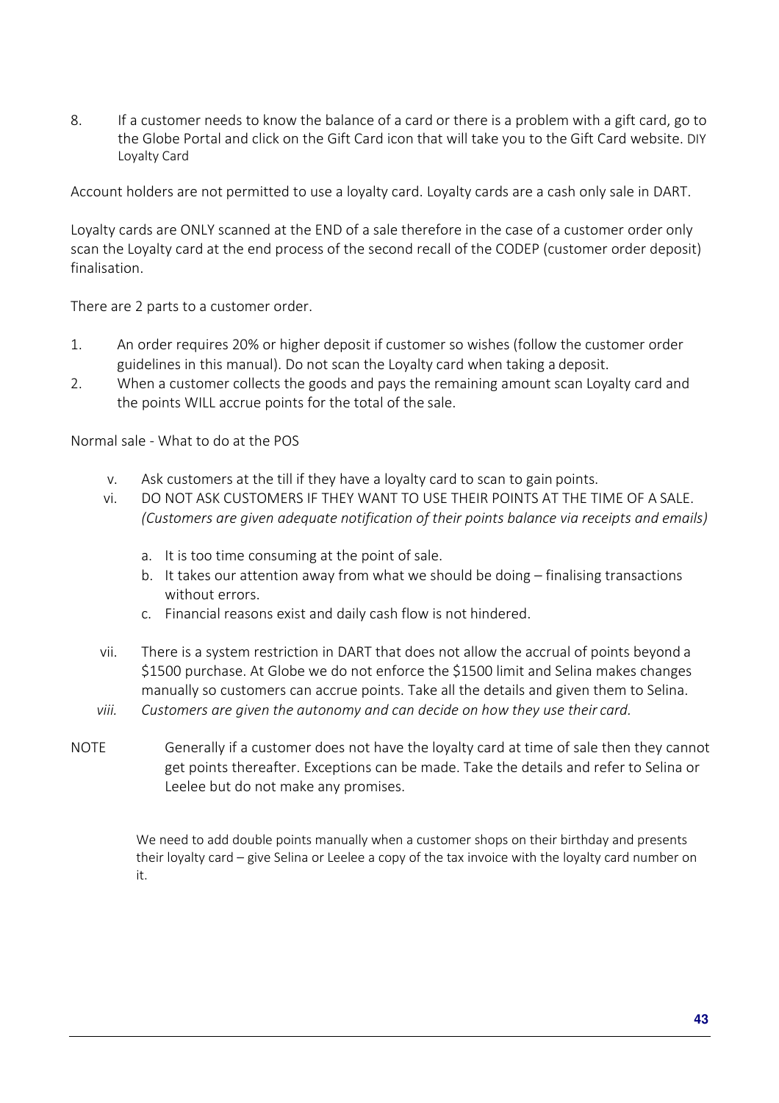8. If a customer needs to know the balance of a card or there is a problem with a gift card, go to the Globe Portal and click on the Gift Card icon that will take you to the Gift Card website. DIY Loyalty Card

Account holders are not permitted to use a loyalty card. Loyalty cards are a cash only sale in DART.

Loyalty cards are ONLY scanned at the END of a sale therefore in the case of a customer order only scan the Loyalty card at the end process of the second recall of the CODEP (customer order deposit) finalisation.

There are 2 parts to a customer order.

- 1. An order requires 20% or higher deposit if customer so wishes (follow the customer order guidelines in this manual). Do not scan the Loyalty card when taking a deposit.
- 2. When a customer collects the goods and pays the remaining amount scan Loyalty card and the points WILL accrue points for the total of the sale.

Normal sale - What to do at the POS

- v. Ask customers at the till if they have a loyalty card to scan to gain points.
- vi. DO NOT ASK CUSTOMERS IF THEY WANT TO USE THEIR POINTS AT THE TIME OF A SALE. *(Customers are given adequate notification of their points balance via receipts and emails)* 
	- a. It is too time consuming at the point of sale.
	- b. It takes our attention away from what we should be doing finalising transactions without errors.
	- c. Financial reasons exist and daily cash flow is not hindered.
- vii. There is a system restriction in DART that does not allow the accrual of points beyond a \$1500 purchase. At Globe we do not enforce the \$1500 limit and Selina makes changes manually so customers can accrue points. Take all the details and given them to Selina.
- *viii. Customers are given the autonomy and can decide on how they use their card.*
- NOTE Generally if a customer does not have the loyalty card at time of sale then they cannot get points thereafter. Exceptions can be made. Take the details and refer to Selina or Leelee but do not make any promises.

We need to add double points manually when a customer shops on their birthday and presents their loyalty card – give Selina or Leelee a copy of the tax invoice with the loyalty card number on it.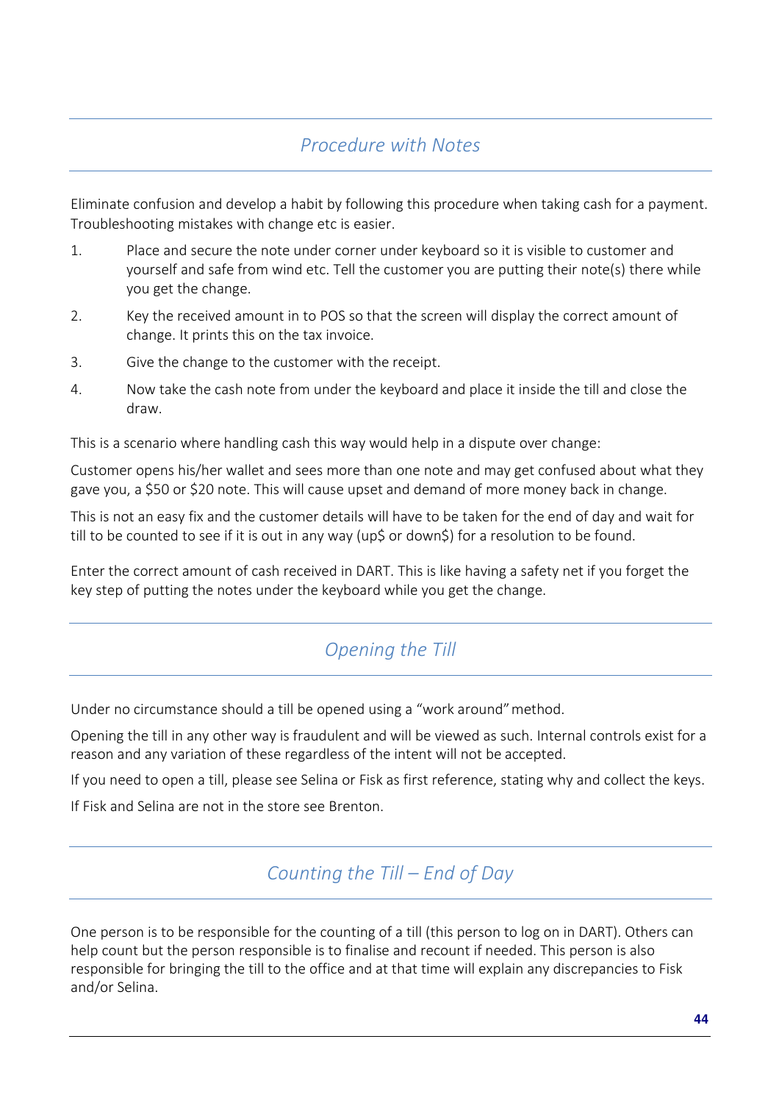## *Procedure with Notes*

Eliminate confusion and develop a habit by following this procedure when taking cash for a payment. Troubleshooting mistakes with change etc is easier.

- 1. Place and secure the note under corner under keyboard so it is visible to customer and yourself and safe from wind etc. Tell the customer you are putting their note(s) there while you get the change.
- 2. Key the received amount in to POS so that the screen will display the correct amount of change. It prints this on the tax invoice.
- 3. Give the change to the customer with the receipt.
- 4. Now take the cash note from under the keyboard and place it inside the till and close the draw.

This is a scenario where handling cash this way would help in a dispute over change:

Customer opens his/her wallet and sees more than one note and may get confused about what they gave you, a \$50 or \$20 note. This will cause upset and demand of more money back in change.

This is not an easy fix and the customer details will have to be taken for the end of day and wait for till to be counted to see if it is out in any way (up\$ or down\$) for a resolution to be found.

Enter the correct amount of cash received in DART. This is like having a safety net if you forget the key step of putting the notes under the keyboard while you get the change.

## *Opening the Till*

Under no circumstance should a till be opened using a "work around" method.

Opening the till in any other way is fraudulent and will be viewed as such. Internal controls exist for a reason and any variation of these regardless of the intent will not be accepted.

If you need to open a till, please see Selina or Fisk as first reference, stating why and collect the keys.

If Fisk and Selina are not in the store see Brenton.

*Counting the Till – End of Day*

One person is to be responsible for the counting of a till (this person to log on in DART). Others can help count but the person responsible is to finalise and recount if needed. This person is also responsible for bringing the till to the office and at that time will explain any discrepancies to Fisk and/or Selina.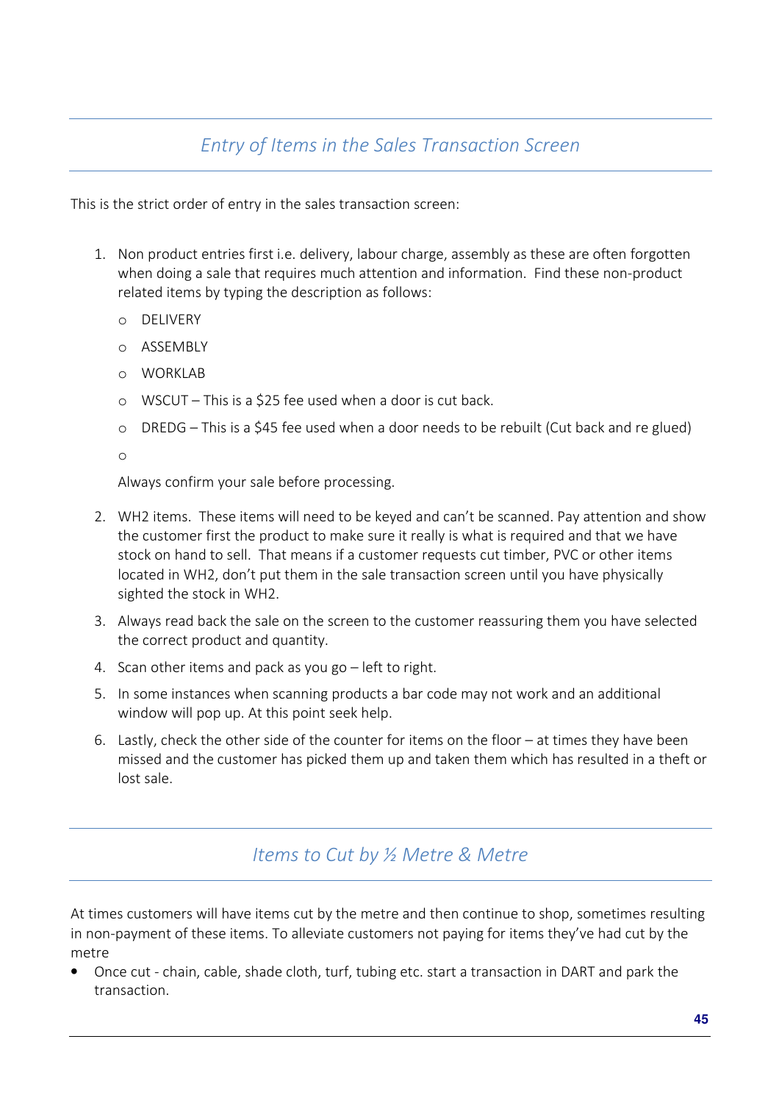## *Entry of Items in the Sales Transaction Screen*

This is the strict order of entry in the sales transaction screen:

- 1. Non product entries first i.e. delivery, labour charge, assembly as these are often forgotten when doing a sale that requires much attention and information. Find these non-product related items by typing the description as follows:
	- o DELIVERY
	- o ASSEMBLY
	- o WORKLAB
	- o WSCUT This is a \$25 fee used when a door is cut back.
	- o DREDG This is a \$45 fee used when a door needs to be rebuilt (Cut back and re glued)

o

Always confirm your sale before processing.

- 2. WH2 items. These items will need to be keyed and can't be scanned. Pay attention and show the customer first the product to make sure it really is what is required and that we have stock on hand to sell. That means if a customer requests cut timber, PVC or other items located in WH2, don't put them in the sale transaction screen until you have physically sighted the stock in WH2.
- 3. Always read back the sale on the screen to the customer reassuring them you have selected the correct product and quantity.
- 4. Scan other items and pack as you go left to right.
- 5. In some instances when scanning products a bar code may not work and an additional window will pop up. At this point seek help.
- 6. Lastly, check the other side of the counter for items on the floor at times they have been missed and the customer has picked them up and taken them which has resulted in a theft or lost sale.

### *Items to Cut by ½ Metre & Metre*

At times customers will have items cut by the metre and then continue to shop, sometimes resulting in non-payment of these items. To alleviate customers not paying for items they've had cut by the metre

• Once cut - chain, cable, shade cloth, turf, tubing etc. start a transaction in DART and park the transaction.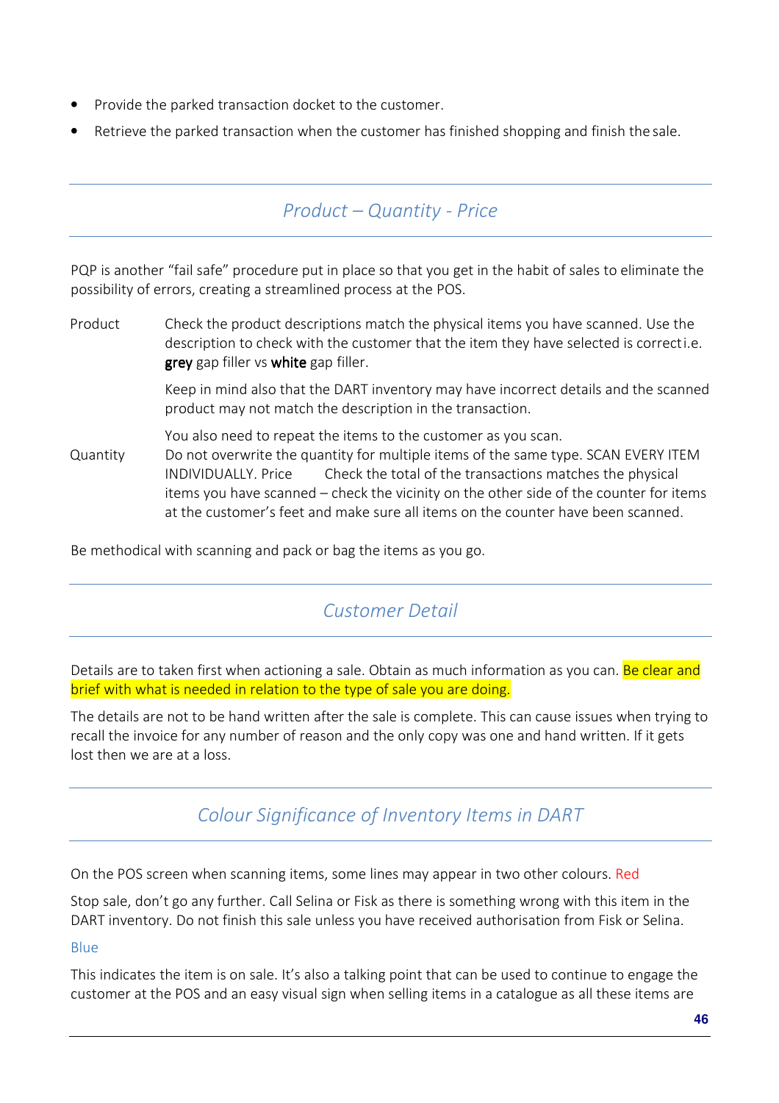- Provide the parked transaction docket to the customer.
- Retrieve the parked transaction when the customer has finished shopping and finish the sale.

### *Product – Quantity - Price*

PQP is another "fail safe" procedure put in place so that you get in the habit of sales to eliminate the possibility of errors, creating a streamlined process at the POS.

Product Check the product descriptions match the physical items you have scanned. Use the description to check with the customer that the item they have selected is correct i.e. grey gap filler vs white gap filler.

> Keep in mind also that the DART inventory may have incorrect details and the scanned product may not match the description in the transaction.

You also need to repeat the items to the customer as you scan. Quantity Do not overwrite the quantity for multiple items of the same type. SCAN EVERY ITEM INDIVIDUALLY. Price Check the total of the transactions matches the physical items you have scanned – check the vicinity on the other side of the counter for items at the customer's feet and make sure all items on the counter have been scanned.

Be methodical with scanning and pack or bag the items as you go.

### *Customer Detail*

Details are to taken first when actioning a sale. Obtain as much information as you can. Be clear and brief with what is needed in relation to the type of sale you are doing.

The details are not to be hand written after the sale is complete. This can cause issues when trying to recall the invoice for any number of reason and the only copy was one and hand written. If it gets lost then we are at a loss.

## *Colour Significance of Inventory Items in DART*

On the POS screen when scanning items, some lines may appear in two other colours. Red

Stop sale, don't go any further. Call Selina or Fisk as there is something wrong with this item in the DART inventory. Do not finish this sale unless you have received authorisation from Fisk or Selina.

#### Blue

This indicates the item is on sale. It's also a talking point that can be used to continue to engage the customer at the POS and an easy visual sign when selling items in a catalogue as all these items are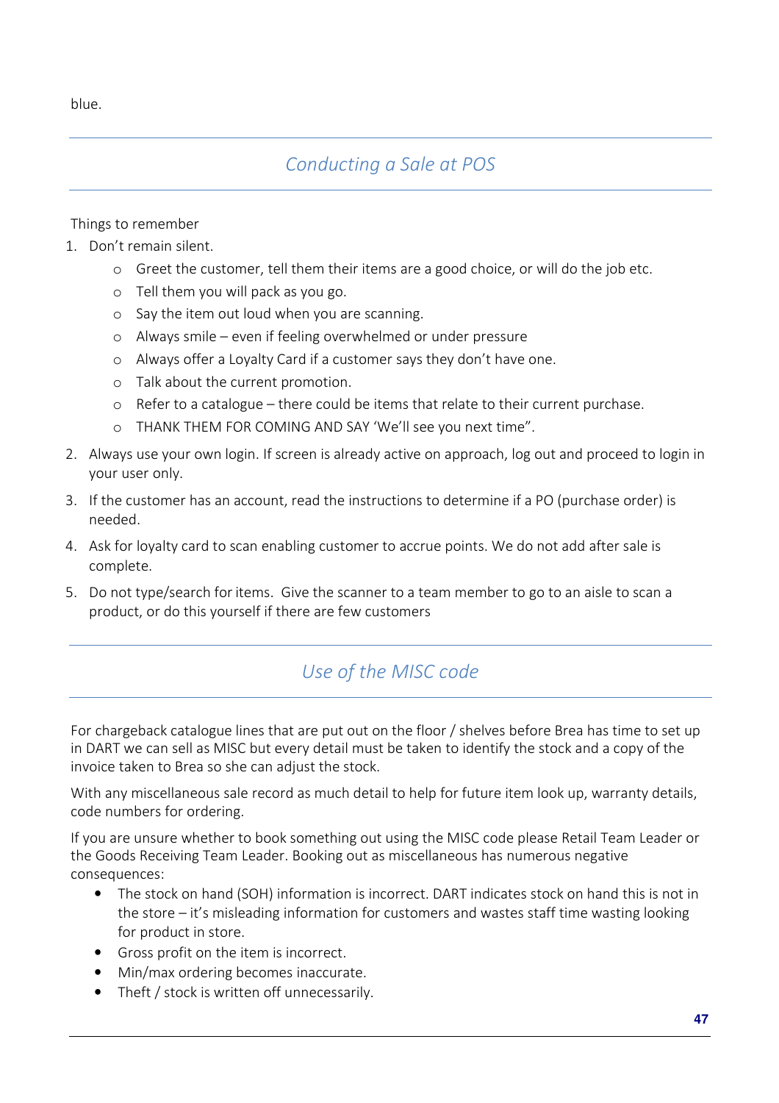blue.

## *Conducting a Sale at POS*

Things to remember

- 1. Don't remain silent.
	- o Greet the customer, tell them their items are a good choice, or will do the job etc.
	- o Tell them you will pack as you go.
	- o Say the item out loud when you are scanning.
	- o Always smile even if feeling overwhelmed or under pressure
	- o Always offer a Loyalty Card if a customer says they don't have one.
	- o Talk about the current promotion.
	- o Refer to a catalogue there could be items that relate to their current purchase.
	- o THANK THEM FOR COMING AND SAY 'We'll see you next time".
- 2. Always use your own login. If screen is already active on approach, log out and proceed to login in your user only.
- 3. If the customer has an account, read the instructions to determine if a PO (purchase order) is needed.
- 4. Ask for loyalty card to scan enabling customer to accrue points. We do not add after sale is complete.
- 5. Do not type/search for items. Give the scanner to a team member to go to an aisle to scan a product, or do this yourself if there are few customers

## *Use of the MISC code*

For chargeback catalogue lines that are put out on the floor / shelves before Brea has time to set up in DART we can sell as MISC but every detail must be taken to identify the stock and a copy of the invoice taken to Brea so she can adjust the stock.

With any miscellaneous sale record as much detail to help for future item look up, warranty details, code numbers for ordering.

If you are unsure whether to book something out using the MISC code please Retail Team Leader or the Goods Receiving Team Leader. Booking out as miscellaneous has numerous negative consequences:

- The stock on hand (SOH) information is incorrect. DART indicates stock on hand this is not in the store – it's misleading information for customers and wastes staff time wasting looking for product in store.
- Gross profit on the item is incorrect.
- Min/max ordering becomes inaccurate.
- Theft / stock is written off unnecessarily.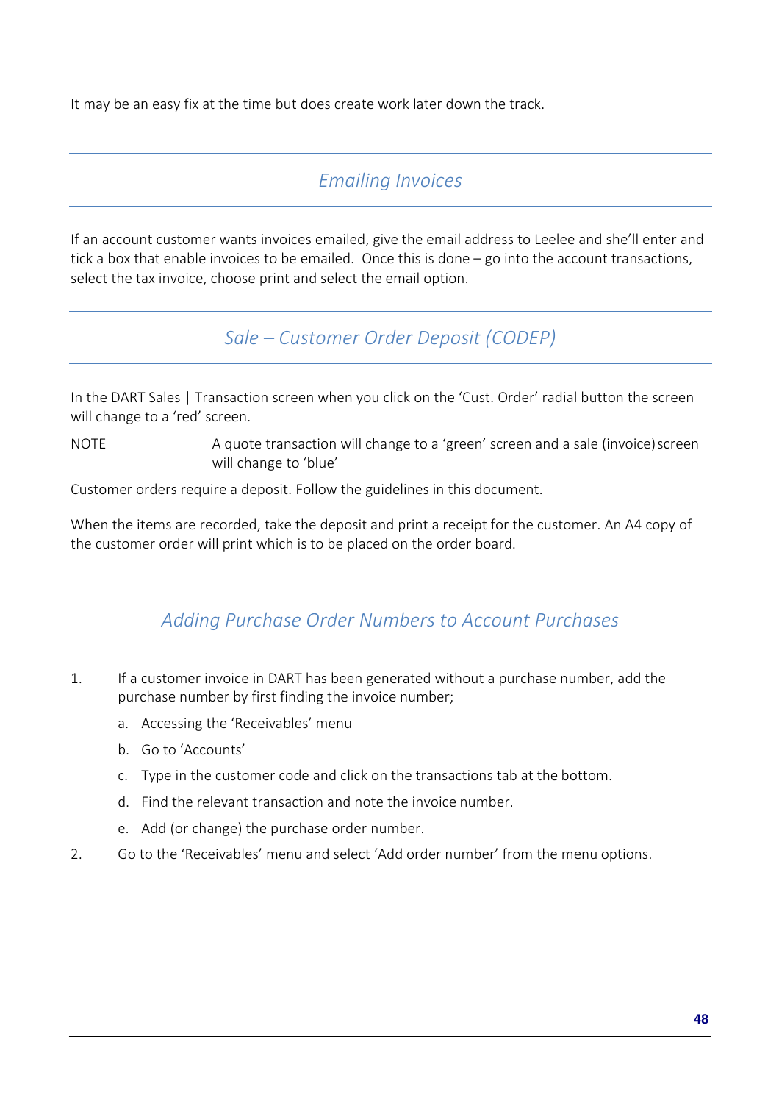It may be an easy fix at the time but does create work later down the track.

### *Emailing Invoices*

If an account customer wants invoices emailed, give the email address to Leelee and she'll enter and tick a box that enable invoices to be emailed. Once this is done – go into the account transactions, select the tax invoice, choose print and select the email option.

*Sale – Customer Order Deposit (CODEP)* 

In the DART Sales | Transaction screen when you click on the 'Cust. Order' radial button the screen will change to a 'red' screen.

NOTE A quote transaction will change to a 'green' screen and a sale (invoice) screen will change to 'blue'

Customer orders require a deposit. Follow the guidelines in this document.

When the items are recorded, take the deposit and print a receipt for the customer. An A4 copy of the customer order will print which is to be placed on the order board.

## *Adding Purchase Order Numbers to Account Purchases*

- 1. If a customer invoice in DART has been generated without a purchase number, add the purchase number by first finding the invoice number;
	- a. Accessing the 'Receivables' menu
	- b. Go to 'Accounts'
	- c. Type in the customer code and click on the transactions tab at the bottom.
	- d. Find the relevant transaction and note the invoice number.
	- e. Add (or change) the purchase order number.
- 2. Go to the 'Receivables' menu and select 'Add order number' from the menu options.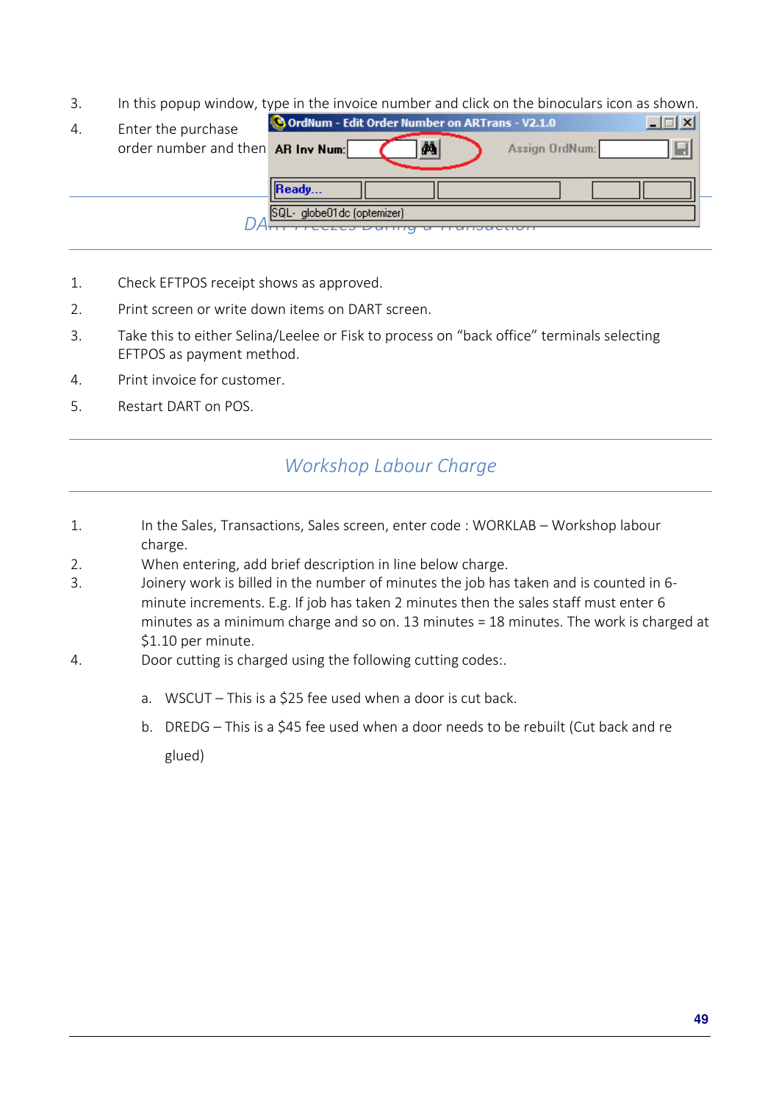3. In this popup window, type in the invoice number and click on the binoculars icon as shown.

| 4. | Enter the purchase                | OrdNum - Edit Order Number on ARTrans - V2.1.0 |
|----|-----------------------------------|------------------------------------------------|
|    | order number and then AR Inv Num: | ð4<br>Assign OrdNum:                           |
|    |                                   | Ready                                          |
|    |                                   | SQL-globe01dc (optemizer)                      |

- 1. Check EFTPOS receipt shows as approved.
- 2. Print screen or write down items on DART screen.
- 3. Take this to either Selina/Leelee or Fisk to process on "back office" terminals selecting EFTPOS as payment method.
- 4. Print invoice for customer.
- 5. Restart DART on POS.

### *Workshop Labour Charge*

- 1. In the Sales, Transactions, Sales screen, enter code : WORKLAB Workshop labour charge.
- 2. When entering, add brief description in line below charge.
- 3. Joinery work is billed in the number of minutes the job has taken and is counted in 6 minute increments. E.g. If job has taken 2 minutes then the sales staff must enter 6 minutes as a minimum charge and so on. 13 minutes = 18 minutes. The work is charged at \$1.10 per minute.
- 4. Door cutting is charged using the following cutting codes:.
	- a. WSCUT This is a \$25 fee used when a door is cut back.
	- b. DREDG This is a \$45 fee used when a door needs to be rebuilt (Cut back and re

glued)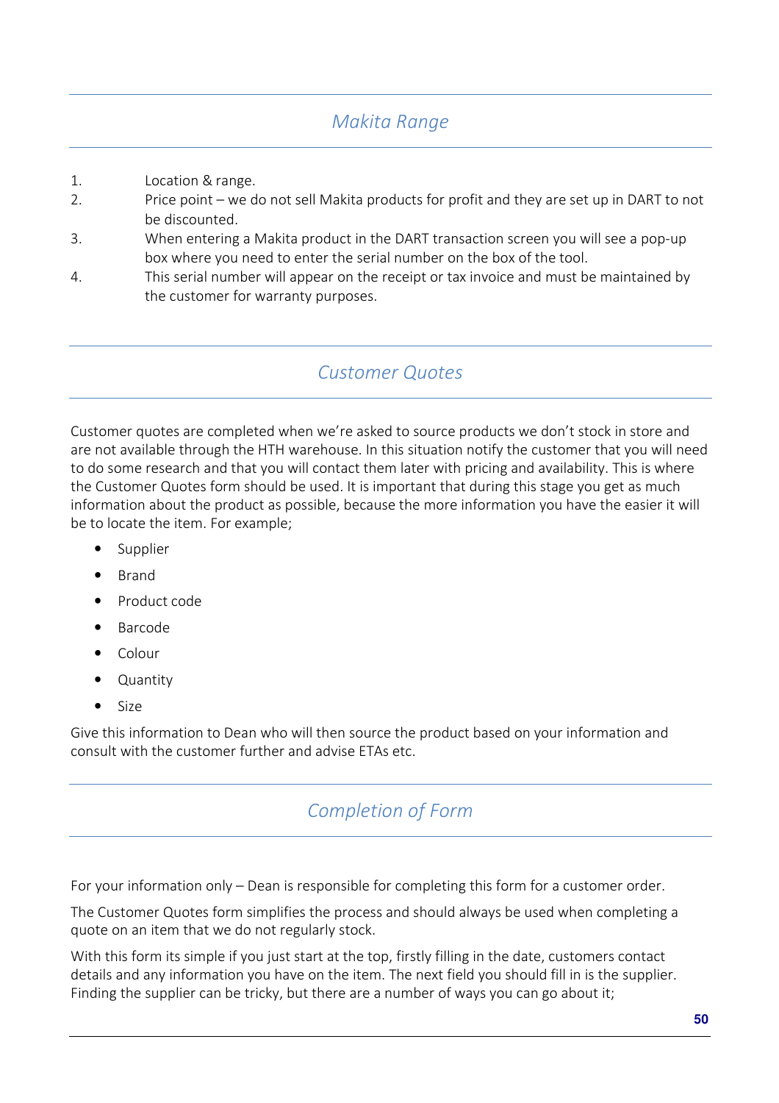## *Makita Range*

- 1. Location & range.
- 2. Price point we do not sell Makita products for profit and they are set up in DART to not be discounted.
- 3. When entering a Makita product in the DART transaction screen you will see a pop-up box where you need to enter the serial number on the box of the tool.
- 4. This serial number will appear on the receipt or tax invoice and must be maintained by the customer for warranty purposes.

### *Customer Quotes*

Customer quotes are completed when we're asked to source products we don't stock in store and are not available through the HTH warehouse. In this situation notify the customer that you will need to do some research and that you will contact them later with pricing and availability. This is where the Customer Quotes form should be used. It is important that during this stage you get as much information about the product as possible, because the more information you have the easier it will be to locate the item. For example;

- **Supplier**
- Brand
- Product code
- Barcode
- Colour
- Quantity
- Size

Give this information to Dean who will then source the product based on your information and consult with the customer further and advise ETAs etc.

### *Completion of Form*

For your information only – Dean is responsible for completing this form for a customer order.

The Customer Quotes form simplifies the process and should always be used when completing a quote on an item that we do not regularly stock.

With this form its simple if you just start at the top, firstly filling in the date, customers contact details and any information you have on the item. The next field you should fill in is the supplier. Finding the supplier can be tricky, but there are a number of ways you can go about it;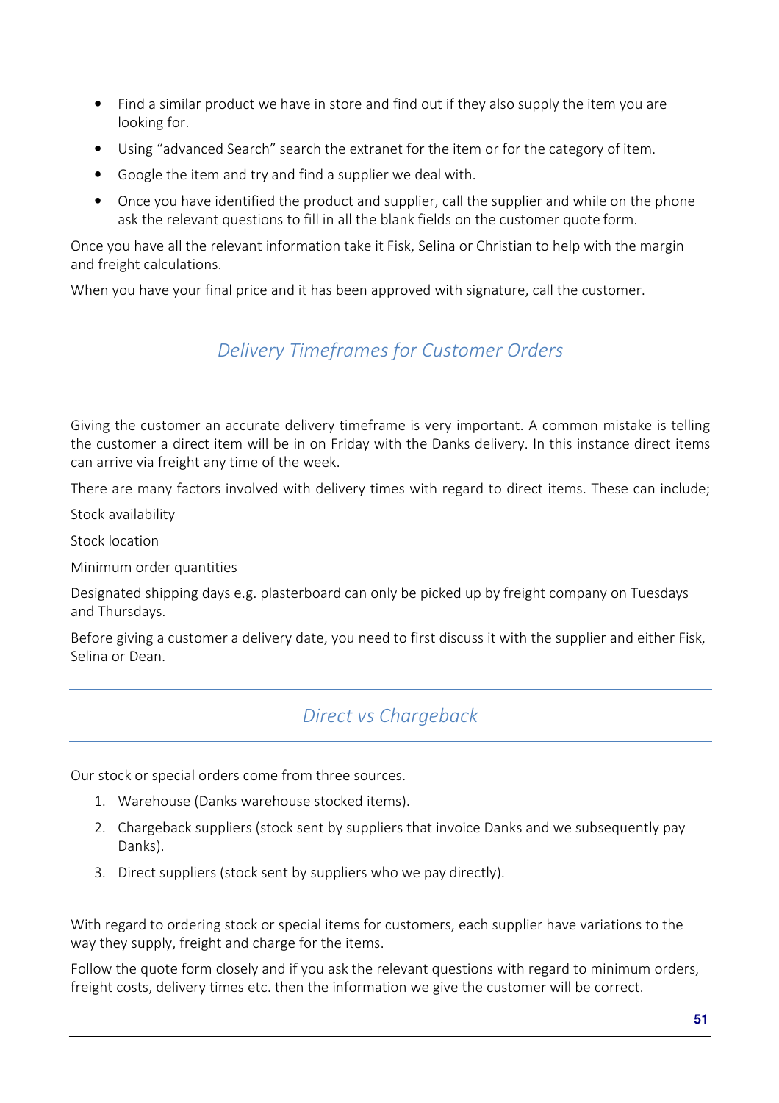- Find a similar product we have in store and find out if they also supply the item you are looking for.
- Using "advanced Search" search the extranet for the item or for the category of item.
- Google the item and try and find a supplier we deal with.
- Once you have identified the product and supplier, call the supplier and while on the phone ask the relevant questions to fill in all the blank fields on the customer quote form.

Once you have all the relevant information take it Fisk, Selina or Christian to help with the margin and freight calculations.

When you have your final price and it has been approved with signature, call the customer.

### *Delivery Timeframes for Customer Orders*

Giving the customer an accurate delivery timeframe is very important. A common mistake is telling the customer a direct item will be in on Friday with the Danks delivery. In this instance direct items can arrive via freight any time of the week.

There are many factors involved with delivery times with regard to direct items. These can include;

Stock availability

Stock location

Minimum order quantities

Designated shipping days e.g. plasterboard can only be picked up by freight company on Tuesdays and Thursdays.

Before giving a customer a delivery date, you need to first discuss it with the supplier and either Fisk, Selina or Dean.

### *Direct vs Chargeback*

Our stock or special orders come from three sources.

- 1. Warehouse (Danks warehouse stocked items).
- 2. Chargeback suppliers (stock sent by suppliers that invoice Danks and we subsequently pay Danks).
- 3. Direct suppliers (stock sent by suppliers who we pay directly).

With regard to ordering stock or special items for customers, each supplier have variations to the way they supply, freight and charge for the items.

Follow the quote form closely and if you ask the relevant questions with regard to minimum orders, freight costs, delivery times etc. then the information we give the customer will be correct.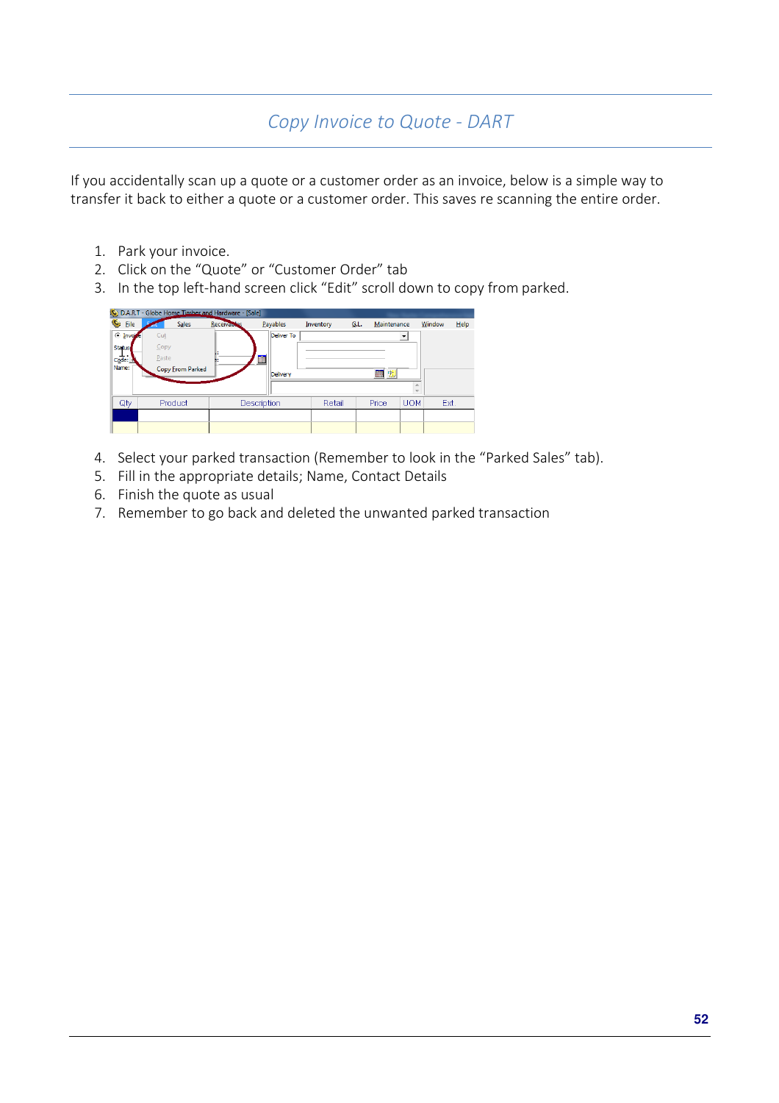## *Copy Invoice to Quote - DART*

If you accidentally scan up a quote or a customer order as an invoice, below is a simple way to transfer it back to either a quote or a customer order. This saves re scanning the entire order.

- 1. Park your invoice.
- 2. Click on the "Quote" or "Customer Order" tab
- 3. In the top left-hand screen click "Edit" scroll down to copy from parked.

| C: D.A.R.T - Globe Home Timber and Hardware - [Sale] |                  |              |                    |                 |            |           |      |             |                          |        |      |
|------------------------------------------------------|------------------|--------------|--------------------|-----------------|------------|-----------|------|-------------|--------------------------|--------|------|
| Ö.<br>Eile                                           |                  | <b>Sales</b> | <b>Receivables</b> | <b>Payables</b> |            | Inventory | G.L. | Maintenance |                          | Window | Help |
| $\odot$ Invoite                                      | Cut              |              |                    |                 | Deliver To |           |      |             | $\overline{\phantom{a}}$ |        |      |
| Status                                               | Copy             |              |                    |                 |            |           |      |             |                          |        |      |
| Code: L                                              | Paste            |              |                    | 鬸               |            |           |      |             |                          |        |      |
| Name:                                                | Copy From Parked |              |                    | Delivery        |            |           | 翻 制  |             |                          |        |      |
|                                                      |                  |              |                    |                 |            |           |      |             |                          |        |      |
|                                                      |                  |              |                    |                 |            |           |      |             |                          |        |      |
| Qty                                                  | Product          |              |                    | Description     |            | Retail    |      | Price       | <b>UOM</b>               | Ext.   |      |
|                                                      |                  |              |                    |                 |            |           |      |             |                          |        |      |
|                                                      |                  |              |                    |                 |            |           |      |             |                          |        |      |

- 4. Select your parked transaction (Remember to look in the "Parked Sales" tab).
- 5. Fill in the appropriate details; Name, Contact Details
- 6. Finish the quote as usual
- 7. Remember to go back and deleted the unwanted parked transaction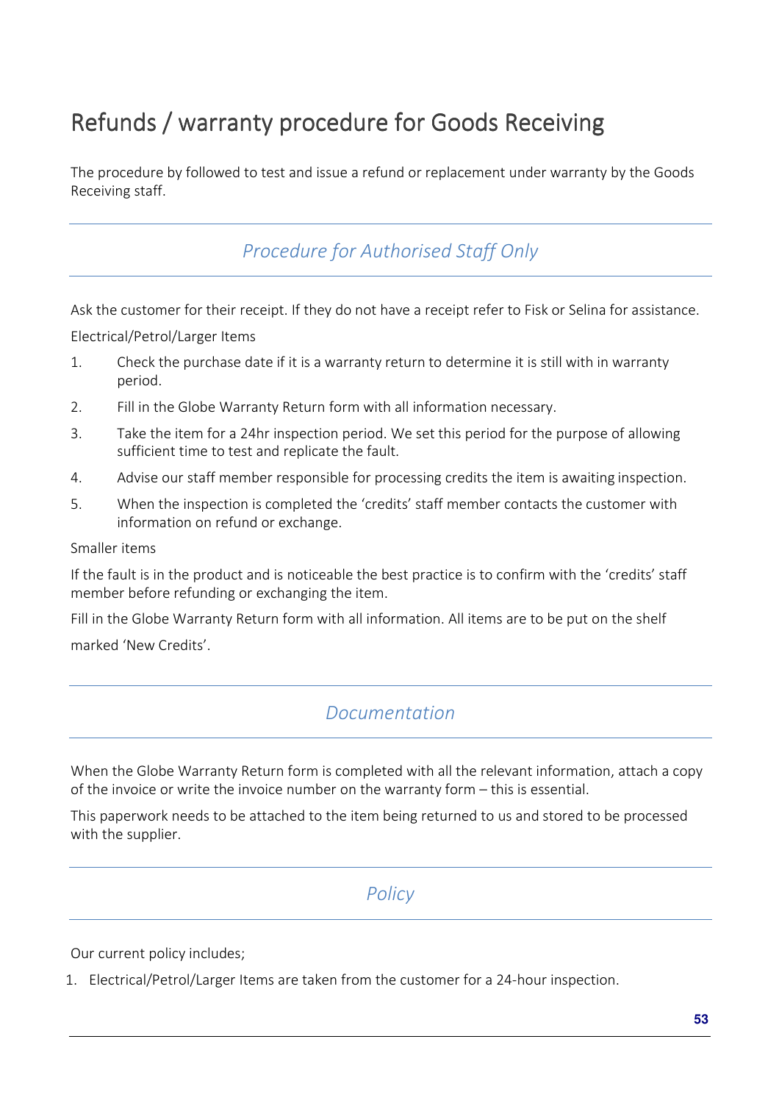# Refunds / warranty procedure for Goods Receiving

The procedure by followed to test and issue a refund or replacement under warranty by the Goods Receiving staff.

*Procedure for Authorised Staff Only*

Ask the customer for their receipt. If they do not have a receipt refer to Fisk or Selina for assistance.

Electrical/Petrol/Larger Items

- 1. Check the purchase date if it is a warranty return to determine it is still with in warranty period.
- 2. Fill in the Globe Warranty Return form with all information necessary.
- 3. Take the item for a 24hr inspection period. We set this period for the purpose of allowing sufficient time to test and replicate the fault.
- 4. Advise our staff member responsible for processing credits the item is awaiting inspection.
- 5. When the inspection is completed the 'credits' staff member contacts the customer with information on refund or exchange.

Smaller items

If the fault is in the product and is noticeable the best practice is to confirm with the 'credits' staff member before refunding or exchanging the item.

Fill in the Globe Warranty Return form with all information. All items are to be put on the shelf marked 'New Credits'.

### *Documentation*

When the Globe Warranty Return form is completed with all the relevant information, attach a copy of the invoice or write the invoice number on the warranty form – this is essential.

This paperwork needs to be attached to the item being returned to us and stored to be processed with the supplier.

### *Policy*

Our current policy includes;

1. Electrical/Petrol/Larger Items are taken from the customer for a 24-hour inspection.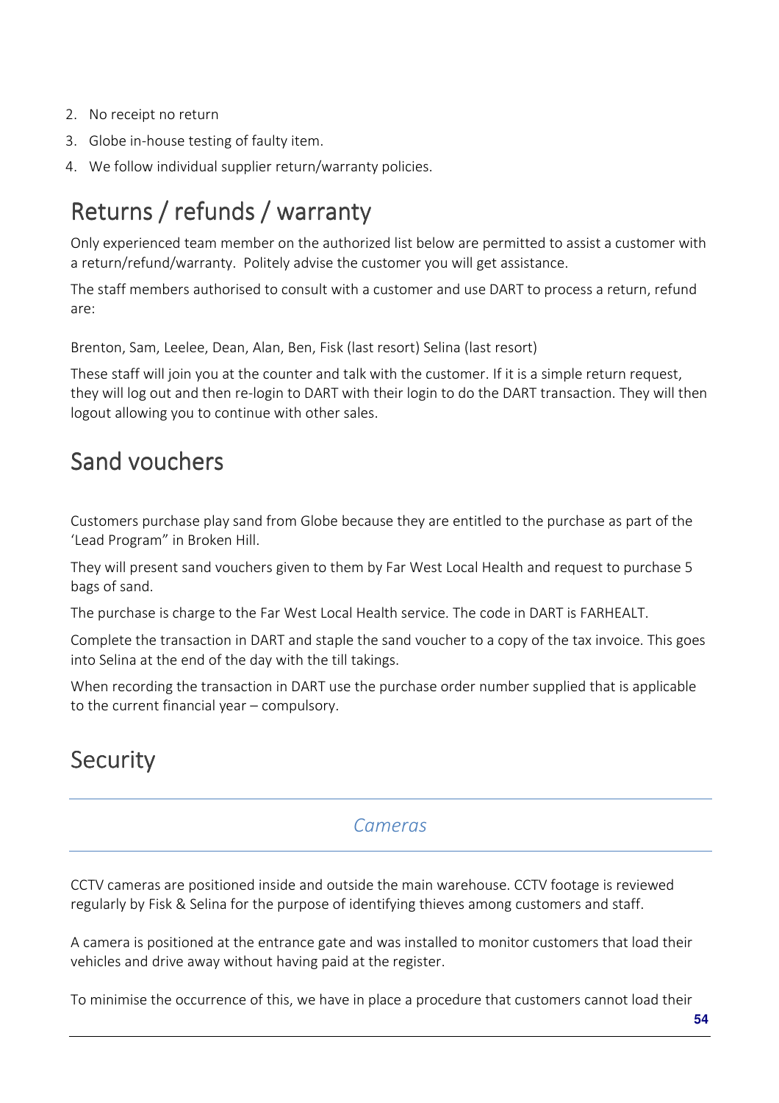- 2. No receipt no return
- 3. Globe in-house testing of faulty item.
- 4. We follow individual supplier return/warranty policies.

# Returns / refunds / warranty

Only experienced team member on the authorized list below are permitted to assist a customer with a return/refund/warranty. Politely advise the customer you will get assistance.

The staff members authorised to consult with a customer and use DART to process a return, refund are:

Brenton, Sam, Leelee, Dean, Alan, Ben, Fisk (last resort) Selina (last resort)

These staff will join you at the counter and talk with the customer. If it is a simple return request, they will log out and then re-login to DART with their login to do the DART transaction. They will then logout allowing you to continue with other sales.

## Sand vouchers

Customers purchase play sand from Globe because they are entitled to the purchase as part of the 'Lead Program" in Broken Hill.

They will present sand vouchers given to them by Far West Local Health and request to purchase 5 bags of sand.

The purchase is charge to the Far West Local Health service. The code in DART is FARHEALT.

Complete the transaction in DART and staple the sand voucher to a copy of the tax invoice. This goes into Selina at the end of the day with the till takings.

When recording the transaction in DART use the purchase order number supplied that is applicable to the current financial year – compulsory.

## **Security**

### *Cameras*

CCTV cameras are positioned inside and outside the main warehouse. CCTV footage is reviewed regularly by Fisk & Selina for the purpose of identifying thieves among customers and staff.

A camera is positioned at the entrance gate and was installed to monitor customers that load their vehicles and drive away without having paid at the register.

To minimise the occurrence of this, we have in place a procedure that customers cannot load their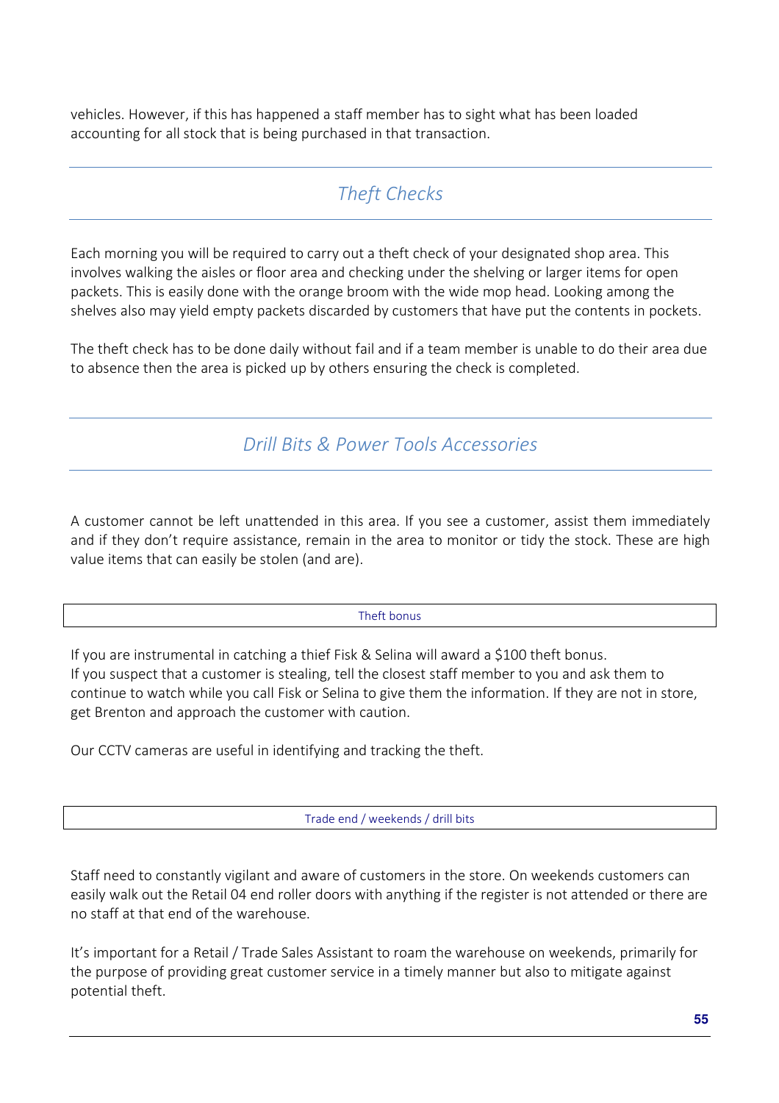vehicles. However, if this has happened a staff member has to sight what has been loaded accounting for all stock that is being purchased in that transaction.

## *Theft Checks*

Each morning you will be required to carry out a theft check of your designated shop area. This involves walking the aisles or floor area and checking under the shelving or larger items for open packets. This is easily done with the orange broom with the wide mop head. Looking among the shelves also may yield empty packets discarded by customers that have put the contents in pockets.

The theft check has to be done daily without fail and if a team member is unable to do their area due to absence then the area is picked up by others ensuring the check is completed.

*Drill Bits & Power Tools Accessories*

A customer cannot be left unattended in this area. If you see a customer, assist them immediately and if they don't require assistance, remain in the area to monitor or tidy the stock. These are high value items that can easily be stolen (and are).

#### Theft bonus

If you are instrumental in catching a thief Fisk & Selina will award a \$100 theft bonus. If you suspect that a customer is stealing, tell the closest staff member to you and ask them to continue to watch while you call Fisk or Selina to give them the information. If they are not in store, get Brenton and approach the customer with caution.

Our CCTV cameras are useful in identifying and tracking the theft.

Trade end / weekends / drill bits

Staff need to constantly vigilant and aware of customers in the store. On weekends customers can easily walk out the Retail 04 end roller doors with anything if the register is not attended or there are no staff at that end of the warehouse.

It's important for a Retail / Trade Sales Assistant to roam the warehouse on weekends, primarily for the purpose of providing great customer service in a timely manner but also to mitigate against potential theft.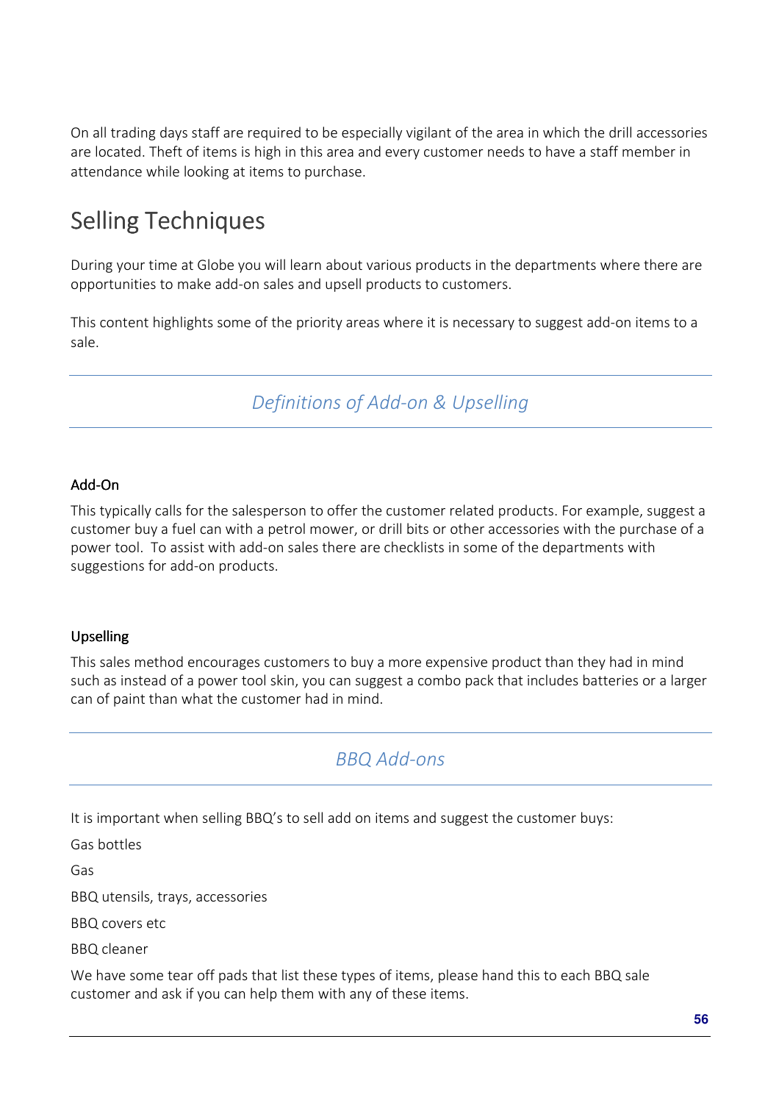On all trading days staff are required to be especially vigilant of the area in which the drill accessories are located. Theft of items is high in this area and every customer needs to have a staff member in attendance while looking at items to purchase.

# Selling Techniques

During your time at Globe you will learn about various products in the departments where there are opportunities to make add-on sales and upsell products to customers.

This content highlights some of the priority areas where it is necessary to suggest add-on items to a sale.

*Definitions of Add-on & Upselling* 

#### Add-On

This typically calls for the salesperson to offer the customer related products. For example, suggest a customer buy a fuel can with a petrol mower, or drill bits or other accessories with the purchase of a power tool. To assist with add-on sales there are checklists in some of the departments with suggestions for add-on products.

### Upselling

This sales method encourages customers to buy a more expensive product than they had in mind such as instead of a power tool skin, you can suggest a combo pack that includes batteries or a larger can of paint than what the customer had in mind.

### *BBQ Add-ons*

It is important when selling BBQ's to sell add on items and suggest the customer buys:

Gas bottles

Gas

BBQ utensils, trays, accessories

BBQ covers etc

BBQ cleaner

We have some tear off pads that list these types of items, please hand this to each BBQ sale customer and ask if you can help them with any of these items.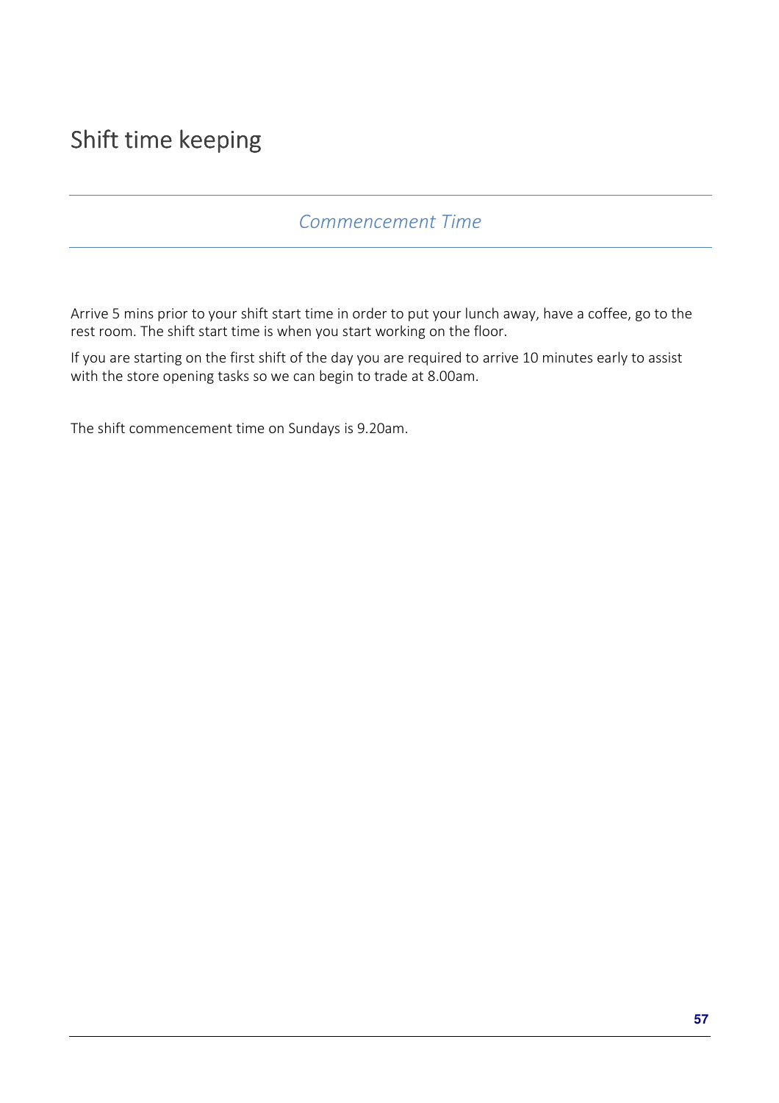# Shift time keeping

### *Commencement Time*

Arrive 5 mins prior to your shift start time in order to put your lunch away, have a coffee, go to the rest room. The shift start time is when you start working on the floor.

If you are starting on the first shift of the day you are required to arrive 10 minutes early to assist with the store opening tasks so we can begin to trade at 8.00am.

The shift commencement time on Sundays is 9.20am.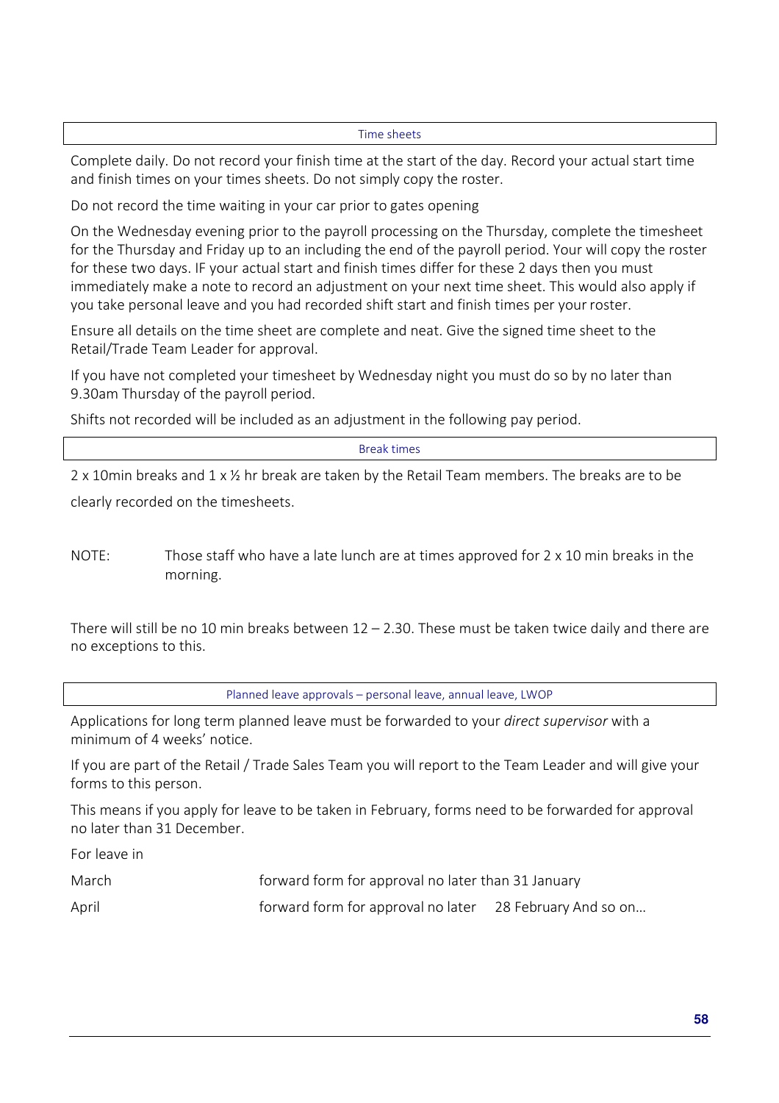#### Time sheets

Complete daily. Do not record your finish time at the start of the day. Record your actual start time and finish times on your times sheets. Do not simply copy the roster.

Do not record the time waiting in your car prior to gates opening

On the Wednesday evening prior to the payroll processing on the Thursday, complete the timesheet for the Thursday and Friday up to an including the end of the payroll period. Your will copy the roster for these two days. IF your actual start and finish times differ for these 2 days then you must immediately make a note to record an adjustment on your next time sheet. This would also apply if you take personal leave and you had recorded shift start and finish times per your roster.

Ensure all details on the time sheet are complete and neat. Give the signed time sheet to the Retail/Trade Team Leader for approval.

If you have not completed your timesheet by Wednesday night you must do so by no later than 9.30am Thursday of the payroll period.

Shifts not recorded will be included as an adjustment in the following pay period.

Break times

2 x 10min breaks and  $1 \times \frac{1}{2}$  hr break are taken by the Retail Team members. The breaks are to be clearly recorded on the timesheets.

NOTE: Those staff who have a late lunch are at times approved for 2 x 10 min breaks in the morning.

There will still be no 10 min breaks between  $12 - 2.30$ . These must be taken twice daily and there are no exceptions to this.

Planned leave approvals – personal leave, annual leave, LWOP

Applications for long term planned leave must be forwarded to your *direct supervisor* with a minimum of 4 weeks' notice.

If you are part of the Retail / Trade Sales Team you will report to the Team Leader and will give your forms to this person.

This means if you apply for leave to be taken in February, forms need to be forwarded for approval no later than 31 December.

For leave in

March **Forward form for approval no later than 31 January** April **Form** forward form for approval no later 28 February And so on...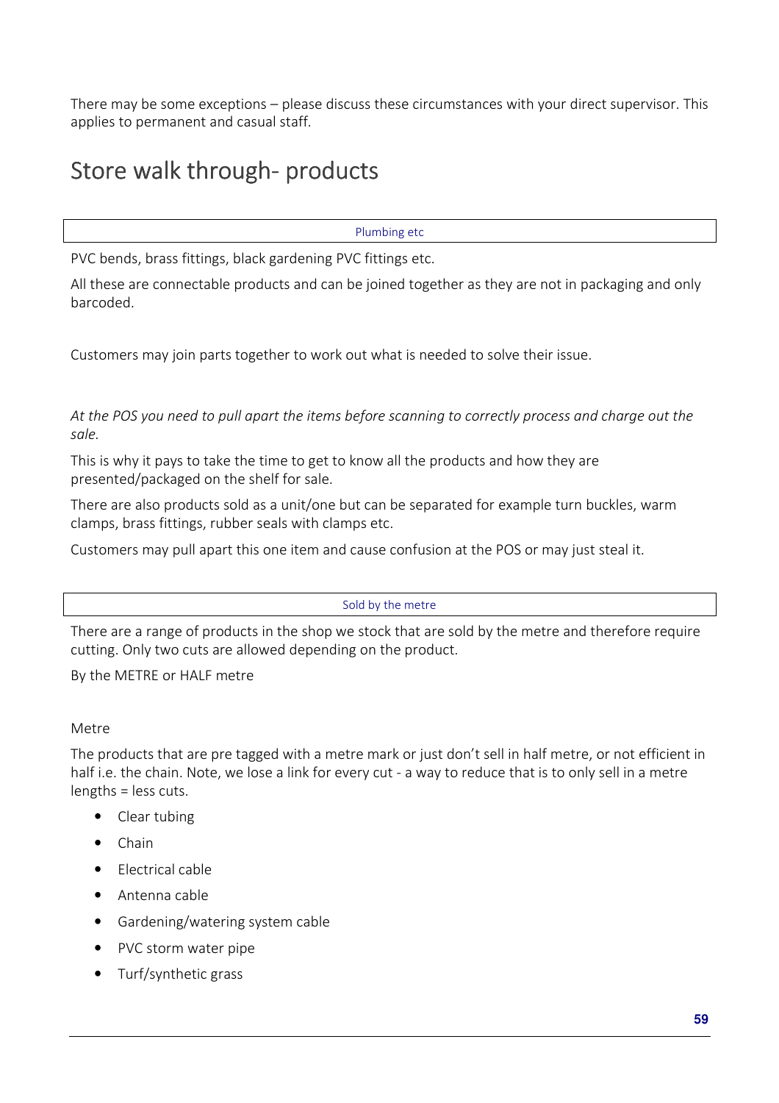There may be some exceptions – please discuss these circumstances with your direct supervisor. This applies to permanent and casual staff.

# Store walk through-products

Plumbing etc

PVC bends, brass fittings, black gardening PVC fittings etc.

All these are connectable products and can be joined together as they are not in packaging and only barcoded.

Customers may join parts together to work out what is needed to solve their issue.

*At the POS you need to pull apart the items before scanning to correctly process and charge out the sale.* 

This is why it pays to take the time to get to know all the products and how they are presented/packaged on the shelf for sale.

There are also products sold as a unit/one but can be separated for example turn buckles, warm clamps, brass fittings, rubber seals with clamps etc.

Customers may pull apart this one item and cause confusion at the POS or may just steal it.

Sold by the metre

There are a range of products in the shop we stock that are sold by the metre and therefore require cutting. Only two cuts are allowed depending on the product.

By the METRE or HALF metre

#### Metre

The products that are pre tagged with a metre mark or just don't sell in half metre, or not efficient in half i.e. the chain. Note, we lose a link for every cut - a way to reduce that is to only sell in a metre lengths = less cuts.

- Clear tubing
- Chain
- Electrical cable
- Antenna cable
- Gardening/watering system cable
- PVC storm water pipe
- Turf/synthetic grass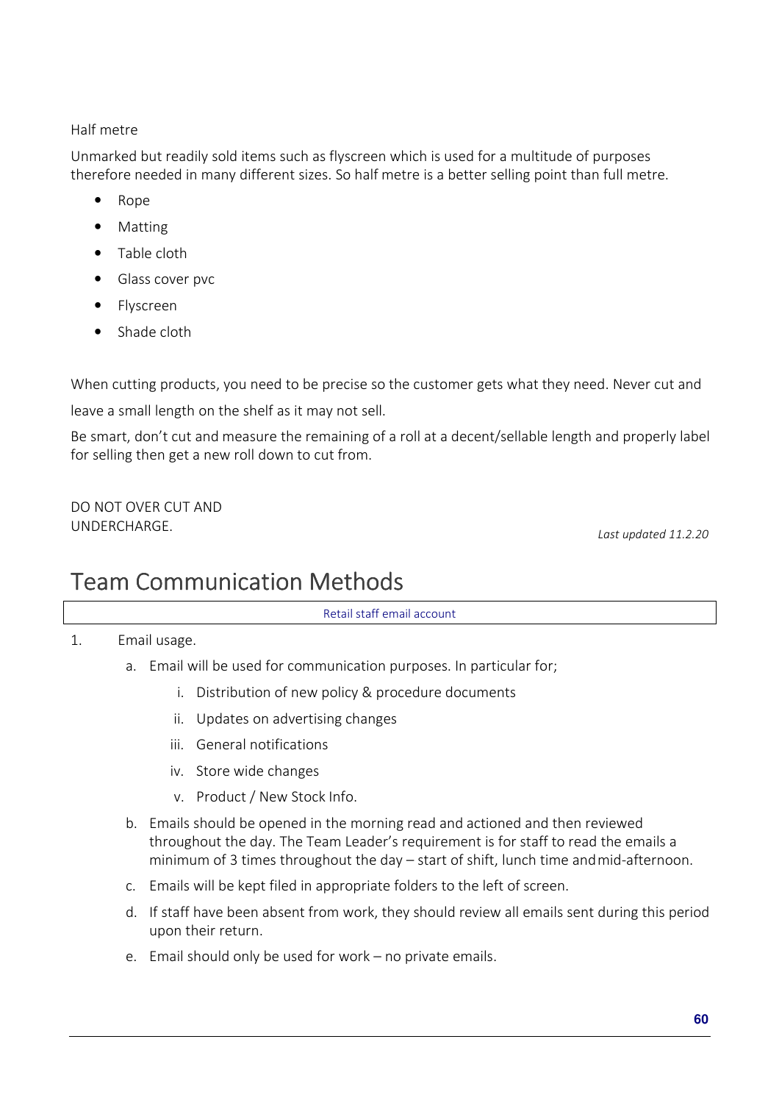### Half metre

Unmarked but readily sold items such as flyscreen which is used for a multitude of purposes therefore needed in many different sizes. So half metre is a better selling point than full metre.

- Rope
- Matting
- Table cloth
- Glass cover pvc
- Flyscreen
- Shade cloth

When cutting products, you need to be precise so the customer gets what they need. Never cut and

leave a small length on the shelf as it may not sell.

Be smart, don't cut and measure the remaining of a roll at a decent/sellable length and properly label for selling then get a new roll down to cut from.

DO NOT OVER CUT AND UNDERCHARGE. *Last updated 11.2.20*

# Team Communication Methods

Retail staff email account

1. Email usage.

- a. Email will be used for communication purposes. In particular for;
	- i. Distribution of new policy & procedure documents
	- ii. Updates on advertising changes
	- iii. General notifications
	- iv. Store wide changes
	- v. Product / New Stock Info.
- b. Emails should be opened in the morning read and actioned and then reviewed throughout the day. The Team Leader's requirement is for staff to read the emails a minimum of 3 times throughout the day – start of shift, lunch time and mid-afternoon.
- c. Emails will be kept filed in appropriate folders to the left of screen.
- d. If staff have been absent from work, they should review all emails sent during this period upon their return.
- e. Email should only be used for work no private emails.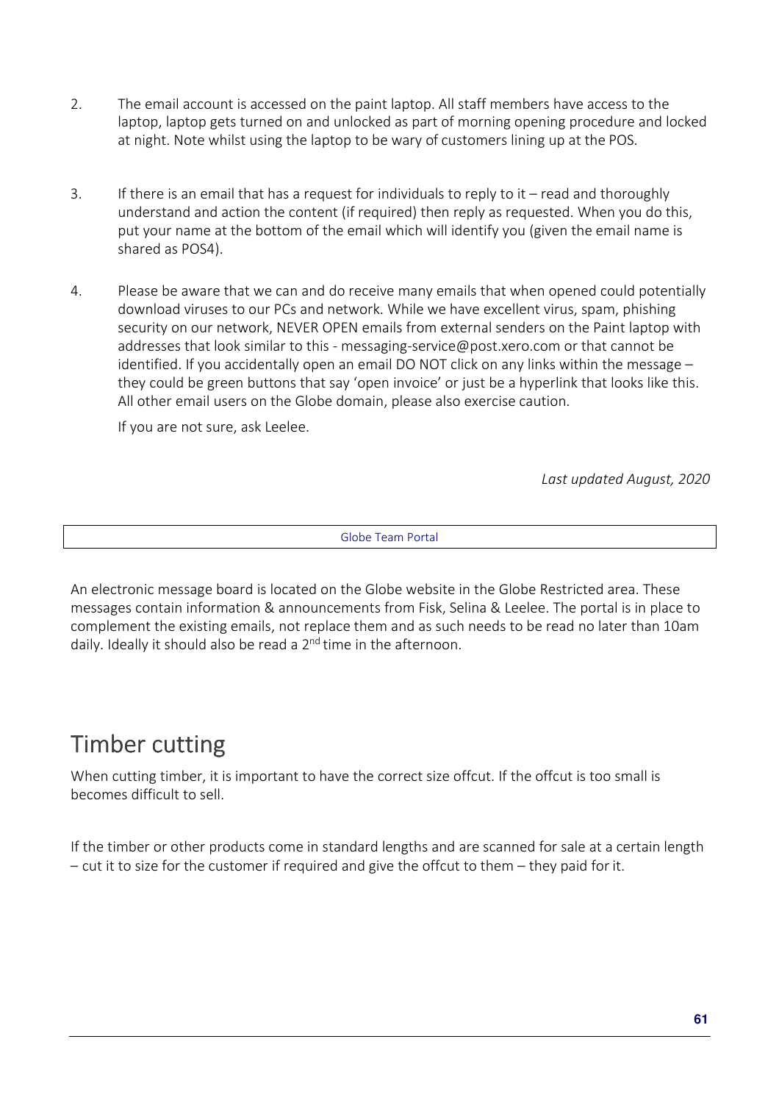- 2. The email account is accessed on the paint laptop. All staff members have access to the laptop, laptop gets turned on and unlocked as part of morning opening procedure and locked at night. Note whilst using the laptop to be wary of customers lining up at the POS.
- 3. If there is an email that has a request for individuals to reply to it read and thoroughly understand and action the content (if required) then reply as requested. When you do this, put your name at the bottom of the email which will identify you (given the email name is shared as POS4).
- 4. Please be aware that we can and do receive many emails that when opened could potentially download viruses to our PCs and network. While we have excellent virus, spam, phishing security on our network, NEVER OPEN emails from external senders on the Paint laptop with addresses that look similar to this - messaging-service@post.xero.com or that cannot be identified. If you accidentally open an email DO NOT click on any links within the message – they could be green buttons that say 'open invoice' or just be a hyperlink that looks like this. All other email users on the Globe domain, please also exercise caution.

If you are not sure, ask Leelee.

*Last updated August, 2020* 

Globe Team Portal

An electronic message board is located on the Globe website in the Globe Restricted area. These messages contain information & announcements from Fisk, Selina & Leelee. The portal is in place to complement the existing emails, not replace them and as such needs to be read no later than 10am daily. Ideally it should also be read a 2<sup>nd</sup> time in the afternoon.

## Timber cutting

When cutting timber, it is important to have the correct size offcut. If the offcut is too small is becomes difficult to sell.

If the timber or other products come in standard lengths and are scanned for sale at a certain length – cut it to size for the customer if required and give the offcut to them – they paid for it.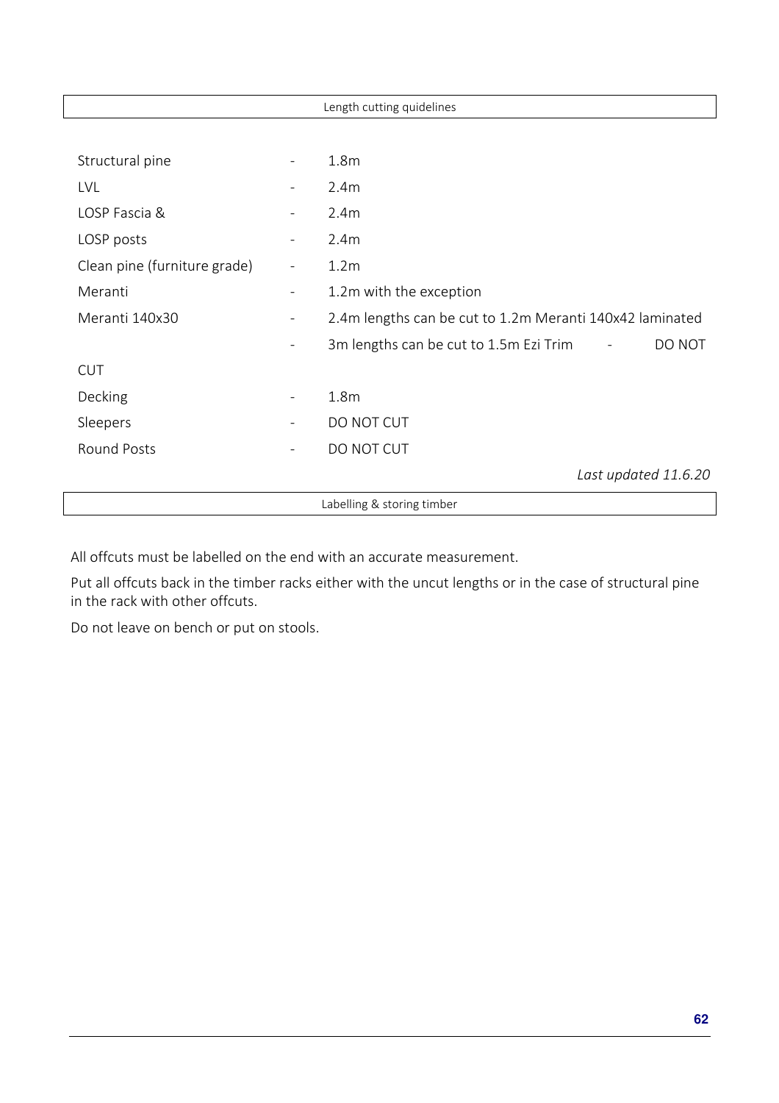|                              |                          | Length cutting quidelines                                |
|------------------------------|--------------------------|----------------------------------------------------------|
|                              |                          |                                                          |
| Structural pine              |                          | 1.8 <sub>m</sub>                                         |
| <b>LVL</b>                   |                          | 2.4m                                                     |
| LOSP Fascia &                |                          | 2.4m                                                     |
| LOSP posts                   |                          | 2.4m                                                     |
| Clean pine (furniture grade) | $\overline{\phantom{0}}$ | 1.2 <sub>m</sub>                                         |
| Meranti                      | -                        | 1.2m with the exception                                  |
| Meranti 140x30               | $\overline{\phantom{a}}$ | 2.4m lengths can be cut to 1.2m Meranti 140x42 laminated |
|                              |                          | 3m lengths can be cut to 1.5m Ezi Trim<br>DO NOT         |
| <b>CUT</b>                   |                          |                                                          |
| Decking                      | $\overline{\phantom{a}}$ | 1.8 <sub>m</sub>                                         |
| Sleepers                     |                          | DO NOT CUT                                               |
| <b>Round Posts</b>           | -                        | DO NOT CUT                                               |
|                              |                          | Last updated 11.6.20                                     |
|                              |                          | Labelling & storing timber                               |

All offcuts must be labelled on the end with an accurate measurement.

Put all offcuts back in the timber racks either with the uncut lengths or in the case of structural pine in the rack with other offcuts.

Do not leave on bench or put on stools.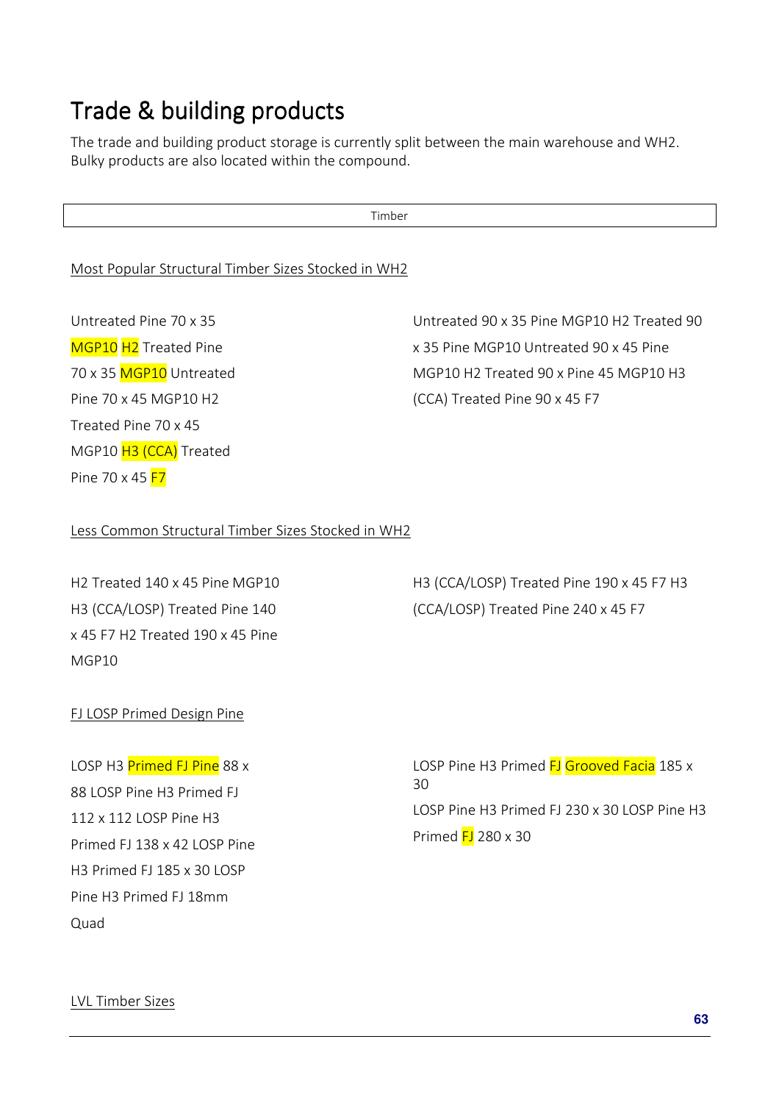# Trade & building products

The trade and building product storage is currently split between the main warehouse and WH2. Bulky products are also located within the compound.

Timber

### Most Popular Structural Timber Sizes Stocked in WH2

Untreated Pine 70 x 35 MGP10 H<sub>2</sub> Treated Pine 70 x 35 MGP10 Untreated Pine 70 x 45 MGP10 H2 Treated Pine 70 x 45 MGP10 H3 (CCA) Treated Pine 70 x 45 **F7** 

Untreated 90 x 35 Pine MGP10 H2 Treated 90 x 35 Pine MGP10 Untreated 90 x 45 Pine MGP10 H2 Treated 90 x Pine 45 MGP10 H3 (CCA) Treated Pine 90 x 45 F7

#### Less Common Structural Timber Sizes Stocked in WH2

H2 Treated 140 x 45 Pine MGP10 H3 (CCA/LOSP) Treated Pine 140 x 45 F7 H2 Treated 190 x 45 Pine MGP10

H3 (CCA/LOSP) Treated Pine 190 x 45 F7 H3 (CCA/LOSP) Treated Pine 240 x 45 F7

#### FJ LOSP Primed Design Pine

LOSP H3 Primed FJ Pine 88 x 88 LOSP Pine H3 Primed FJ 112 x 112 LOSP Pine H3 Primed FJ 138 x 42 LOSP Pine H3 Primed FJ 185 x 30 LOSP Pine H3 Primed FJ 18mm Quad

LOSP Pine H3 Primed FJ Grooved Facia 185 x 30 LOSP Pine H3 Primed FJ 230 x 30 LOSP Pine H3 Primed  $FJ$  280 x 30

LVL Timber Sizes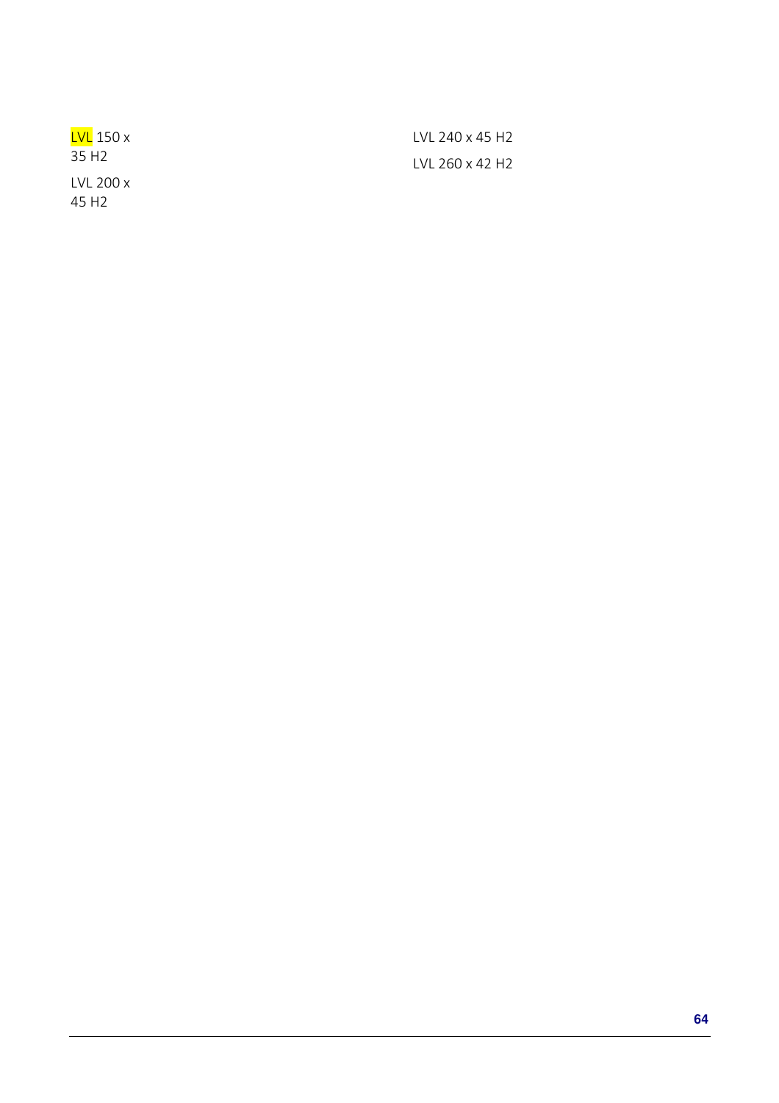| <u>LVL</u> 150 x  | TVL 240 x 45 H2 |
|-------------------|-----------------|
| 35 H <sub>2</sub> | TVL 260 x 42 H2 |
| $LVL$ 200 x       |                 |
| 45 H2             |                 |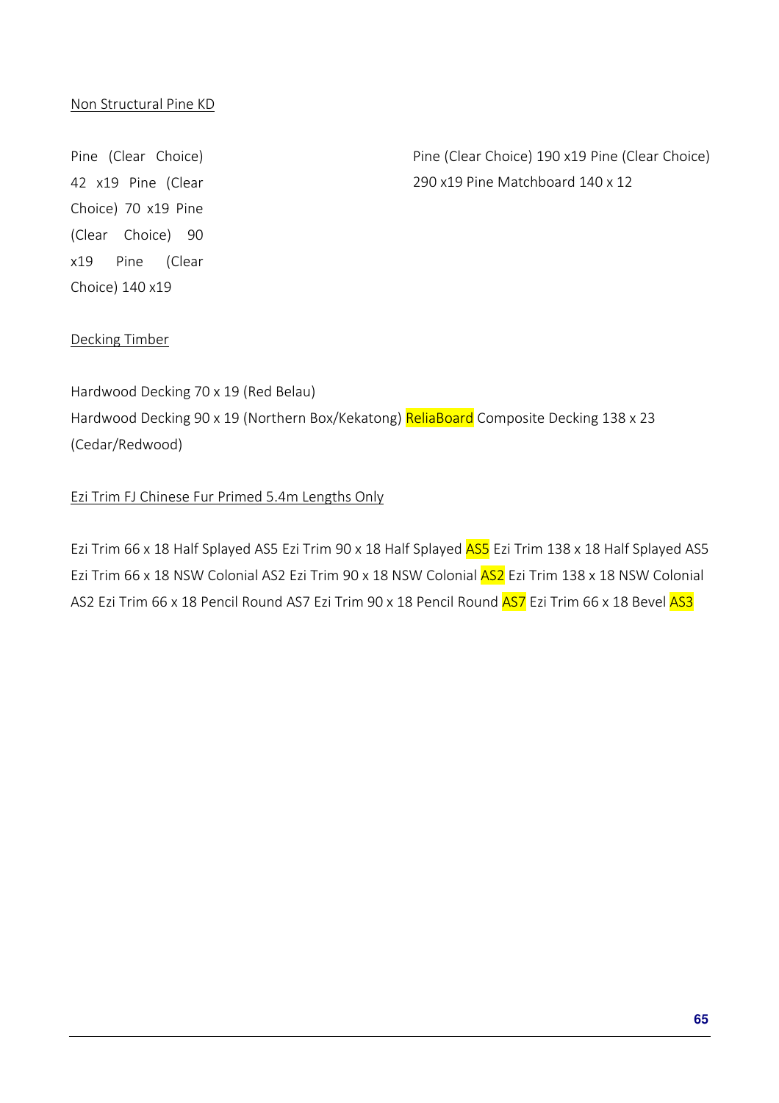### Non Structural Pine KD

Pine (Clear Choice) 42 x19 Pine (Clear Choice) 70 x19 Pine (Clear Choice) 90 x19 Pine (Clear Choice) 140 x19

Pine (Clear Choice) 190 x19 Pine (Clear Choice) 290 x19 Pine Matchboard 140 x 12

#### Decking Timber

Hardwood Decking 70 x 19 (Red Belau) Hardwood Decking 90 x 19 (Northern Box/Kekatong) ReliaBoard Composite Decking 138 x 23 (Cedar/Redwood)

#### Ezi Trim FJ Chinese Fur Primed 5.4m Lengths Only

Ezi Trim 66 x 18 Half Splayed AS5 Ezi Trim 90 x 18 Half Splayed AS5 Ezi Trim 138 x 18 Half Splayed AS5 Ezi Trim 66 x 18 NSW Colonial AS2 Ezi Trim 90 x 18 NSW Colonial AS2 Ezi Trim 138 x 18 NSW Colonial AS2 Ezi Trim 66 x 18 Pencil Round AS7 Ezi Trim 90 x 18 Pencil Round AS7 Ezi Trim 66 x 18 Bevel AS3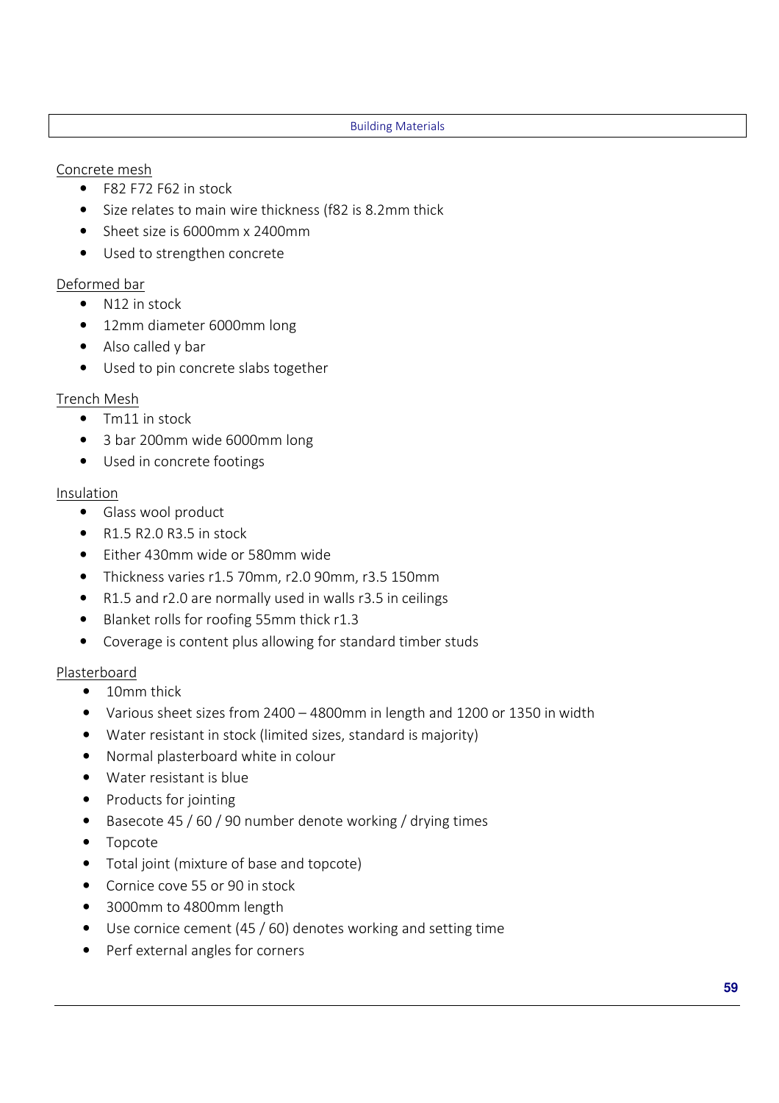#### Building Materials

### Concrete mesh

- F82 F72 F62 in stock
- Size relates to main wire thickness (f82 is 8.2mm thick
- Sheet size is 6000mm x 2400mm
- Used to strengthen concrete

### Deformed bar

- N12 in stock
- 12mm diameter 6000mm long
- Also called y bar
- Used to pin concrete slabs together

### Trench Mesh

- Tm11 in stock
- 3 bar 200mm wide 6000mm long
- Used in concrete footings

### Insulation

- Glass wool product
- $\bullet$  R1.5 R2.0 R3.5 in stock
- Either 430mm wide or 580mm wide
- Thickness varies r1.5 70mm, r2.0 90mm, r3.5 150mm
- R1.5 and r2.0 are normally used in walls r3.5 in ceilings
- Blanket rolls for roofing 55mm thick r1.3
- Coverage is content plus allowing for standard timber studs

### Plasterboard

- 10mm thick
- Various sheet sizes from 2400 4800mm in length and 1200 or 1350 in width
- Water resistant in stock (limited sizes, standard is majority)
- Normal plasterboard white in colour
- Water resistant is blue
- Products for jointing
- Basecote 45 / 60 / 90 number denote working / drying times
- Topcote
- Total joint (mixture of base and topcote)
- Cornice cove 55 or 90 in stock
- 3000mm to 4800mm length
- Use cornice cement (45 / 60) denotes working and setting time
- Perf external angles for corners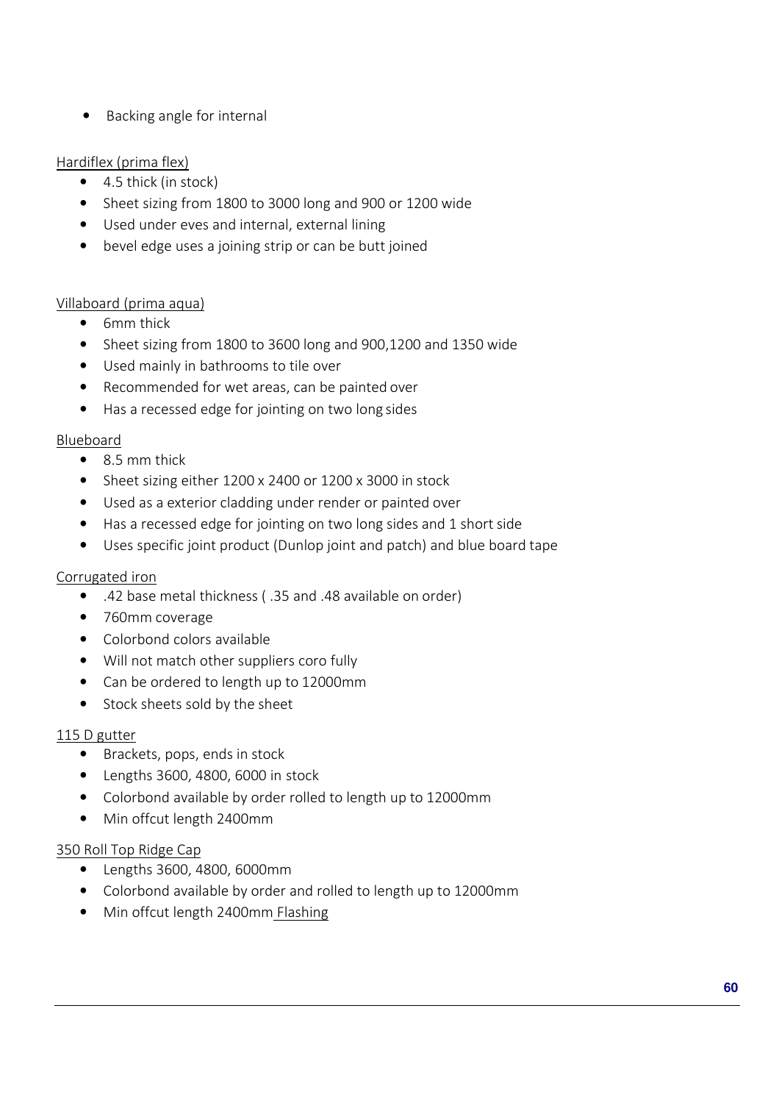• Backing angle for internal

### Hardiflex (prima flex)

- 4.5 thick (in stock)
- Sheet sizing from 1800 to 3000 long and 900 or 1200 wide
- Used under eves and internal, external lining
- bevel edge uses a joining strip or can be butt joined

### Villaboard (prima aqua)

- 6mm thick
- Sheet sizing from 1800 to 3600 long and 900,1200 and 1350 wide
- Used mainly in bathrooms to tile over
- Recommended for wet areas, can be painted over
- Has a recessed edge for jointing on two long sides

### Blueboard

- 8.5 mm thick
- Sheet sizing either 1200 x 2400 or 1200 x 3000 in stock
- Used as a exterior cladding under render or painted over
- Has a recessed edge for jointing on two long sides and 1 short side
- Uses specific joint product (Dunlop joint and patch) and blue board tape

### Corrugated iron

- .42 base metal thickness ( .35 and .48 available on order)
- 760mm coverage
- Colorbond colors available
- Will not match other suppliers coro fully
- Can be ordered to length up to 12000mm
- Stock sheets sold by the sheet

### 115 D gutter

- Brackets, pops, ends in stock
- Lengths 3600, 4800, 6000 in stock
- Colorbond available by order rolled to length up to 12000mm
- Min offcut length 2400mm

### 350 Roll Top Ridge Cap

- Lengths 3600, 4800, 6000mm
- Colorbond available by order and rolled to length up to 12000mm
- Min offcut length 2400mm Flashing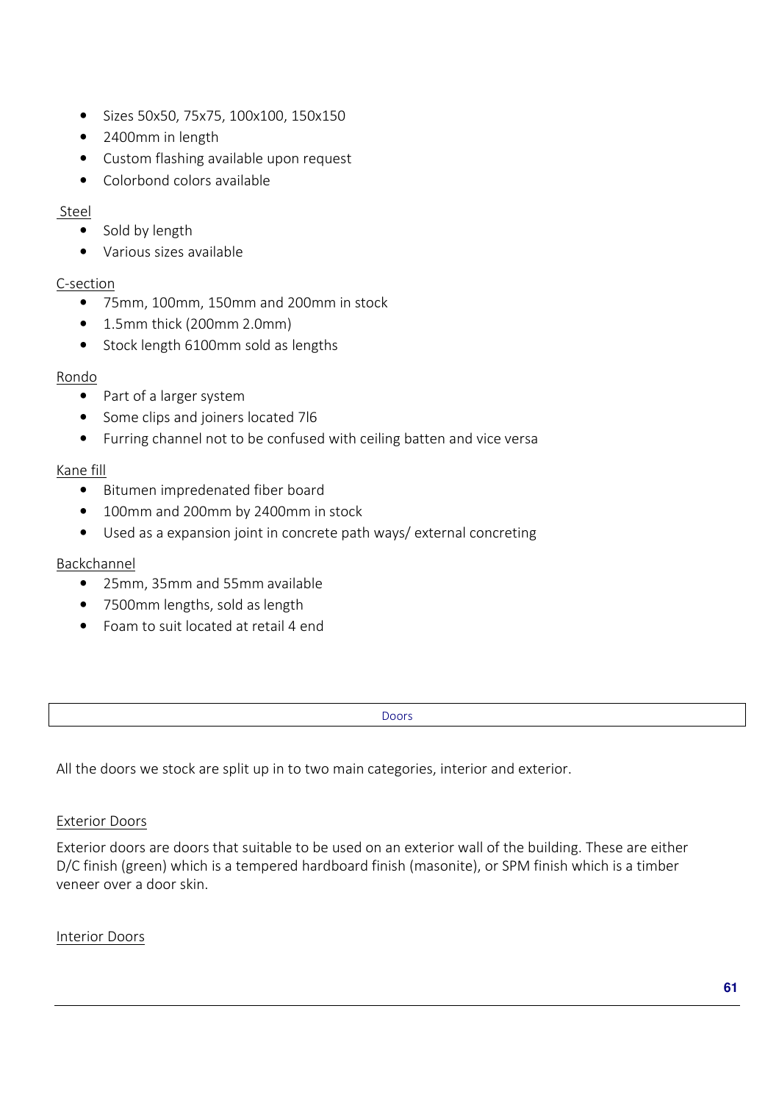- Sizes 50x50, 75x75, 100x100, 150x150
- 2400mm in length
- Custom flashing available upon request
- Colorbond colors available

### Steel

- Sold by length
- Various sizes available

### C-section

- 75mm, 100mm, 150mm and 200mm in stock
- 1.5mm thick (200mm 2.0mm)
- Stock length 6100mm sold as lengths

### Rondo

- Part of a larger system
- Some clips and joiners located 7l6
- Furring channel not to be confused with ceiling batten and vice versa

### Kane fill

- Bitumen impredenated fiber board
- 100mm and 200mm by 2400mm in stock
- Used as a expansion joint in concrete path ways/ external concreting

### Backchannel

- 25mm, 35mm and 55mm available
- 7500mm lengths, sold as length
- Foam to suit located at retail 4 end

Doors

All the doors we stock are split up in to two main categories, interior and exterior.

### Exterior Doors

Exterior doors are doors that suitable to be used on an exterior wall of the building. These are either D/C finish (green) which is a tempered hardboard finish (masonite), or SPM finish which is a timber veneer over a door skin.

### Interior Doors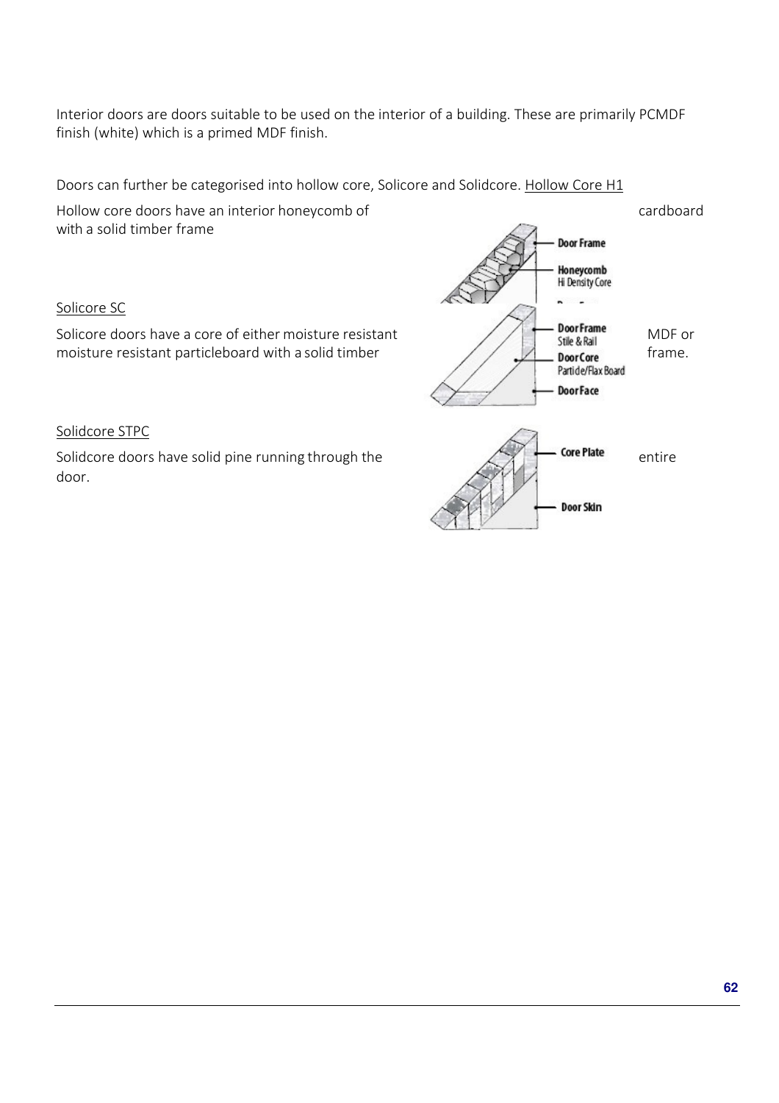Interior doors are doors suitable to be used on the interior of a building. These are primarily PCMDF finish (white) which is a primed MDF finish.

Doors can further be categorised into hollow core, Solicore and Solidcore. Hollow Core H1

with a solid timber frame

Solicore SC

Solidcore STPC

door.

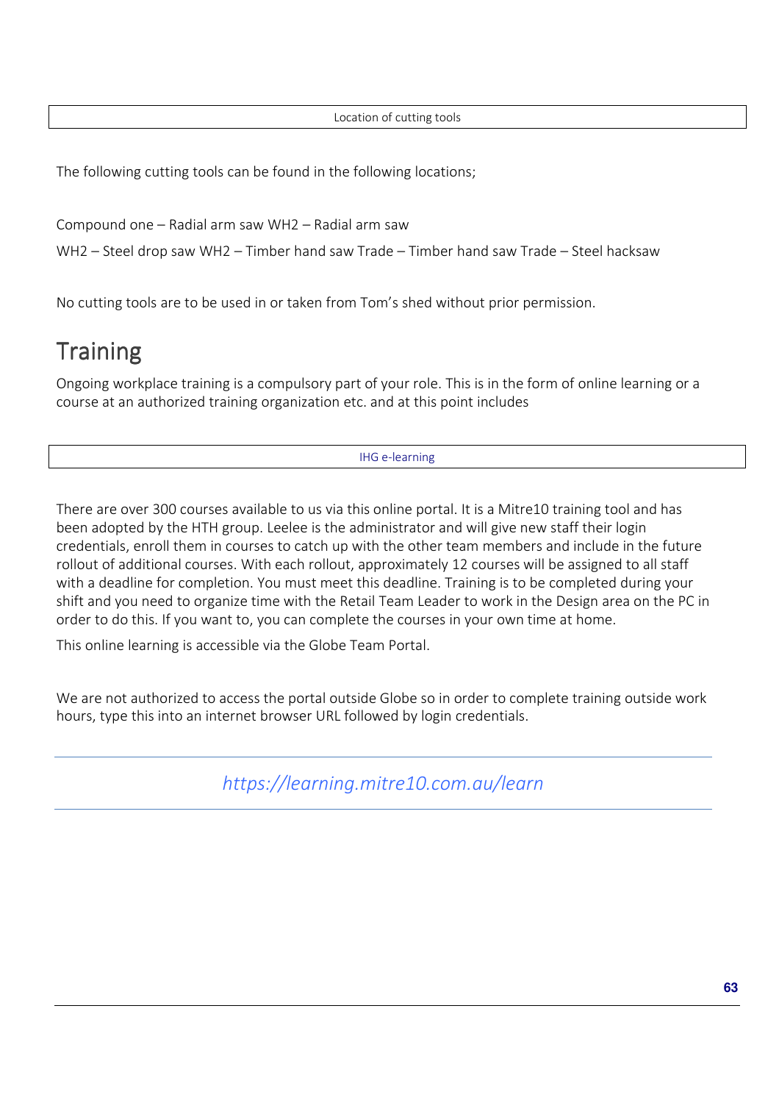Location of cutting tools

The following cutting tools can be found in the following locations;

Compound one – Radial arm saw WH2 – Radial arm saw

WH2 – Steel drop saw WH2 – Timber hand saw Trade – Timber hand saw Trade – Steel hacksaw

No cutting tools are to be used in or taken from Tom's shed without prior permission.

# **Training**

Ongoing workplace training is a compulsory part of your role. This is in the form of online learning or a course at an authorized training organization etc. and at this point includes

IHG e-learning

There are over 300 courses available to us via this online portal. It is a Mitre10 training tool and has been adopted by the HTH group. Leelee is the administrator and will give new staff their login credentials, enroll them in courses to catch up with the other team members and include in the future rollout of additional courses. With each rollout, approximately 12 courses will be assigned to all staff with a deadline for completion. You must meet this deadline. Training is to be completed during your shift and you need to organize time with the Retail Team Leader to work in the Design area on the PC in order to do this. If you want to, you can complete the courses in your own time at home.

This online learning is accessible via the Globe Team Portal.

We are not authorized to access the portal outside Globe so in order to complete training outside work hours, type this into an internet browser URL followed by login credentials.

*https://learning.mitre10.com.au/learn*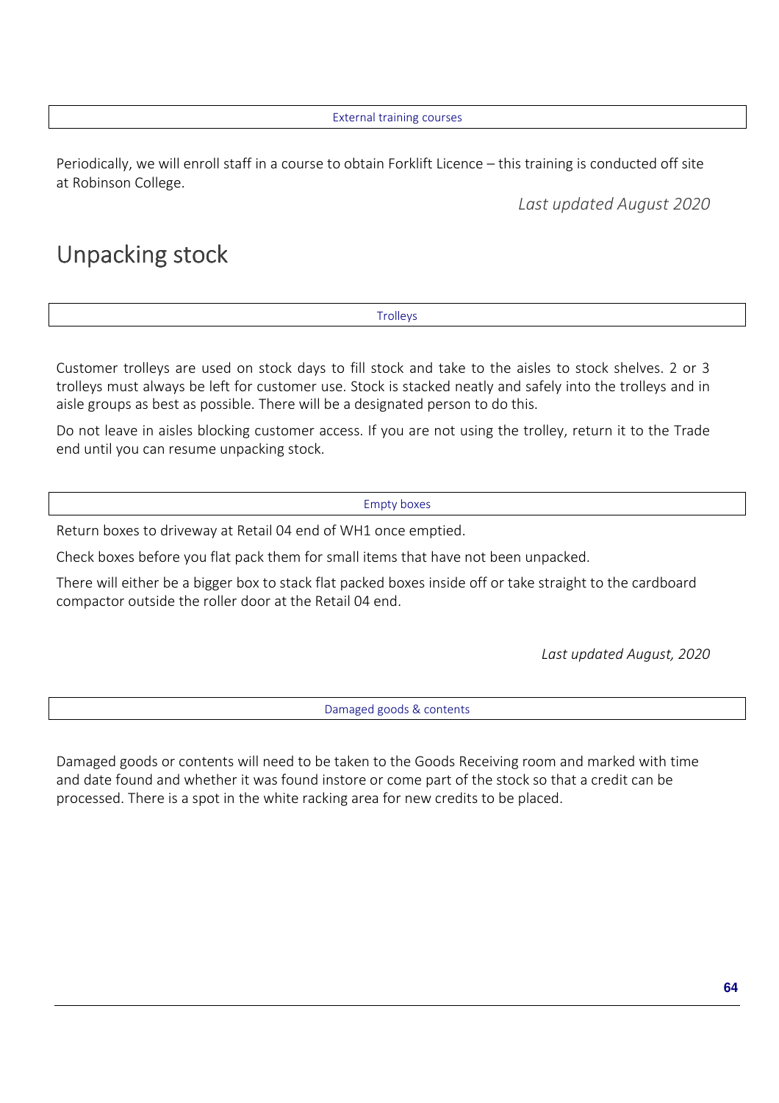External training courses

Periodically, we will enroll staff in a course to obtain Forklift Licence – this training is conducted off site at Robinson College.

*Last updated August 2020* 

# Unpacking stock

**Trolleys** 

Customer trolleys are used on stock days to fill stock and take to the aisles to stock shelves. 2 or 3 trolleys must always be left for customer use. Stock is stacked neatly and safely into the trolleys and in aisle groups as best as possible. There will be a designated person to do this.

Do not leave in aisles blocking customer access. If you are not using the trolley, return it to the Trade end until you can resume unpacking stock.

Empty boxes

Return boxes to driveway at Retail 04 end of WH1 once emptied.

Check boxes before you flat pack them for small items that have not been unpacked.

There will either be a bigger box to stack flat packed boxes inside off or take straight to the cardboard compactor outside the roller door at the Retail 04 end.

*Last updated August, 2020* 

Damaged goods & contents

Damaged goods or contents will need to be taken to the Goods Receiving room and marked with time and date found and whether it was found instore or come part of the stock so that a credit can be processed. There is a spot in the white racking area for new credits to be placed.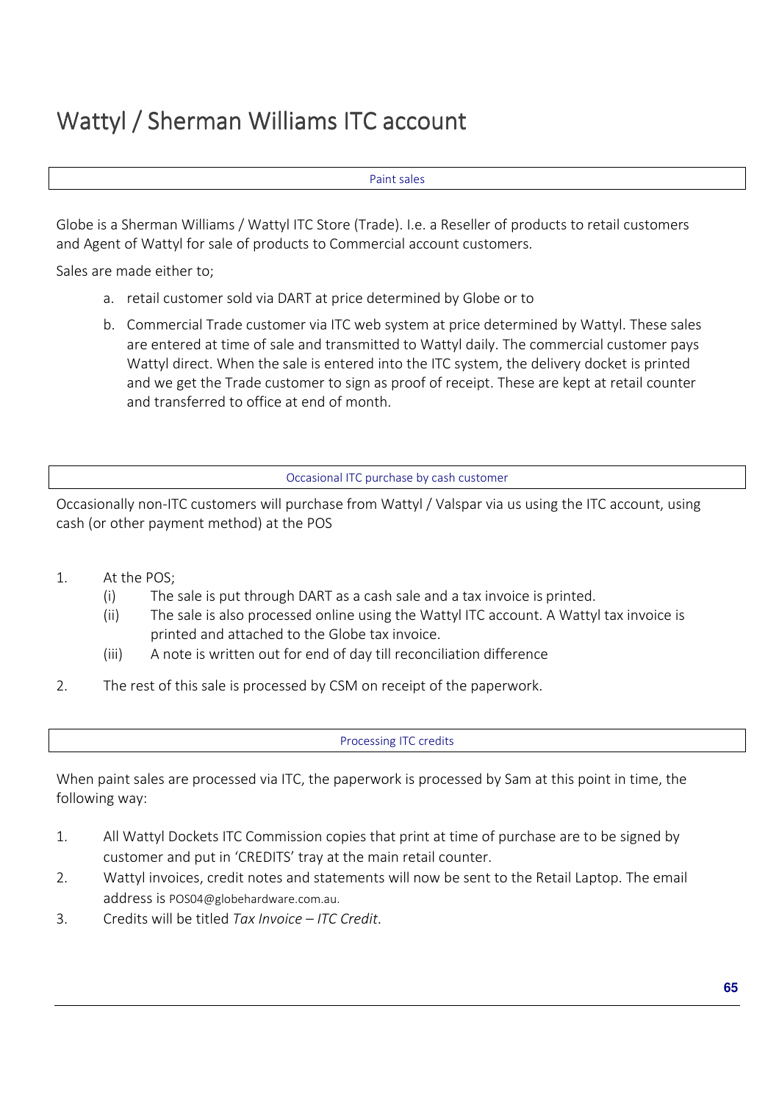# Wattyl / Sherman Williams ITC account

#### Paint sales

Globe is a Sherman Williams / Wattyl ITC Store (Trade). I.e. a Reseller of products to retail customers and Agent of Wattyl for sale of products to Commercial account customers.

Sales are made either to;

- a. retail customer sold via DART at price determined by Globe or to
- b. Commercial Trade customer via ITC web system at price determined by Wattyl. These sales are entered at time of sale and transmitted to Wattyl daily. The commercial customer pays Wattyl direct. When the sale is entered into the ITC system, the delivery docket is printed and we get the Trade customer to sign as proof of receipt. These are kept at retail counter and transferred to office at end of month.

Occasional ITC purchase by cash customer

Occasionally non-ITC customers will purchase from Wattyl / Valspar via us using the ITC account, using cash (or other payment method) at the POS

- 1. At the POS;
	- (i) The sale is put through DART as a cash sale and a tax invoice is printed.
	- (ii) The sale is also processed online using the Wattyl ITC account. A Wattyl tax invoice is printed and attached to the Globe tax invoice.
	- (iii) A note is written out for end of day till reconciliation difference
- 2. The rest of this sale is processed by CSM on receipt of the paperwork.

Processing ITC credits

When paint sales are processed via ITC, the paperwork is processed by Sam at this point in time, the following way:

- 1. All Wattyl Dockets ITC Commission copies that print at time of purchase are to be signed by customer and put in 'CREDITS' tray at the main retail counter.
- 2. Wattyl invoices, credit notes and statements will now be sent to the Retail Laptop. The email address is POS04@globehardware.com.au.
- 3. Credits will be titled *Tax Invoice ITC Credit*.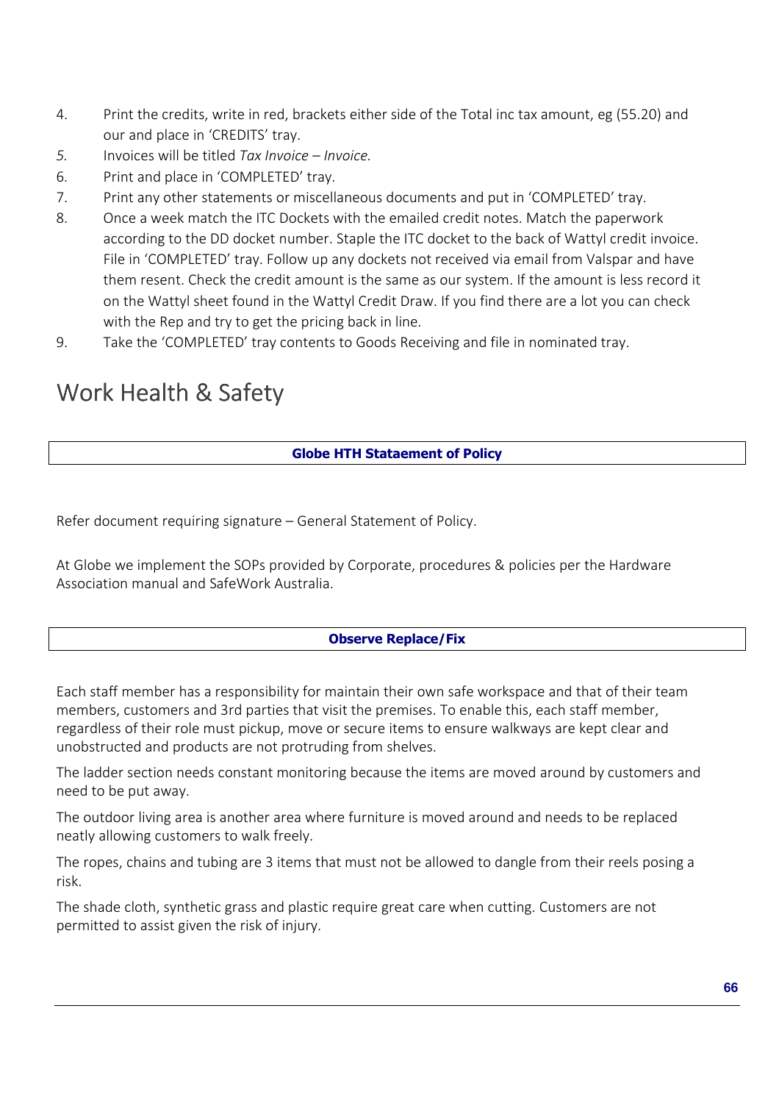- 4. Print the credits, write in red, brackets either side of the Total inc tax amount, eg (55.20) and our and place in 'CREDITS' tray.
- *5.* Invoices will be titled *Tax Invoice Invoice.*
- 6. Print and place in 'COMPLETED' tray.
- 7. Print any other statements or miscellaneous documents and put in 'COMPLETED' tray.
- 8. Once a week match the ITC Dockets with the emailed credit notes. Match the paperwork according to the DD docket number. Staple the ITC docket to the back of Wattyl credit invoice. File in 'COMPLETED' tray. Follow up any dockets not received via email from Valspar and have them resent. Check the credit amount is the same as our system. If the amount is less record it on the Wattyl sheet found in the Wattyl Credit Draw. If you find there are a lot you can check with the Rep and try to get the pricing back in line.
- 9. Take the 'COMPLETED' tray contents to Goods Receiving and file in nominated tray.

# Work Health & Safety

## **Globe HTH Stataement of Policy**

Refer document requiring signature – General Statement of Policy.

At Globe we implement the SOPs provided by Corporate, procedures & policies per the Hardware Association manual and SafeWork Australia.

## **Observe Replace/Fix**

Each staff member has a responsibility for maintain their own safe workspace and that of their team members, customers and 3rd parties that visit the premises. To enable this, each staff member, regardless of their role must pickup, move or secure items to ensure walkways are kept clear and unobstructed and products are not protruding from shelves.

The ladder section needs constant monitoring because the items are moved around by customers and need to be put away.

The outdoor living area is another area where furniture is moved around and needs to be replaced neatly allowing customers to walk freely.

The ropes, chains and tubing are 3 items that must not be allowed to dangle from their reels posing a risk.

The shade cloth, synthetic grass and plastic require great care when cutting. Customers are not permitted to assist given the risk of injury.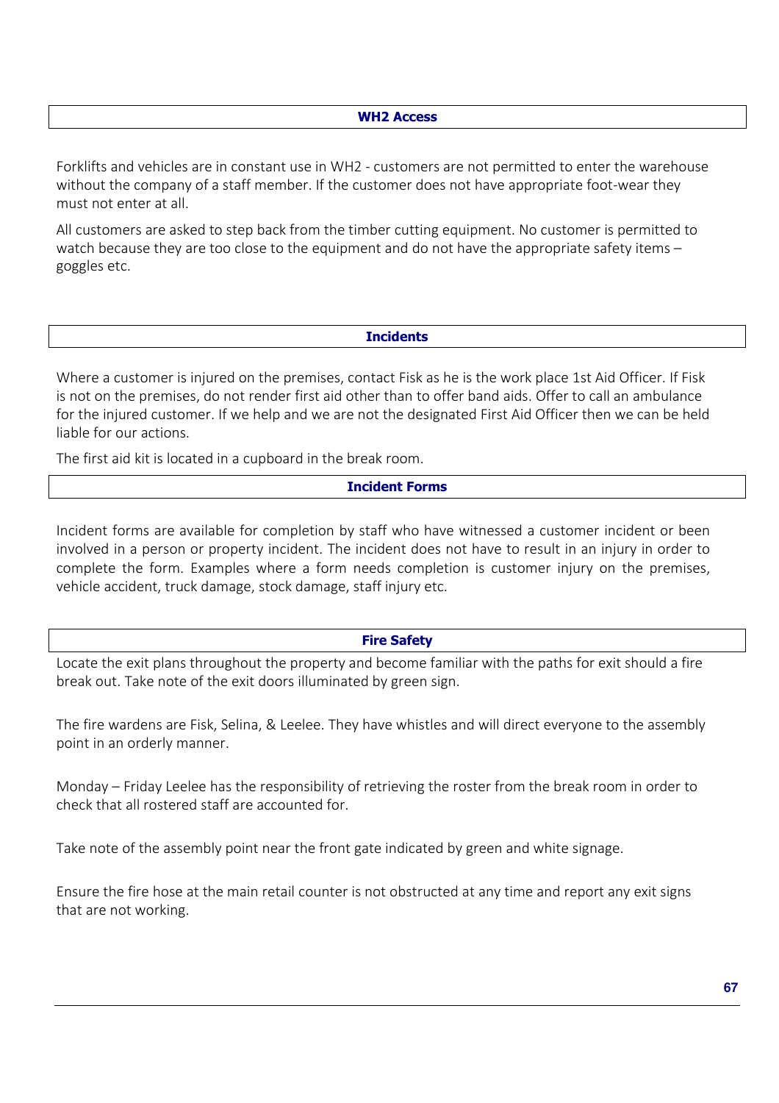#### **WH2 Access**

Forklifts and vehicles are in constant use in WH2 - customers are not permitted to enter the warehouse without the company of a staff member. If the customer does not have appropriate foot-wear they must not enter at all.

All customers are asked to step back from the timber cutting equipment. No customer is permitted to watch because they are too close to the equipment and do not have the appropriate safety items – goggles etc.

## **Incidents**

Where a customer is injured on the premises, contact Fisk as he is the work place 1st Aid Officer. If Fisk is not on the premises, do not render first aid other than to offer band aids. Offer to call an ambulance for the injured customer. If we help and we are not the designated First Aid Officer then we can be held liable for our actions.

The first aid kit is located in a cupboard in the break room.

#### **Incident Forms**

Incident forms are available for completion by staff who have witnessed a customer incident or been involved in a person or property incident. The incident does not have to result in an injury in order to complete the form. Examples where a form needs completion is customer injury on the premises, vehicle accident, truck damage, stock damage, staff injury etc.

#### **Fire Safety**

Locate the exit plans throughout the property and become familiar with the paths for exit should a fire break out. Take note of the exit doors illuminated by green sign.

The fire wardens are Fisk, Selina, & Leelee. They have whistles and will direct everyone to the assembly point in an orderly manner.

Monday – Friday Leelee has the responsibility of retrieving the roster from the break room in order to check that all rostered staff are accounted for.

Take note of the assembly point near the front gate indicated by green and white signage.

Ensure the fire hose at the main retail counter is not obstructed at any time and report any exit signs that are not working.